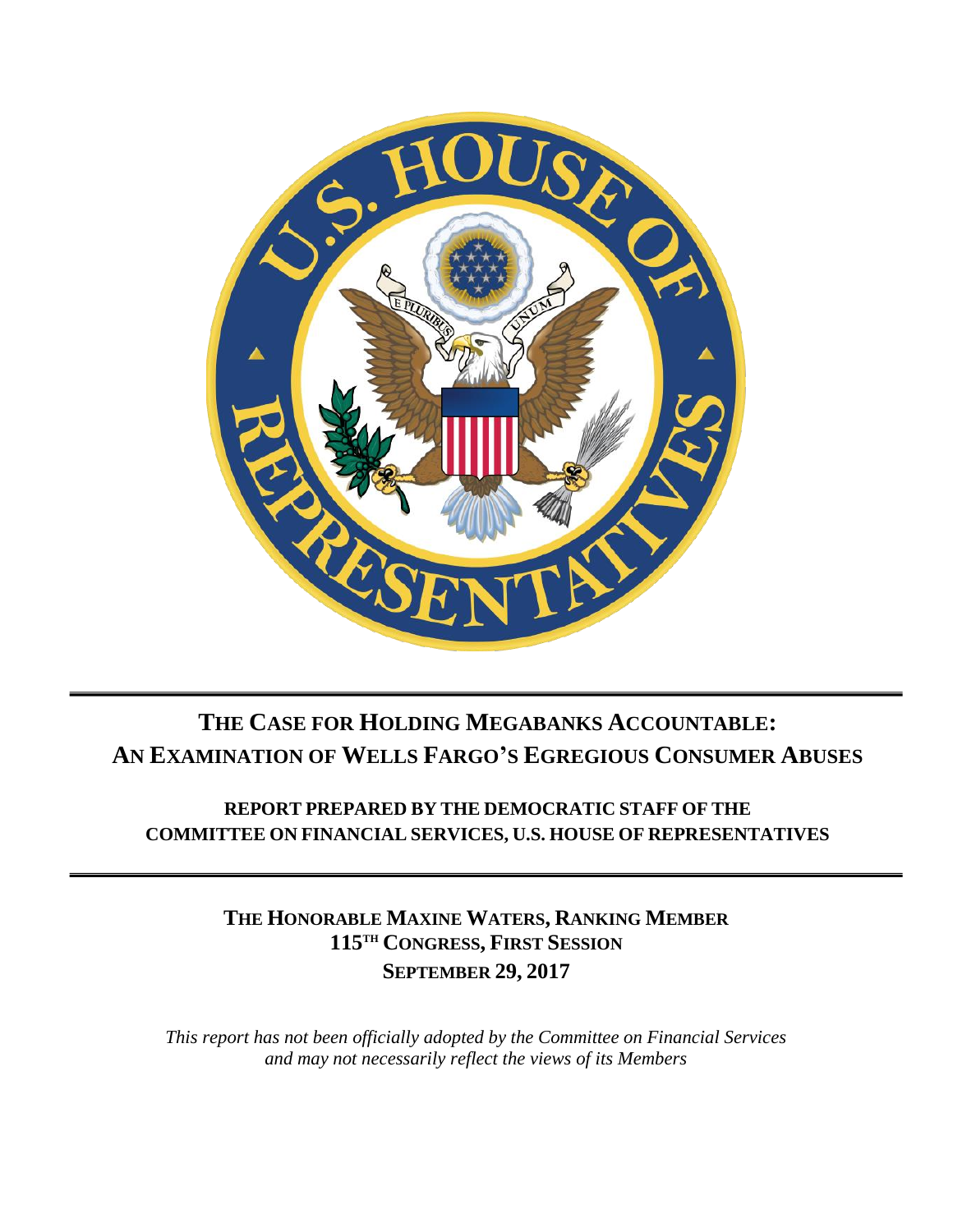

# **THE CASE FOR HOLDING MEGABANKS ACCOUNTABLE: AN EXAMINATION OF WELLS FARGO'S EGREGIOUS CONSUMER ABUSES**

**REPORT PREPARED BY THE DEMOCRATIC STAFF OF THE COMMITTEE ON FINANCIAL SERVICES, U.S. HOUSE OF REPRESENTATIVES**

> **THE HONORABLE MAXINE WATERS, RANKING MEMBER 115TH CONGRESS, FIRST SESSION SEPTEMBER 29, 2017**

*This report has not been officially adopted by the Committee on Financial Services and may not necessarily reflect the views of its Members*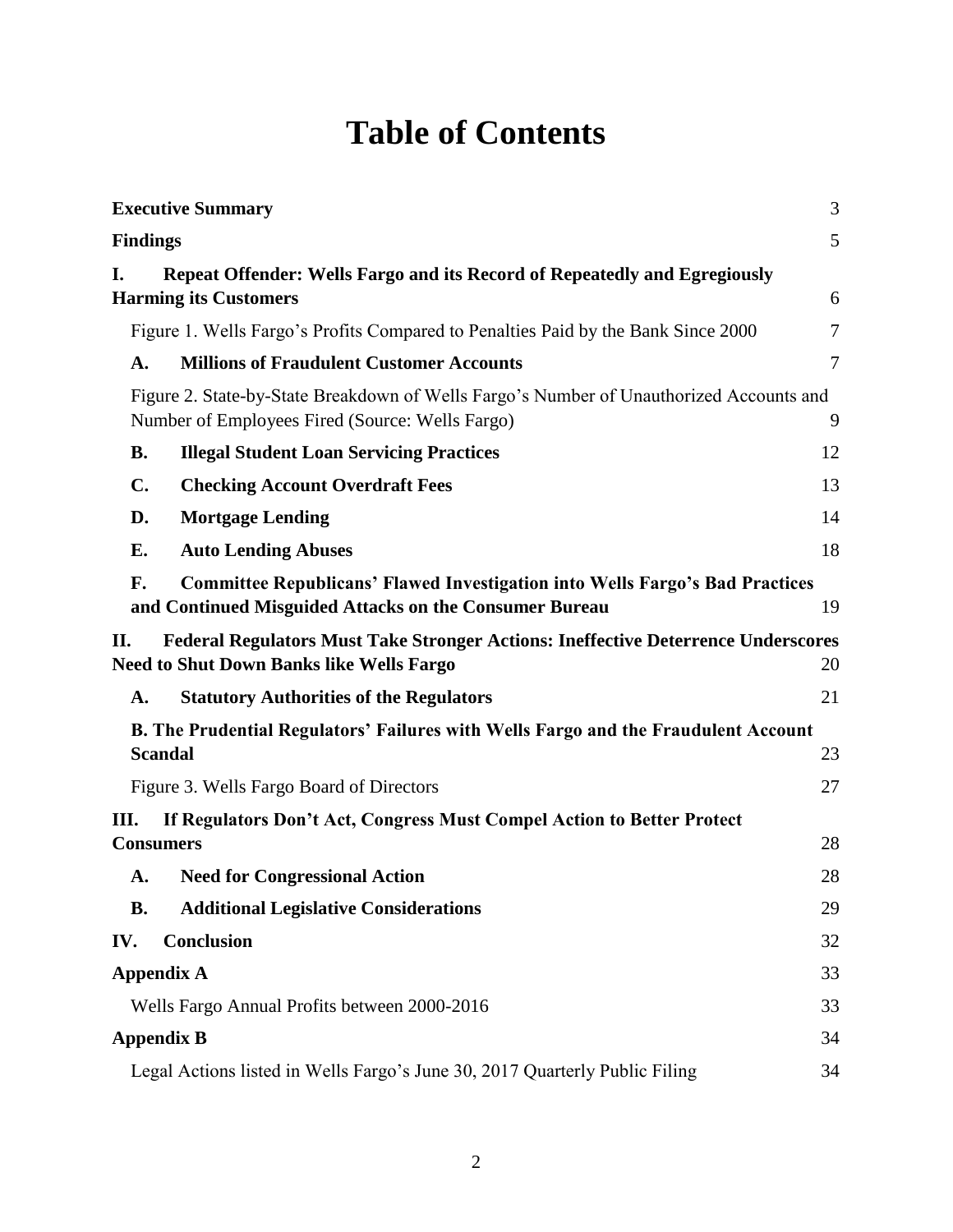# **Table of Contents**

|                 | <b>Executive Summary</b>                                                                                                                      | $\mathfrak{Z}$ |  |
|-----------------|-----------------------------------------------------------------------------------------------------------------------------------------------|----------------|--|
| <b>Findings</b> |                                                                                                                                               | 5              |  |
| I.              | <b>Repeat Offender: Wells Fargo and its Record of Repeatedly and Egregiously</b><br><b>Harming its Customers</b>                              | 6              |  |
|                 | Figure 1. Wells Fargo's Profits Compared to Penalties Paid by the Bank Since 2000                                                             | $\overline{7}$ |  |
| A.              | <b>Millions of Fraudulent Customer Accounts</b>                                                                                               | 7              |  |
|                 | Figure 2. State-by-State Breakdown of Wells Fargo's Number of Unauthorized Accounts and<br>Number of Employees Fired (Source: Wells Fargo)    | 9              |  |
| <b>B.</b>       | <b>Illegal Student Loan Servicing Practices</b>                                                                                               | 12             |  |
| $\mathbf{C}$ .  | <b>Checking Account Overdraft Fees</b>                                                                                                        | 13             |  |
| D.              | <b>Mortgage Lending</b>                                                                                                                       | 14             |  |
| E.              | <b>Auto Lending Abuses</b>                                                                                                                    | 18             |  |
| F.              | <b>Committee Republicans' Flawed Investigation into Wells Fargo's Bad Practices</b><br>and Continued Misguided Attacks on the Consumer Bureau | 19             |  |
| П.              | <b>Federal Regulators Must Take Stronger Actions: Ineffective Deterrence Underscores</b>                                                      |                |  |
|                 | <b>Need to Shut Down Banks like Wells Fargo</b>                                                                                               | 20             |  |
| A.              | <b>Statutory Authorities of the Regulators</b>                                                                                                | 21             |  |
|                 | B. The Prudential Regulators' Failures with Wells Fargo and the Fraudulent Account                                                            |                |  |
|                 | <b>Scandal</b>                                                                                                                                | 23             |  |
|                 | Figure 3. Wells Fargo Board of Directors                                                                                                      | 27             |  |
| III.            | If Regulators Don't Act, Congress Must Compel Action to Better Protect<br><b>Consumers</b>                                                    | 28             |  |
| A.              | <b>Need for Congressional Action</b>                                                                                                          | 28             |  |
| <b>B.</b>       | <b>Additional Legislative Considerations</b>                                                                                                  | 29             |  |
| IV.             | <b>Conclusion</b>                                                                                                                             | 32             |  |
|                 | <b>Appendix A</b>                                                                                                                             | 33             |  |
|                 |                                                                                                                                               | 33             |  |
|                 | Wells Fargo Annual Profits between 2000-2016                                                                                                  |                |  |
|                 | <b>Appendix B</b>                                                                                                                             | 34             |  |
|                 | Legal Actions listed in Wells Fargo's June 30, 2017 Quarterly Public Filing                                                                   | 34             |  |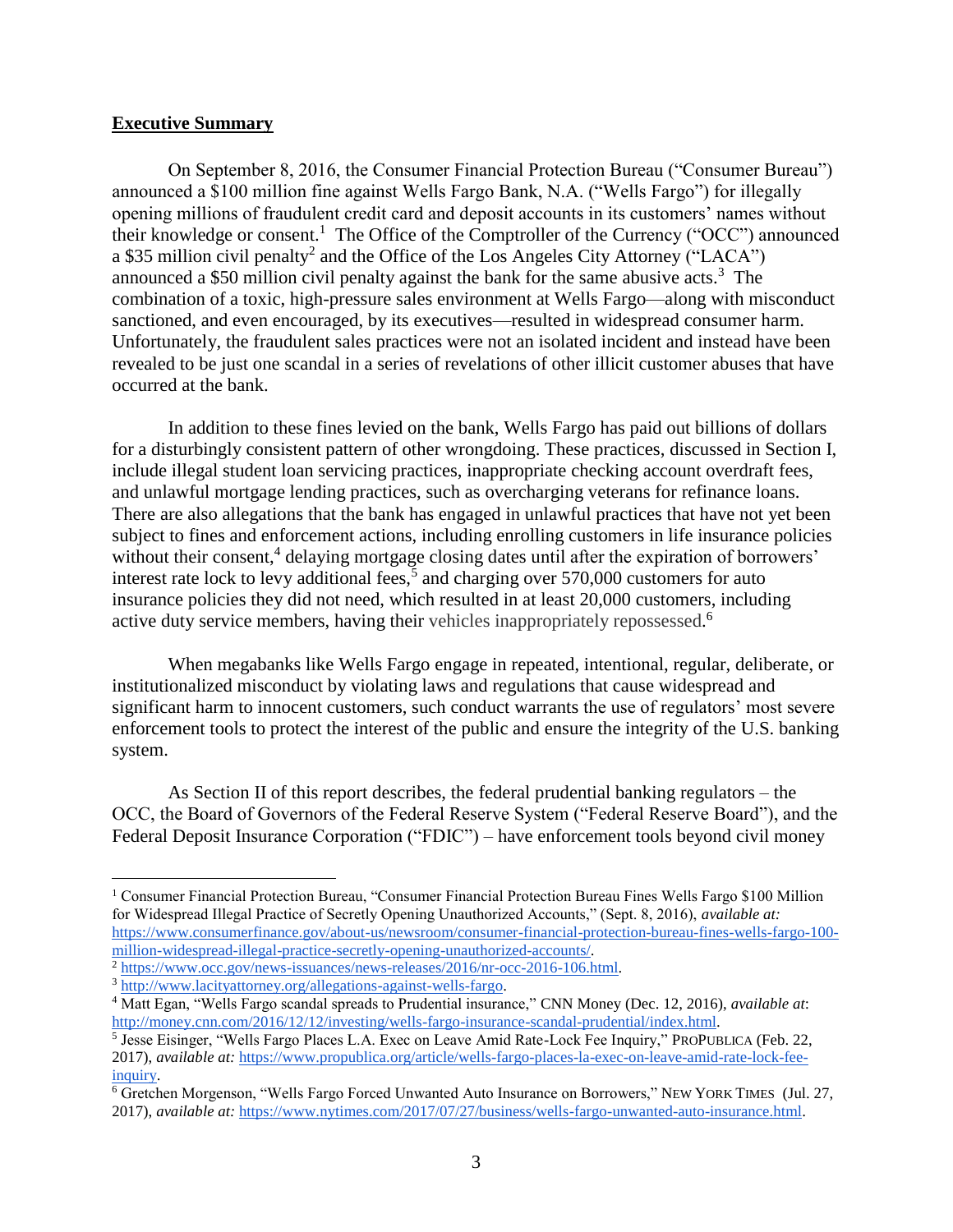#### <span id="page-2-0"></span>**Executive Summary**

On September 8, 2016, the Consumer Financial Protection Bureau ("Consumer Bureau") announced a \$100 million fine against Wells Fargo Bank, N.A. ("Wells Fargo") for illegally opening millions of fraudulent credit card and deposit accounts in its customers' names without their knowledge or consent.<sup>1</sup> The Office of the Comptroller of the Currency ("OCC") announced a \$35 million civil penalty<sup>2</sup> and the Office of the Los Angeles City Attorney ("LACA") announced a \$50 million civil penalty against the bank for the same abusive acts. 3 The combination of a toxic, high-pressure sales environment at Wells Fargo—along with misconduct sanctioned, and even encouraged, by its executives—resulted in widespread consumer harm. Unfortunately, the fraudulent sales practices were not an isolated incident and instead have been revealed to be just one scandal in a series of revelations of other illicit customer abuses that have occurred at the bank.

In addition to these fines levied on the bank, Wells Fargo has paid out billions of dollars for a disturbingly consistent pattern of other wrongdoing. These practices, discussed in Section I, include illegal student loan servicing practices, inappropriate checking account overdraft fees, and unlawful mortgage lending practices, such as overcharging veterans for refinance loans. There are also allegations that the bank has engaged in unlawful practices that have not yet been subject to fines and enforcement actions, including enrolling customers in life insurance policies without their consent,<sup>4</sup> delaying mortgage closing dates until after the expiration of borrowers' interest rate lock to levy additional fees,<sup>5</sup> and charging over  $570,000$  customers for auto insurance policies they did not need, which resulted in at least 20,000 customers, including active duty service members, having their vehicles inappropriately repossessed.<sup>6</sup>

When megabanks like Wells Fargo engage in repeated, intentional, regular, deliberate, or institutionalized misconduct by violating laws and regulations that cause widespread and significant harm to innocent customers, such conduct warrants the use of regulators' most severe enforcement tools to protect the interest of the public and ensure the integrity of the U.S. banking system.

As Section II of this report describes, the federal prudential banking regulators – the OCC, the Board of Governors of the Federal Reserve System ("Federal Reserve Board"), and the Federal Deposit Insurance Corporation ("FDIC") – have enforcement tools beyond civil money

<sup>&</sup>lt;sup>1</sup> Consumer Financial Protection Bureau, "Consumer Financial Protection Bureau Fines Wells Fargo \$100 Million for Widespread Illegal Practice of Secretly Opening Unauthorized Accounts," (Sept. 8, 2016), *available at[:](https://www.consumerfinance.gov/about-us/newsroom/consumer-financial-protection-bureau-fines-wells-fargo-100-million-widespread-illegal-practice-secretly-opening-unauthorized-accounts/)* [https://www.consumerfinance.gov/about-us/newsroom/consumer-financial-protection-bureau-fines-wells-fargo-100](https://www.consumerfinance.gov/about-us/newsroom/consumer-financial-protection-bureau-fines-wells-fargo-100-million-widespread-illegal-practice-secretly-opening-unauthorized-accounts/) [million-widespread-illegal-practice-secretly-opening-unauthorized-accounts/.](https://www.consumerfinance.gov/about-us/newsroom/consumer-financial-protection-bureau-fines-wells-fargo-100-million-widespread-illegal-practice-secretly-opening-unauthorized-accounts/)

<sup>2</sup> [https://www.occ.gov/news-issuances/news-releases/2016/nr-occ-2016-106.html.](https://www.occ.gov/news-issuances/news-releases/2016/nr-occ-2016-106.html)

<sup>3</sup> [http://www.lacityattorney.org/allegations-against-wells-fargo.](http://www.lacityattorney.org/allegations-against-wells-fargo)

<sup>4</sup> Matt Egan, "Wells Fargo scandal spreads to Prudential insurance," CNN Money (Dec. 12, 2016), *available at*[:](http://money.cnn.com/2016/12/12/investing/wells-fargo-insurance-scandal-prudential/index.html) [http://money.cnn.com/2016/12/12/investing/wells-fargo-insurance-scandal-prudential/index.html.](http://money.cnn.com/2016/12/12/investing/wells-fargo-insurance-scandal-prudential/index.html)

<sup>&</sup>lt;sup>5</sup> Jesse Eisinger, "Wells Fargo Places L.A. Exec on Leave Amid Rate-Lock Fee Inquiry," PROPUBLICA (Feb. 22, 2017), *available at:* [https://www.propublica.org/article/wells-fargo-places-la-exec-on-leave-amid-rate-lock-fee](https://www.propublica.org/article/wells-fargo-places-la-exec-on-leave-amid-rate-lock-fee-inquiry)[inquiry.](https://www.propublica.org/article/wells-fargo-places-la-exec-on-leave-amid-rate-lock-fee-inquiry)

<sup>6</sup> Gretchen Morgenson, "Wells Fargo Forced Unwanted Auto Insurance on Borrowers," NEW YORK TIMES (Jul. 27, 2017), *available at:* [https://www.nytimes.com/2017/07/27/business/wells-fargo-unwanted-auto-insurance.html.](https://www.nytimes.com/2017/07/27/business/wells-fargo-unwanted-auto-insurance.html)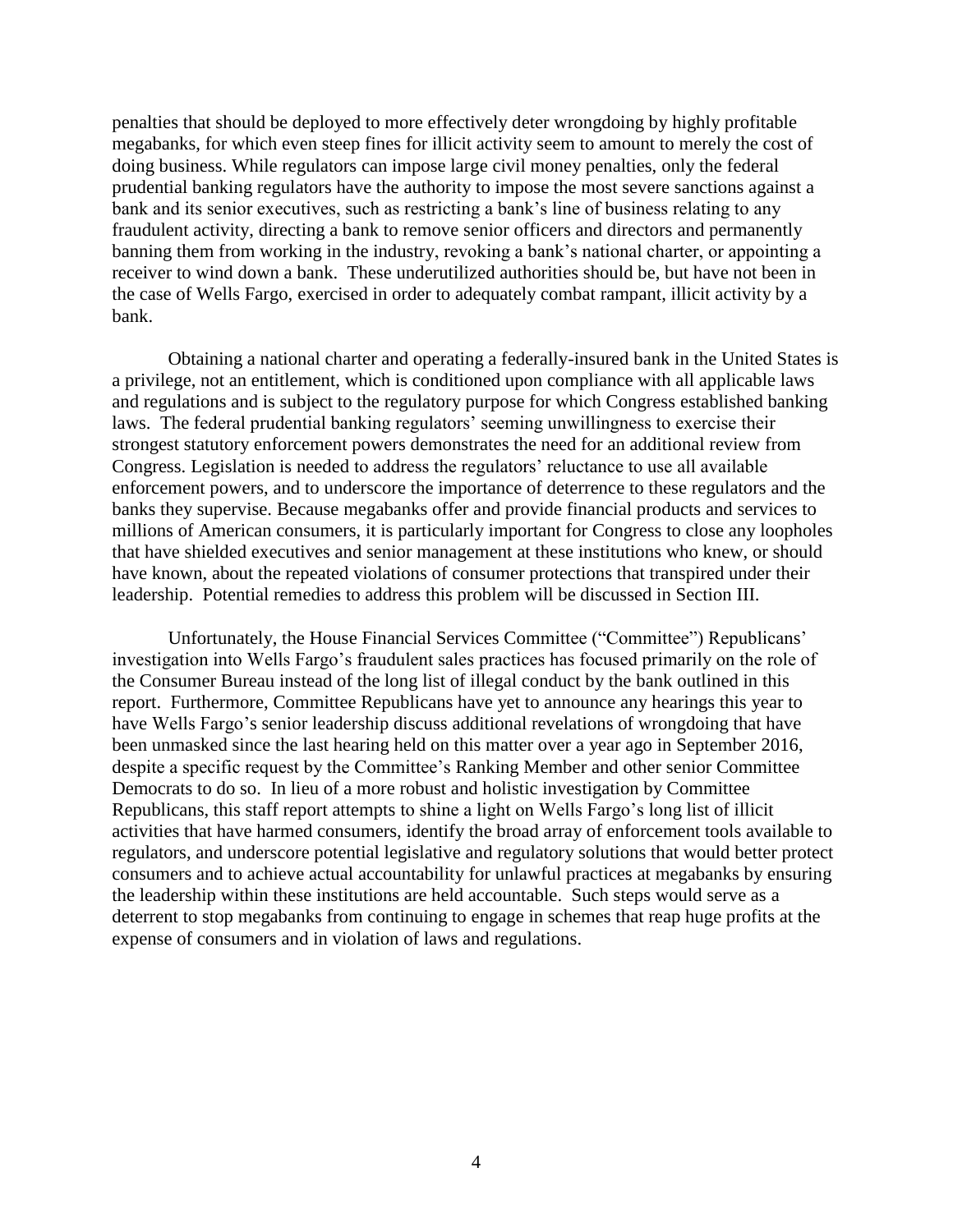penalties that should be deployed to more effectively deter wrongdoing by highly profitable megabanks, for which even steep fines for illicit activity seem to amount to merely the cost of doing business. While regulators can impose large civil money penalties, only the federal prudential banking regulators have the authority to impose the most severe sanctions against a bank and its senior executives, such as restricting a bank's line of business relating to any fraudulent activity, directing a bank to remove senior officers and directors and permanently banning them from working in the industry, revoking a bank's national charter, or appointing a receiver to wind down a bank. These underutilized authorities should be, but have not been in the case of Wells Fargo, exercised in order to adequately combat rampant, illicit activity by a bank.

Obtaining a national charter and operating a federally-insured bank in the United States is a privilege, not an entitlement, which is conditioned upon compliance with all applicable laws and regulations and is subject to the regulatory purpose for which Congress established banking laws. The federal prudential banking regulators' seeming unwillingness to exercise their strongest statutory enforcement powers demonstrates the need for an additional review from Congress. Legislation is needed to address the regulators' reluctance to use all available enforcement powers, and to underscore the importance of deterrence to these regulators and the banks they supervise. Because megabanks offer and provide financial products and services to millions of American consumers, it is particularly important for Congress to close any loopholes that have shielded executives and senior management at these institutions who knew, or should have known, about the repeated violations of consumer protections that transpired under their leadership. Potential remedies to address this problem will be discussed in Section III.

Unfortunately, the House Financial Services Committee ("Committee") Republicans' investigation into Wells Fargo's fraudulent sales practices has focused primarily on the role of the Consumer Bureau instead of the long list of illegal conduct by the bank outlined in this report. Furthermore, Committee Republicans have yet to announce any hearings this year to have Wells Fargo's senior leadership discuss additional revelations of wrongdoing that have been unmasked since the last hearing held on this matter over a year ago in September 2016, despite a specific request by the Committee's Ranking Member and other senior Committee Democrats to do so. In lieu of a more robust and holistic investigation by Committee Republicans, this staff report attempts to shine a light on Wells Fargo's long list of illicit activities that have harmed consumers, identify the broad array of enforcement tools available to regulators, and underscore potential legislative and regulatory solutions that would better protect consumers and to achieve actual accountability for unlawful practices at megabanks by ensuring the leadership within these institutions are held accountable. Such steps would serve as a deterrent to stop megabanks from continuing to engage in schemes that reap huge profits at the expense of consumers and in violation of laws and regulations.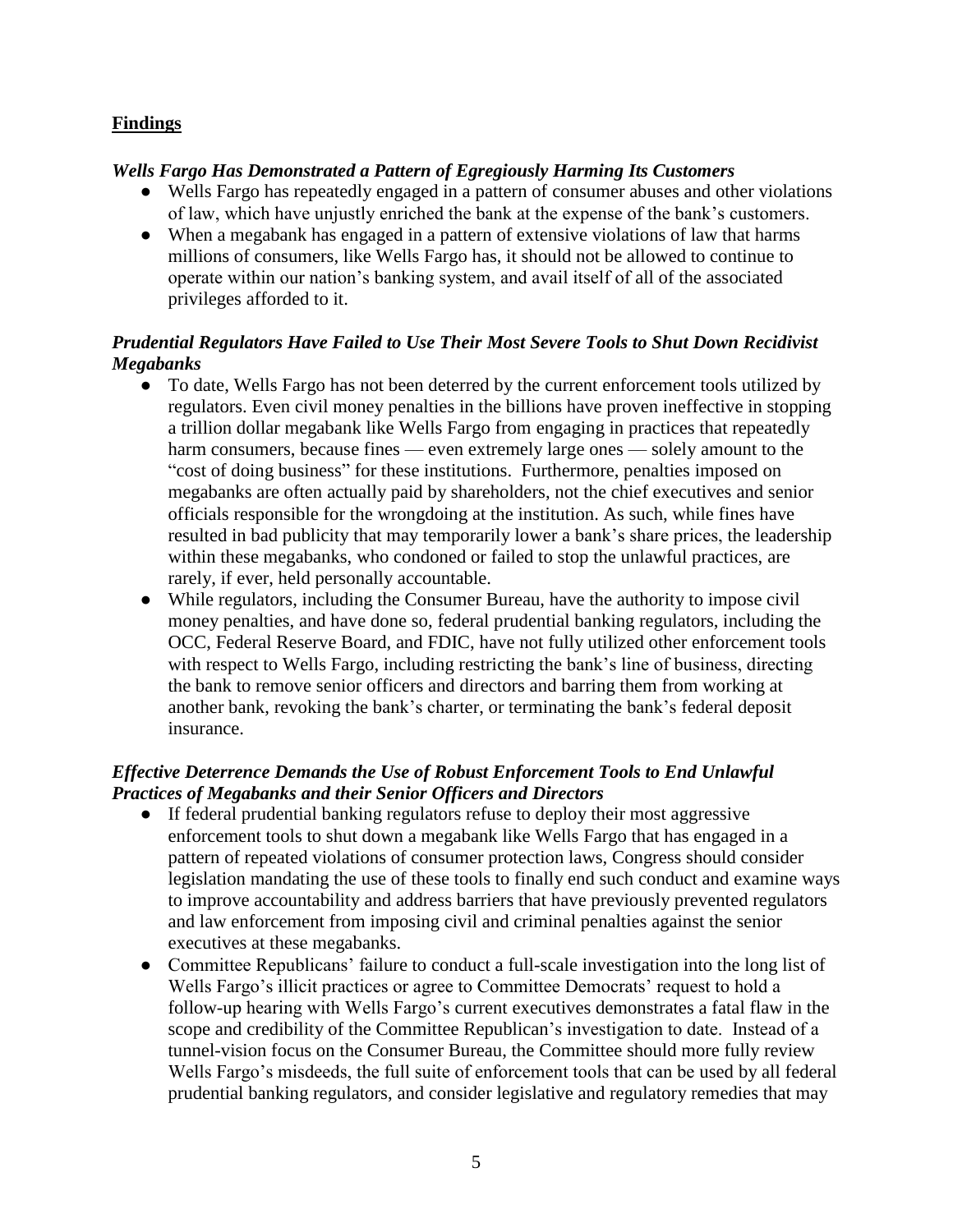## <span id="page-4-0"></span>**Findings**

## *Wells Fargo Has Demonstrated a Pattern of Egregiously Harming Its Customers*

- Wells Fargo has repeatedly engaged in a pattern of consumer abuses and other violations of law, which have unjustly enriched the bank at the expense of the bank's customers.
- When a megabank has engaged in a pattern of extensive violations of law that harms millions of consumers, like Wells Fargo has, it should not be allowed to continue to operate within our nation's banking system, and avail itself of all of the associated privileges afforded to it.

## *Prudential Regulators Have Failed to Use Their Most Severe Tools to Shut Down Recidivist Megabanks*

- To date, Wells Fargo has not been deterred by the current enforcement tools utilized by regulators. Even civil money penalties in the billions have proven ineffective in stopping a trillion dollar megabank like Wells Fargo from engaging in practices that repeatedly harm consumers, because fines — even extremely large ones — solely amount to the "cost of doing business" for these institutions. Furthermore, penalties imposed on megabanks are often actually paid by shareholders, not the chief executives and senior officials responsible for the wrongdoing at the institution. As such, while fines have resulted in bad publicity that may temporarily lower a bank's share prices, the leadership within these megabanks, who condoned or failed to stop the unlawful practices, are rarely, if ever, held personally accountable.
- While regulators, including the Consumer Bureau, have the authority to impose civil money penalties, and have done so, federal prudential banking regulators, including the OCC, Federal Reserve Board, and FDIC, have not fully utilized other enforcement tools with respect to Wells Fargo, including restricting the bank's line of business, directing the bank to remove senior officers and directors and barring them from working at another bank, revoking the bank's charter, or terminating the bank's federal deposit insurance.

## *Effective Deterrence Demands the Use of Robust Enforcement Tools to End Unlawful Practices of Megabanks and their Senior Officers and Directors*

- If federal prudential banking regulators refuse to deploy their most aggressive enforcement tools to shut down a megabank like Wells Fargo that has engaged in a pattern of repeated violations of consumer protection laws, Congress should consider legislation mandating the use of these tools to finally end such conduct and examine ways to improve accountability and address barriers that have previously prevented regulators and law enforcement from imposing civil and criminal penalties against the senior executives at these megabanks.
- Committee Republicans' failure to conduct a full-scale investigation into the long list of Wells Fargo's illicit practices or agree to Committee Democrats' request to hold a follow-up hearing with Wells Fargo's current executives demonstrates a fatal flaw in the scope and credibility of the Committee Republican's investigation to date. Instead of a tunnel-vision focus on the Consumer Bureau, the Committee should more fully review Wells Fargo's misdeeds, the full suite of enforcement tools that can be used by all federal prudential banking regulators, and consider legislative and regulatory remedies that may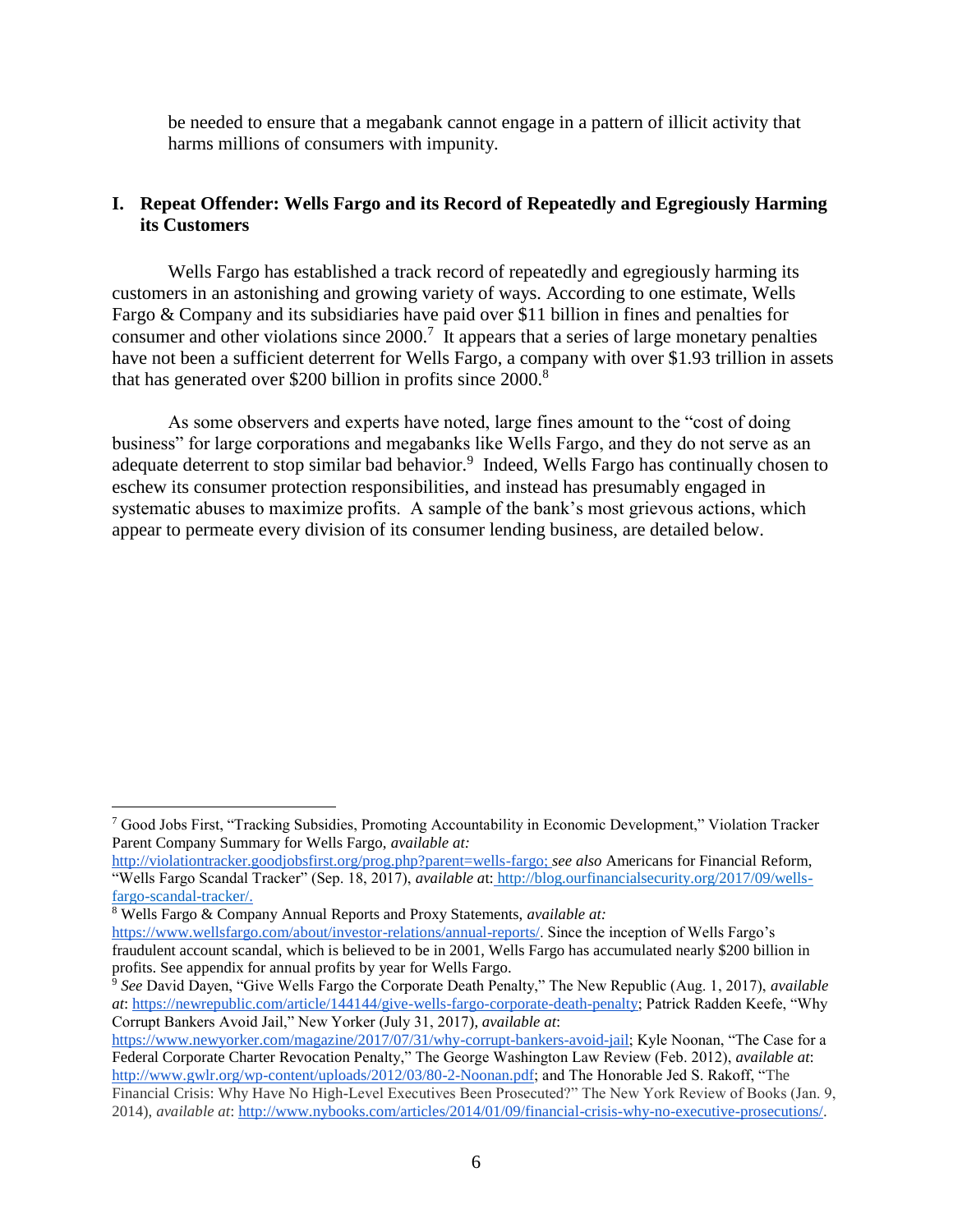be needed to ensure that a megabank cannot engage in a pattern of illicit activity that harms millions of consumers with impunity.

## <span id="page-5-0"></span>**I. Repeat Offender: Wells Fargo and its Record of Repeatedly and Egregiously Harming its Customers**

Wells Fargo has established a track record of repeatedly and egregiously harming its customers in an astonishing and growing variety of ways. According to one estimate, Wells Fargo & Company and its subsidiaries have paid over \$11 billion in fines and penalties for consumer and other violations since  $2000$ .<sup>7</sup> It appears that a series of large monetary penalties have not been a sufficient deterrent for Wells Fargo, a company with over \$1.93 trillion in assets that has generated over \$200 billion in profits since 2000.<sup>8</sup>

As some observers and experts have noted, large fines amount to the "cost of doing business" for large corporations and megabanks like Wells Fargo, and they do not serve as an adequate deterrent to stop similar bad behavior.<sup>9</sup> Indeed, Wells Fargo has continually chosen to eschew its consumer protection responsibilities, and instead has presumably engaged in systematic abuses to maximize profits. A sample of the bank's most grievous actions, which appear to permeate every division of its consumer lending business, are detailed below.

<sup>8</sup> Wells Fargo & Company Annual Reports and Proxy Statements, *available at:* [https://www.wellsfargo.com/about/investor-relations/annual-reports/.](https://www.wellsfargo.com/about/investor-relations/annual-reports/) Since the inception of Wells Fargo's fraudulent account scandal, which is believed to be in 2001, Wells Fargo has accumulated nearly \$200 billion in

profits. See appendix for annual profits by year for Wells Fargo.

<sup>7</sup> Good Jobs First, "Tracking Subsidies, Promoting Accountability in Economic Development," Violation Tracker Parent Company Summary for Wells Fargo, *available at:*

[http://violationtracker.goodjobsfirst.org/prog.php?parent=wells-fargo;](http://violationtracker.goodjobsfirst.org/prog.php?parent=wells-fargo) *see also* Americans for Financial Reform, "Wells Fargo Scandal Tracker" (Sep. 18, 2017), *available a*t: [http://blog.ourfinancialsecurity.org/2017/09/wells](http://blog.ourfinancialsecurity.org/2017/09/wells-fargo-scandal-tracker/)[fargo-scandal-tracker/.](http://blog.ourfinancialsecurity.org/2017/09/wells-fargo-scandal-tracker/)

<sup>9</sup> *See* David Dayen, "Give Wells Fargo the Corporate Death Penalty," The New Republic (Aug. 1, 2017), *available at*: [https://newrepublic.com/article/144144/give-wells-fargo-corporate-death-penalty;](https://newrepublic.com/article/144144/give-wells-fargo-corporate-death-penalty) Patrick Radden Keefe, "Why Corrupt Bankers Avoid Jail," New Yorker (July 31, 2017), *available at*:

[https://www.newyorker.com/magazine/2017/07/31/why-corrupt-bankers-avoid-jail;](https://www.newyorker.com/magazine/2017/07/31/why-corrupt-bankers-avoid-jail) Kyle Noonan, "The Case for a Federal Corporate Charter Revocation Penalty," The George Washington Law Review (Feb. 2012), *available at*: [http://www.gwlr.org/wp-content/uploads/2012/03/80-2-Noonan.pdf;](http://www.gwlr.org/wp-content/uploads/2012/03/80-2-Noonan.pdf) and The Honorable Jed S. Rakoff, "The Financial Crisis: Why Have No High-Level Executives Been Prosecuted?" The New York Review of Books (Jan. 9,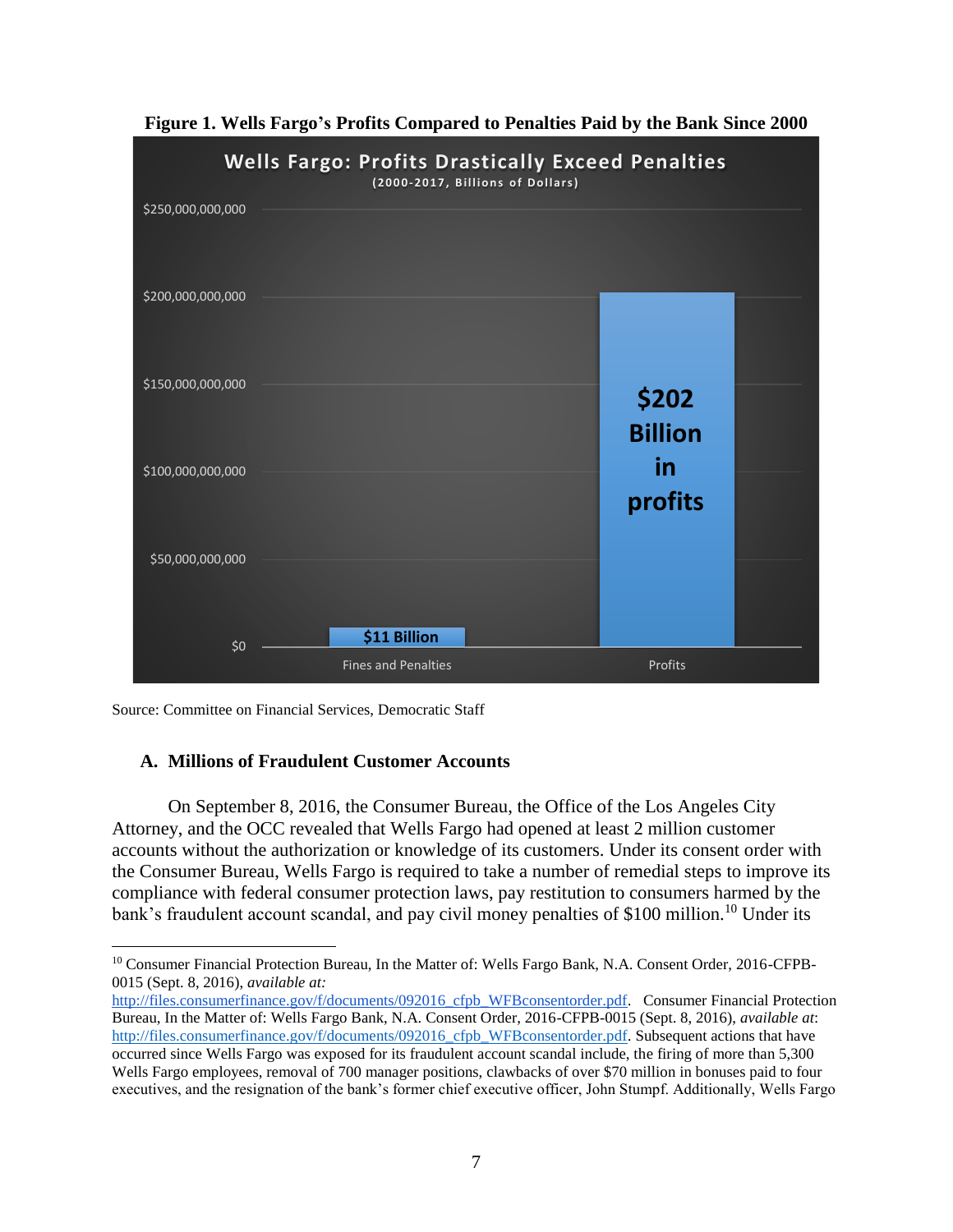<span id="page-6-0"></span>

**Figure 1. Wells Fargo's Profits Compared to Penalties Paid by the Bank Since 2000**

Source: Committee on Financial Services, Democratic Staff

 $\overline{a}$ 

#### <span id="page-6-1"></span>**A. Millions of Fraudulent Customer Accounts**

On September 8, 2016, the Consumer Bureau, the Office of the Los Angeles City Attorney, and the OCC revealed that Wells Fargo had opened at least 2 million customer accounts without the authorization or knowledge of its customers. Under its consent order with the Consumer Bureau, Wells Fargo is required to take a number of remedial steps to improve its compliance with federal consumer protection laws, pay restitution to consumers harmed by the bank's fraudulent account scandal, and pay civil money penalties of \$100 million.<sup>10</sup> Under its

<sup>10</sup> Consumer Financial Protection Bureau, In the Matter of: Wells Fargo Bank, N.A. Consent Order, 2016-CFPB-0015 (Sept. 8, 2016), *available at:*

[http://files.consumerfinance.gov/f/documents/092016\\_cfpb\\_WFBconsentorder.pdf.](http://files.consumerfinance.gov/f/documents/092016_cfpb_WFBconsentorder.pdf) Consumer Financial Protection Bureau, In the Matter of: Wells Fargo Bank, N.A. Consent Order, 2016-CFPB-0015 (Sept. 8, 2016), *available at*: [http://files.consumerfinance.gov/f/documents/092016\\_cfpb\\_WFBconsentorder.pdf.](http://files.consumerfinance.gov/f/documents/092016_cfpb_WFBconsentorder.pdf) [S](http://files.consumerfinance.gov/f/documents/092016_cfpb_WFBconsentorder.pdf)ubsequent actions that have occurred since Wells Fargo was exposed for its fraudulent account scandal include, the firing of more than 5,300 Wells Fargo employees, removal of 700 manager positions, clawbacks of over \$70 million in bonuses paid to four executives, and the resignation of the bank's former chief executive officer, John Stumpf. Additionally, Wells Fargo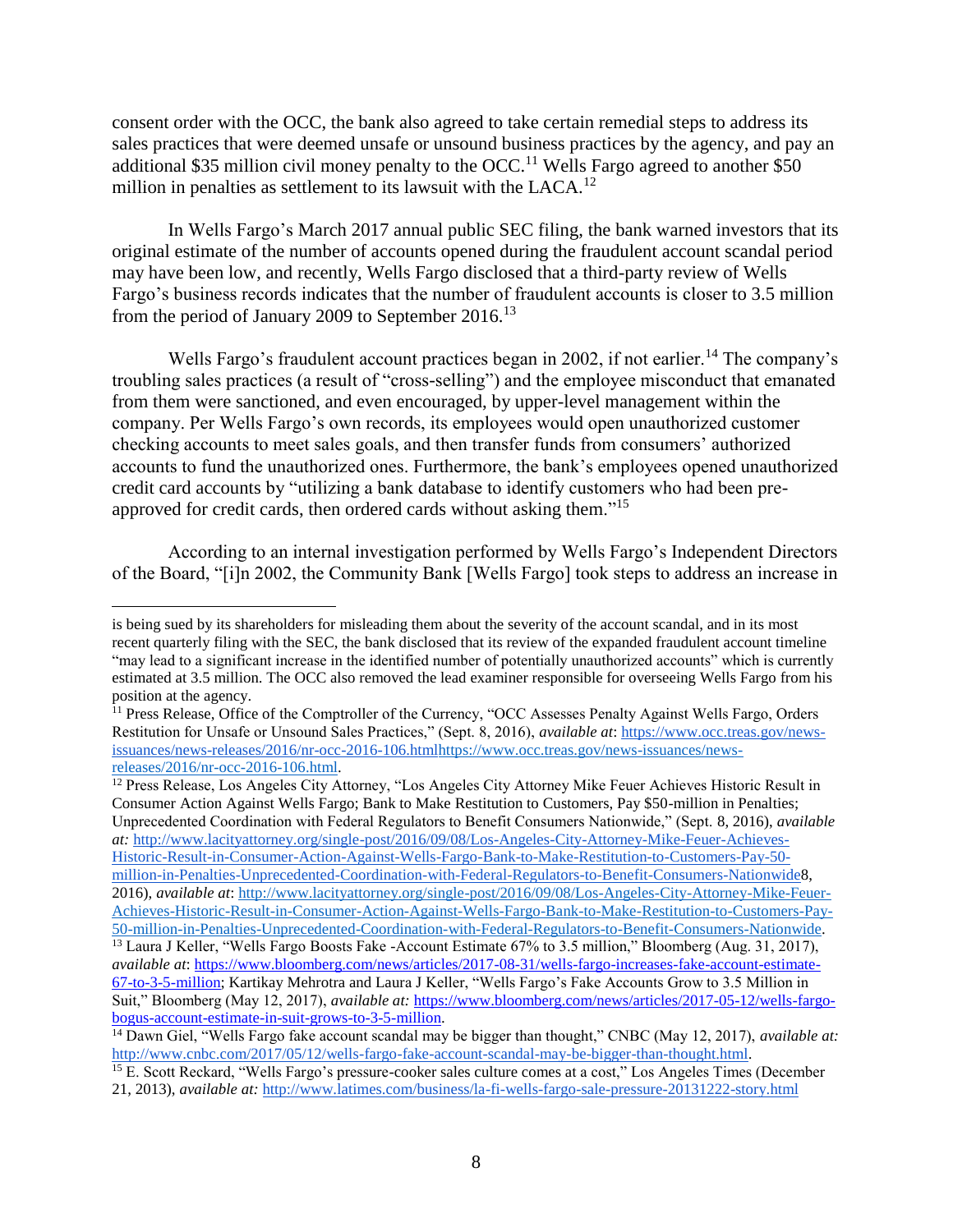consent order with the OCC, the bank also agreed to take certain remedial steps to address its sales practices that were deemed unsafe or unsound business practices by the agency, and pay an additional \$35 million civil money penalty to the OCC.<sup>11</sup> Wells Fargo agreed to another  $$50$ million in penalties as settlement to its lawsuit with the LACA.<sup>12</sup>

In Wells Fargo's March 2017 annual public SEC filing, the bank warned investors that its original estimate of the number of accounts opened during the fraudulent account scandal period may have been low, and recently, Wells Fargo disclosed that a third-party review of Wells Fargo's business records indicates that the number of fraudulent accounts is closer to 3.5 million from the period of January 2009 to September 2016.<sup>13</sup>

Wells Fargo's fraudulent account practices began in 2002, if not earlier.<sup>14</sup> The company's troubling sales practices (a result of "cross-selling") and the employee misconduct that emanated from them were sanctioned, and even encouraged, by upper-level management within the company. Per Wells Fargo's own records, its employees would open unauthorized customer checking accounts to meet sales goals, and then transfer funds from consumers' authorized accounts to fund the unauthorized ones. Furthermore, the bank's employees opened unauthorized credit card accounts by "utilizing a bank database to identify customers who had been preapproved for credit cards, then ordered cards without asking them."<sup>15</sup>

According to an internal investigation performed by Wells Fargo's Independent Directors of the Board, "[i]n 2002, the Community Bank [Wells Fargo] took steps to address an increase in

 $\overline{a}$ 

<sup>12</sup> Press Release, Los Angeles City Attorney, "Los Angeles City Attorney Mike Feuer Achieves Historic Result in Consumer Action Against Wells Fargo; Bank to Make Restitution to Customers, Pay \$50-million in Penalties; Unprecedented Coordination with Federal Regulators to Benefit Consumers Nationwide," (Sept. 8, 2016), *available at:* [http://www.lacityattorney.org/single-post/2016/09/08/Los-Angeles-City-Attorney-Mike-Feuer-Achieves-](http://www.lacityattorney.org/single-post/2016/09/08/Los-Angeles-City-Attorney-Mike-Feuer-Achieves-Historic-Result-in-Consumer-Action-Against-Wells-Fargo-Bank-to-Make-Restitution-to-Customers-Pay-50-million-in-Penalties-Unprecedented-Coordination-with-Federal-Regulators-to-Benefit-Consumers-Nationwide)[Historic-Result-in-Consumer-Action-Against-Wells-Fargo-Bank-to-Make-Restitution-to-Customers-Pay-50](http://www.lacityattorney.org/single-post/2016/09/08/Los-Angeles-City-Attorney-Mike-Feuer-Achieves-Historic-Result-in-Consumer-Action-Against-Wells-Fargo-Bank-to-Make-Restitution-to-Customers-Pay-50-million-in-Penalties-Unprecedented-Coordination-with-Federal-Regulators-to-Benefit-Consumers-Nationwide) [million-in-Penalties-Unprecedented-Coordination-with-Federal-Regulators-to-Benefit-Consumers-Nationwide8](http://www.lacityattorney.org/single-post/2016/09/08/Los-Angeles-City-Attorney-Mike-Feuer-Achieves-Historic-Result-in-Consumer-Action-Against-Wells-Fargo-Bank-to-Make-Restitution-to-Customers-Pay-50-million-in-Penalties-Unprecedented-Coordination-with-Federal-Regulators-to-Benefit-Consumers-Nationwide), 2016), *available at*: [http://www.lacityattorney.org/single-post/2016/09/08/Los-Angeles-City-Attorney-Mike-Feuer-](http://www.lacityattorney.org/single-post/2016/09/08/Los-Angeles-City-Attorney-Mike-Feuer-Achieves-Historic-Result-in-Consumer-Action-Against-Wells-Fargo-Bank-to-Make-Restitution-to-Customers-Pay-50-million-in-Penalties-Unprecedented-Coordination-with-Federal-Regulators-to-Benefit-Consumers-Nationwide)[Achieves-Historic-Result-in-Consumer-Action-Against-Wells-Fargo-Bank-to-Make-Restitution-to-Customers-Pay-](http://www.lacityattorney.org/single-post/2016/09/08/Los-Angeles-City-Attorney-Mike-Feuer-Achieves-Historic-Result-in-Consumer-Action-Against-Wells-Fargo-Bank-to-Make-Restitution-to-Customers-Pay-50-million-in-Penalties-Unprecedented-Coordination-with-Federal-Regulators-to-Benefit-Consumers-Nationwide)

is being sued by its shareholders for misleading them about the severity of the account scandal, and in its most recent quarterly filing with the SEC, the bank disclosed that its review of the expanded fraudulent account timeline "may lead to a significant increase in the identified number of potentially unauthorized accounts" which is currently estimated at 3.5 million. The OCC also removed the lead examiner responsible for overseeing Wells Fargo from his position at the agency.

<sup>&</sup>lt;sup>11</sup> Press Release, Office of the Comptroller of the Currency, "OCC Assesses Penalty Against Wells Fargo, Orders Restitution for Unsafe or Unsound Sales Practices," (Sept. 8, 2016), *available at*: [https://www.occ.treas.gov/news](https://www.occ.treas.gov/news-issuances/news-releases/2016/nr-occ-2016-106.html)[issuances/news-releases/2016/nr-occ-2016-106.htmlhttps://www.occ.treas.gov/news-issuances/news](https://www.occ.treas.gov/news-issuances/news-releases/2016/nr-occ-2016-106.html)[releases/2016/nr-occ-2016-106.html.](https://www.occ.treas.gov/news-issuances/news-releases/2016/nr-occ-2016-106.html)

[<sup>50-</sup>million-in-Penalties-Unprecedented-Coordination-with-Federal-Regulators-to-Benefit-Consumers-Nationwide.](http://www.lacityattorney.org/single-post/2016/09/08/Los-Angeles-City-Attorney-Mike-Feuer-Achieves-Historic-Result-in-Consumer-Action-Against-Wells-Fargo-Bank-to-Make-Restitution-to-Customers-Pay-50-million-in-Penalties-Unprecedented-Coordination-with-Federal-Regulators-to-Benefit-Consumers-Nationwide) <sup>13</sup> Laura J Keller, "Wells Fargo Boosts Fake -Account Estimate 67% to 3.5 million," Bloomberg (Aug. 31, 2017), *available at*: [https://www.bloomberg.com/news/articles/2017-08-31/wells-fargo-increases-fake-account-estimate-](https://www.bloomberg.com/news/articles/2017-08-31/wells-fargo-increases-fake-account-estimate-67-to-3-5-million)[67-to-3-5-million;](https://www.bloomberg.com/news/articles/2017-08-31/wells-fargo-increases-fake-account-estimate-67-to-3-5-million) Kartikay Mehrotra and Laura J Keller, "Wells Fargo's Fake Accounts Grow to 3.5 Million in Suit," Bloomberg (May 12, 2017), *available at:* [https://www.bloomberg.com/news/articles/2017-05-12/wells-fargo](https://www.bloomberg.com/news/articles/2017-05-12/wells-fargo-bogus-account-estimate-in-suit-grows-to-3-5-million)[bogus-account-estimate-in-suit-grows-to-3-5-million.](https://www.bloomberg.com/news/articles/2017-05-12/wells-fargo-bogus-account-estimate-in-suit-grows-to-3-5-million)

<sup>&</sup>lt;sup>14</sup> Dawn Giel, "Wells Fargo fake account scandal may be bigger than thought," CNBC (May 12, 2017), *available at:* [http://www.cnbc.com/2017/05/12/wells-fargo-fake-account-scandal-may-be-bigger-than-thought.html.](http://www.cnbc.com/2017/05/12/wells-fargo-fake-account-scandal-may-be-bigger-than-thought.html)

<sup>&</sup>lt;sup>15</sup> E. Scott Reckard, "Wells Fargo's pressure-cooker sales culture comes at a cost," Los Angeles Times (December 21, 2013), *available at:* <http://www.latimes.com/business/la-fi-wells-fargo-sale-pressure-20131222-story.html>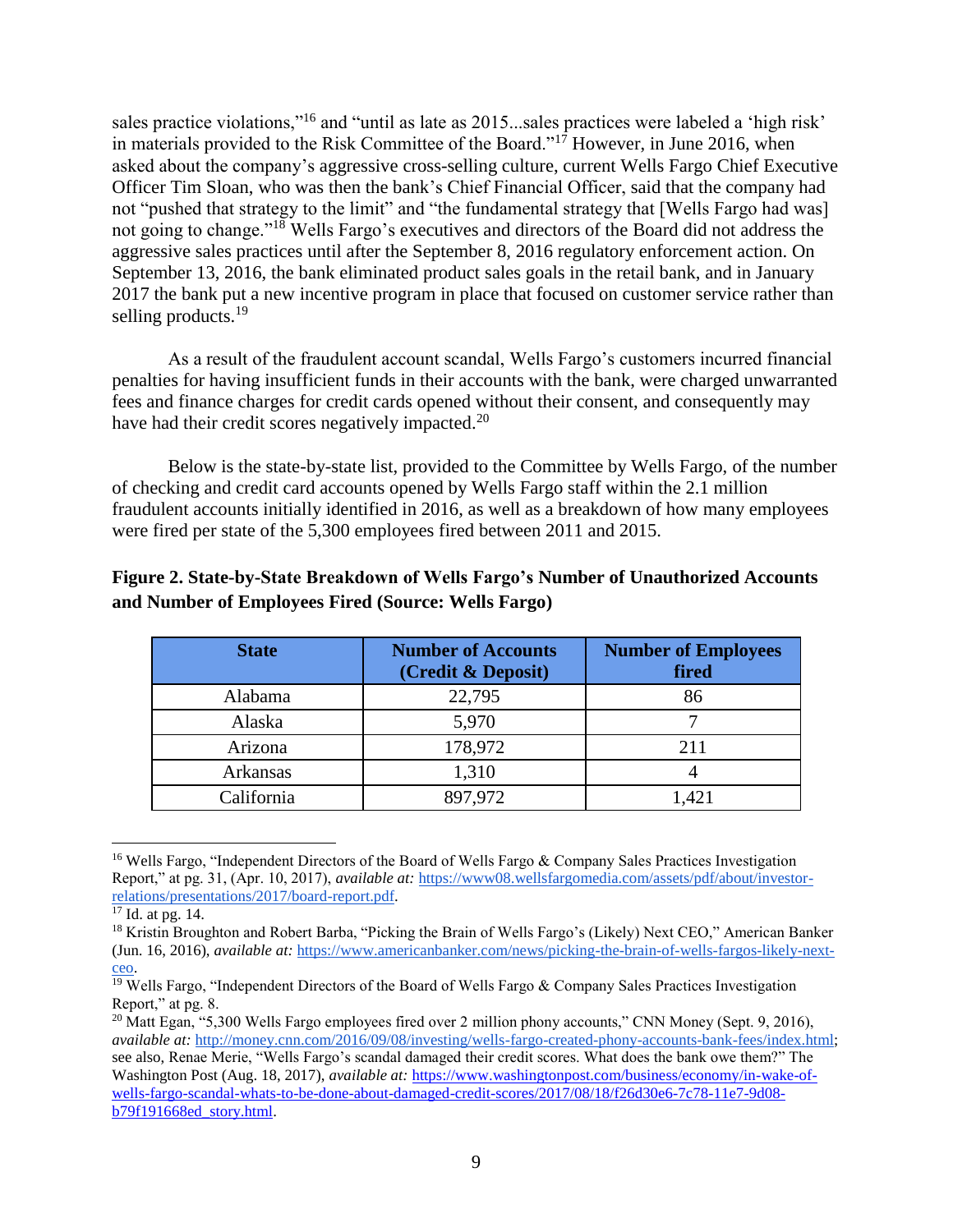consent order with the OCC, the bank also agreed to take certain remedial steps to address its sales practices that were deemed unsafe or unsound business practices by the agency, and pay an additional \$35 million civil money penalty to the OCCWells Fargo agreed to another \$50 million in penalties as settlement to its lawsuit with the LACA.

, Q: H O O V Malicul 20R7 annual public SEC filing the bank warned investat its original estimate of the number of accounts opened during the fraudulent account scandal period may have been low, and recently, Wells Fargo disclosed that aptirity dreview of Wells ) DUJR¶V EXVLQHVV UHFRUGV LQGLFDWHV WK6B.WmNWoKH QXPEH from the period of January 2009 to September 2016.

:HOOV) DUJR¶V IUDXGXOHQW DFFRXQW<sup>4</sup> SKUHDFTWR**PFSHDVQ**NEHNJ WURXEOLQJ VDOHV SUDVEHNOLOFLHOVJ'D DUOHG/XNOKWH FRIF SFOURR\MH PLVF from them were sanctioned, and even encouraged, by-leweet management within the FRPSDQ\ 3HU :HOOV )DUJR¶V RZQ UHFRUGV LWV HPSOR\HH FKHFNLQJ DFFRXQWV WR PHHW VDOHV JRDOV iz@NQG WKHQ W DFFRXQWV WR IXQG WKH XQDXWKRUL]HG RQHV )XUWKHUPR credit card accounts \ 3 X W L O L ] L Q J D E D Q N G D W D E D V H W R L G H Q W L I \ approved for credit cards, then ordered cards without asking them

*SFFRUGLQJ WR DQ LQWHUQDO LQYHVWLJDWLRQ SHUIRU* RI WKH %RDUG 3>L@Q WKH & RPPXQLW\%DQN >:HOOV)

 $12$  3UHVV 5HOHDVH /RV \$QJHOHV &LW\ \$WWRUQH\  $3/RV$  \$QJHOHV &LW\ \$V Consumer Action Against Wells Fargo; Bank to Make Restitution to Customers, Payil\$50 in Penalies;

8QSUHFHGHQWHG & RRUGLQDWLRQ ZLWK ) HGHUDO 58, 2016, DVallable V WR % HC at: http://www.lacityattorney.org/singlpost/2016/09/08/LoAngelesCity-Attorney-Mike-FeuerAchieves

Historic-Resultin-ConsumerAction-AgainstWells-FargoBankto-Make-Restitutionto-CustomersPay50-

million-in-PenaltiesUnprecedente@oordinationwith-FederalRequlatorsto-BenefitConsumersNationwid&

2016), available at http://www.lacityattorney.org/singlpost/2016/09/08/LosngelesCity-Attorney-Mike-Feuer AchievesHistoric-Resultin-ConsumerAction-AgainstWells-FargoBankto-Make-Restitutionto-CustomersPay-

50-million-in-PenaltiesUnprecedente@oordinationwith-FederalRegulatorsto-Benefit-ConsumersNationwide

is being sued by its shareholders for misleading them about the severity of the account scandal, and in its most recent quarterly filing with the SEC, the bank disclosed that its review of the expanded fraudulent account timeline 3PD\OHDG WRLQQFWLHQNHLFLQQWWKH LGHQWLILHG QXPEHU RI SRWHQWLDOO estimated at 3.5 million. The OCC also removed the lead examiner responsible for overseeing Wells Fargo from his position at the agency.

<sup>&</sup>lt;sup>11</sup> Press Release, Office oW KH & RPS WUROOHU RI WKH & XUUHQF\ 32&& \$VVHVVHV 3 H 5 H V W L W X W L R Q I R U 8 Q V D I H R U 8 Q V R XAQil ADIO AD Out bbs V/w 3 w U DOE. We as Fold Whe ws 6 H S W issuances/newseleases/2016/rocc-2016106.htmhttps://www.occ.treas.gov/newssuances/news releases/2016/rocc-2016-106.html

 $13/DXUD$  -  $HOOHU$   $3:HOO$   $\mathcal{G}$   $\mathcal{G}$  F) EDRUXUR W% (RARW LVP VD WDHN H W<sub>R</sub> PLOOLRQ ' %ORR available at https://www.bloomberg.com/news/articles/2008-31/wellsfargo-increasesake-accountestimate

<sup>67-</sup>to-3-5-million; Kartikay Mehrotra and Laud - . HOOHU 3: HOOV ) DUJR¶V ) DNH \$FFRXQWV \* 6 X L W ' % O R R P E H U available at: https://www.bloomberg.com/news/articles/2005-12/wells-fargobogusaccountestimatein-suit-growsto-3-5-million.

<sup>&</sup>lt;sup>14</sup> 'DZQ \*LHO 3:HOOV ) DUJR IDNH DFFRXQW VFDQGDO PD availableEdt:JJHU WKD http://www.cnbc.com/2017/05/12/welfargo-fake-accountscandalmay-be-bigger-than-thought.html

<sup>6</sup> FRWW 5 H FNDUG <sup>3</sup>: HOOKGEY SANDS LOUTER CONSERVATION FARWHW / / RV \$ Q J H O H V 7 L P H V  $15($ 21, 2013) available at:http://www.latimes.com/business/liawells-fargo-salepressure 0131222story.html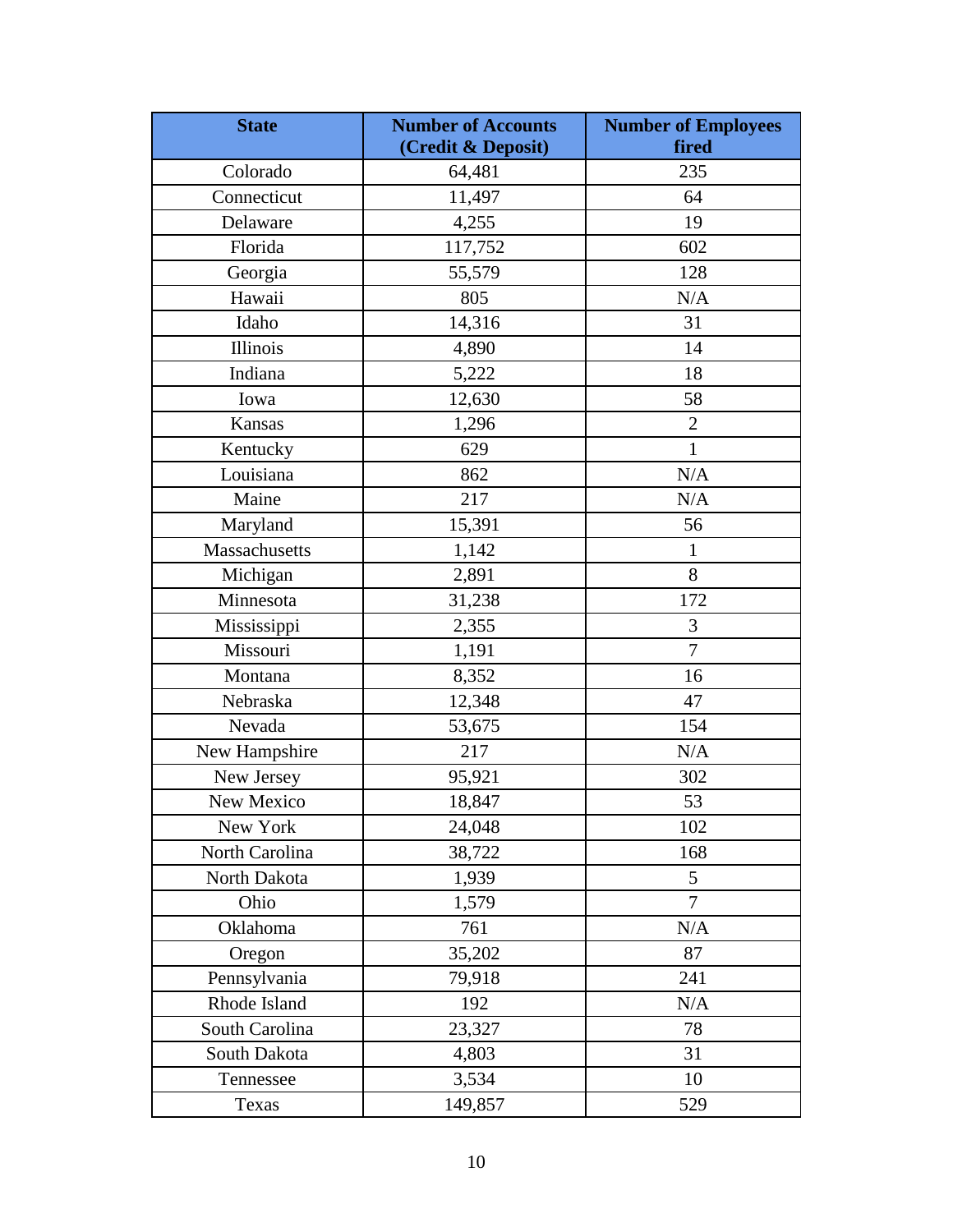## **Executive Summary**

2Q 6HSWHPEHU WKH & RQVXPHU ) LQDQFLDO 3URW DQQRXQFHG D PLOOLRQ ILQH DJDLQVW :HOOV )DUJR %D RSHQLQJ PLOOLRQV RI IUDXGXOHQW FUHGLW FDUG DQG GH their knowledge or consent. The Office of the Comptroller of the Cul U H Q F \  $3288'$  $D$  $O$  $Q$  $R$  $X$ a \$35 million civil penalty and the Office of the Los Angeles City Attorney / \$ & \$ announced a \$50 million civil penalty against the bank for the same we acts The combination of a toxic, highressure sales environment Meells Fargo along with misconduct sanctioned, and even encouraged, by its executives ulted in widespread consumer harm. Unfortunately, the fraudulent sales practices were not an isolated incident and has relation revealed to be just one scandal in a series of revelations of other illicit customer abuses that have occurred at the bank.

In addition to these fines levied on the bank, Wells Fargo has paid out billions of dollars for a disturbingly consistent attern of other wrongdoing. These practices, discussed in Section I, include illegal student loan servicing practices, inappropriate checking account overdraft fees, and unlawful mortgage lending practices, such as overcharging veteraetinfamce loans There are also allegatiotheat the bank hasngagedn unlawful practices that avenot yet been subject to fines and enforcement actions, including enrolling customers in life insurance policies without their consent delaying mortgage closing date QuW LO DIWHU WKH HISLUDWLR interest rate lock to levy additional feesnd charging over 570,000 customers for auto insurance policies they did not need, which resulted in at least 20,000 customers, including active duty service members, hagitheirvehicles inappropriately repossessed

When megabanks like Wells Fargo engage in repeated, intentional, regular, deliberate, or institutionalized misconductby violating laws and regulations that cause widespread and significantharm to innocencustomerssuch conductvariants WKH XVH RI UHJXODWRUV enforcement tools to protect the interest of the publice ansulate the integrity of he U.S. banking system.

As Section II of this report describes, fleeleral prudential baint gregulators +the WKH %RDUG RI \*RYHUQRUV RI WKH )HGHUDO 5HVHUYH  $288$ Federal Deposit IN X U D Q F H & R U S R U D & WHEN THE THOMAGEMENT AND IS beyond civil money

million-widespreadllegal-practicesecretlyopeningunauthorizedaccounts/ <sup>2</sup>https://www.occ.gov/newissuances/newiseleases/2016/rucc-2016106.html

3 http://www.lacityattorney.org/allegatioragainstwells-fargo

<sup>&</sup>lt;sup>1</sup> & RQVXPHU ) LQDQFLDO 3URWHFWLRQ %XUHDX 3& RQVXPHU ) LQDQFLDO 3 IRU :LGHVSUHDG, OOHJDO 3UDFWLFH RI 6HFUHWO\av2aiBableQaLQJ 8QDXWKRUI https://www.consumerfinance.gov/abaut/newsroom/consumdinancial-protectionbureaufines-wells-fargo-100-

http://money.cnn.com/2016/12/12/investing/websgo-insurancescandabrudential/index.html

<sup>5-</sup>HVVH (LVLQJHU 3:HOOV) DUJR 3ODFARVFN \$HKI[HRERTARKORLLUZAH(DeNS.122,\$PLG 5DWH 2017), available at: https://www.propublicarg/article/wellsfargo-placesla-execon-leaveamid-ratelock-feeinguiry.

<sup>6 \*</sup> UHW FKHQ 0RUJHQVRQ 3:HOOV ) DUJR ) RUFHG NEQ YODAQTWME \$GUJ\$ XZVVR , QVXUD 2017), available at:https://www.nytimes.com/2017/07/27/business/wfallsgo-unwantedautoinsurance.html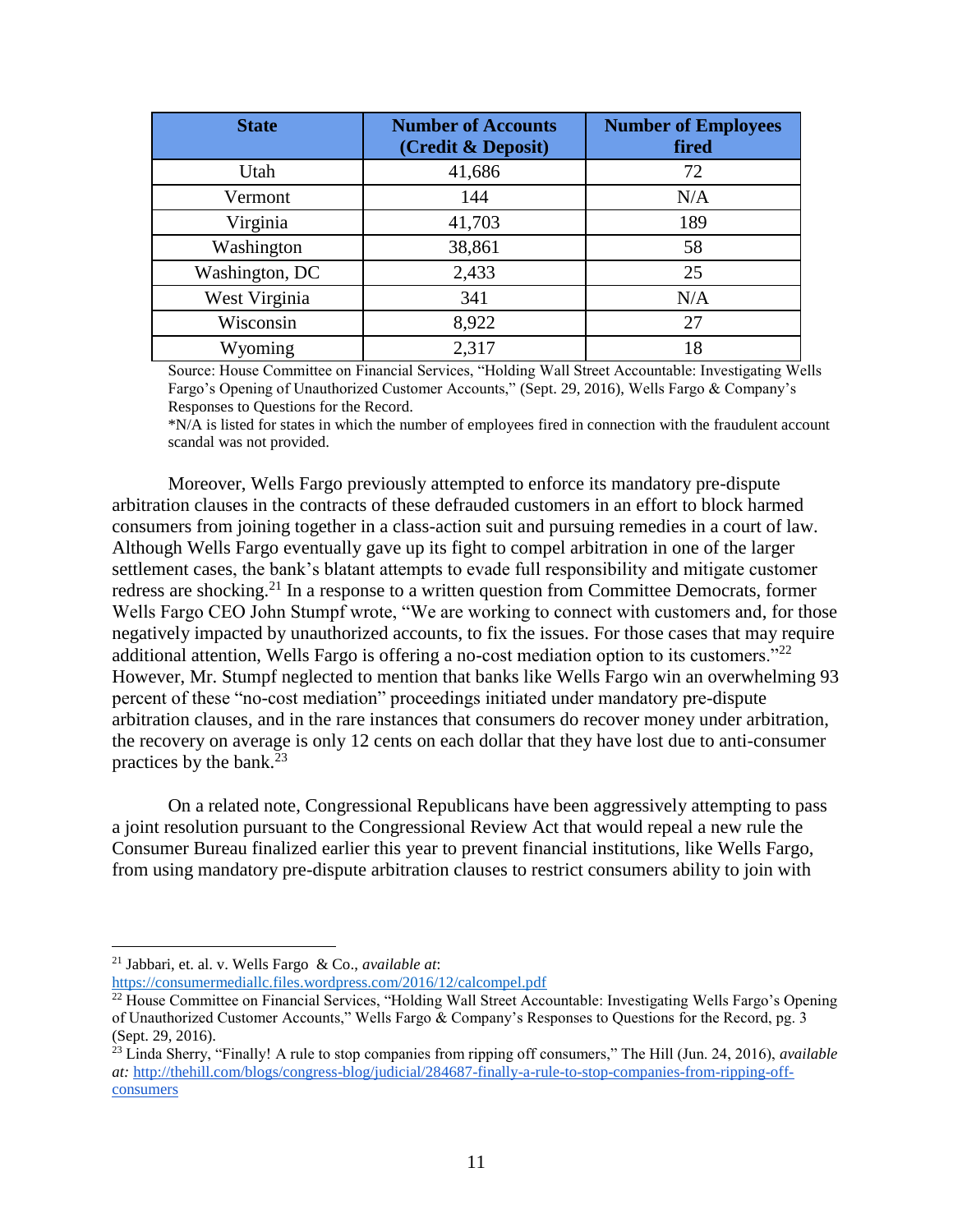| <b>State</b>   | <b>Number of Accounts</b><br>(Credit & Deposit) | <b>Number of</b><br><b>Employees</b> )ired |
|----------------|-------------------------------------------------|--------------------------------------------|
| Utah           | 41,686                                          | 72                                         |
| Vermont        | 144                                             | N/A                                        |
| Virginia       | 41,703                                          | 189                                        |
| Washington     | 38,861                                          | 58                                         |
| Washington, DC | 2,433                                           | 25                                         |
| West Virginia  | 341                                             | N/A                                        |
| Wisconsin      | 8,922                                           | 27                                         |
| Wyoming        | 2,317                                           | 18                                         |

Source: House Committee on Financial Services, "Holding Wall Street Accountable: Investigating Wells Fargo's Opening of Unauthorized Customer Accounts," (Sept. 29, 2016), Wells Fargo & Company's Responses to Questions for the Record.

\*N/A is listed for states in which the number of employees fired in connection with the fraudulent account scandal was not provided.

Moreover, Wells Fargo previously attempted to enforce its mandatory pre-dispute arbitration clauses in the contracts of these defrauded customers in an effort to block harmed consumers from joining together in a class-action suit and pursuing remedies in a court of law. Although Wells Fargo eventually gave up its fight to compel arbitration in one of the larger settlement cases, the bank's blatant attempts to evade full responsibility and mitigate customer redress are shocking.<sup>21</sup> In a response to a written question from Committee Democrats, former Wells Fargo CEO John Stumpf wrote, "We are working to connect with customers and, for those negatively impacted by unauthorized accounts, to fix the issues. For those cases that may require additional attention, Wells Fargo is offering a no-cost mediation option to its customers.<sup>"22</sup> However, Mr. Stumpf neglected to mention that banks like Wells Fargo win an overwhelming 93 percent of these "no-cost mediation" proceedings initiated under mandatory pre-dispute arbitration clauses, and in the rare instances that consumers do recover money under arbitration, the recovery on average is only 12 cents on each dollar that they have lost due to anti-consumer practices by the bank. $^{23}$ 

On a related note, Congressional Republicans have been aggressively attempting to pass a joint resolution pursuant to the Congressional Review Act that would repeal a new rule the Consumer Bureau finalized earlier this year to prevent financial institutions, like Wells Fargo, from using mandatory pre-dispute arbitration clauses to restrict consumers ability to join with

<sup>21</sup> Jabbari, et. al. v. Wells Fargo & Co., *available at*: <https://consumermediallc.files.wordpress.com/2016/12/calcompel.pdf>

<sup>22</sup> House Committee on Financial Services, "Holding Wall Street Accountable: Investigating Wells Fargo's Opening of Unauthorized Customer Accounts," Wells Fargo & Company's Responses to Questions for the Record, pg. 3 (Sept. 29, 2016).

<sup>23</sup> Linda Sherry, "Finally! A rule to stop companies from ripping off consumers," The Hill (Jun. 24, 2016), *available at:* [http://thehill.com/blogs/congress-blog/judicial/284687-finally-a-rule-to-stop-companies-from-ripping-off](http://thehill.com/blogs/congress-blog/judicial/284687-finally-a-rule-to-stop-companies-from-ripping-off-consumers)[consumers](http://thehill.com/blogs/congress-blog/judicial/284687-finally-a-rule-to-stop-companies-from-ripping-off-consumers)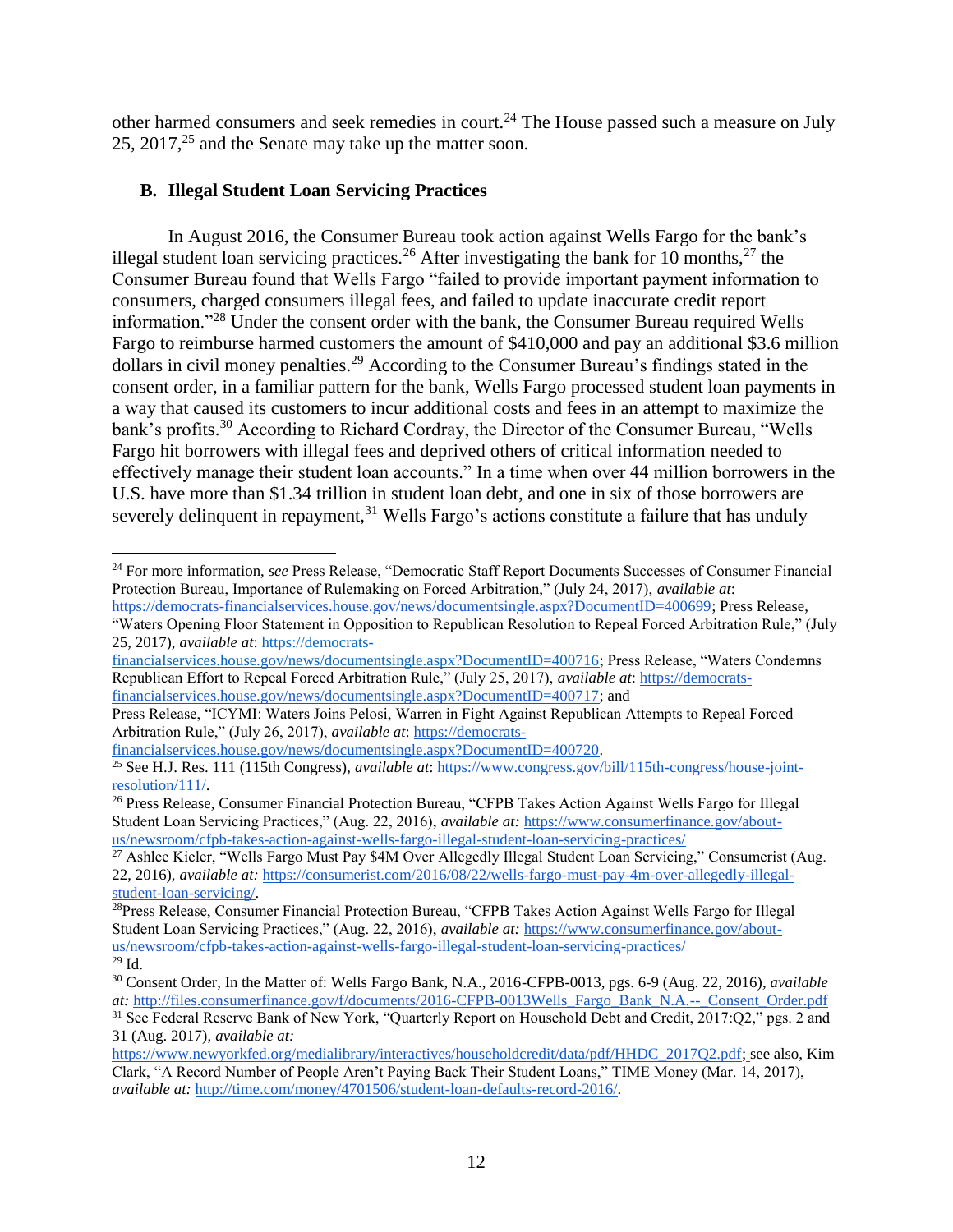other harmed consumers and seek remedies in court.<sup>24</sup> The House passed such a measure on July 25, 2017, $^{25}$  and the Senate may take up the matter soon.

## <span id="page-11-0"></span>**B. Illegal Student Loan Servicing Practices**

 $\overline{a}$ 

In August 2016, the Consumer Bureau took action against Wells Fargo for the bank's illegal student loan servicing practices.<sup>26</sup> After investigating the bank for 10 months,<sup>27</sup> the Consumer Bureau found that Wells Fargo "failed to provide important payment information to consumers, charged consumers illegal fees, and failed to update inaccurate credit report information."<sup>28</sup> Under the consent order with the bank, the Consumer Bureau required Wells Fargo to reimburse harmed customers the amount of \$410,000 and pay an additional \$3.6 million dollars in civil money penalties.<sup>29</sup> According to the Consumer Bureau's findings stated in the consent order, in a familiar pattern for the bank, Wells Fargo processed student loan payments in a way that caused its customers to incur additional costs and fees in an attempt to maximize the bank's profits.<sup>30</sup> According to Richard Cordray, the Director of the Consumer Bureau, "Wells" Fargo hit borrowers with illegal fees and deprived others of critical information needed to effectively manage their student loan accounts." In a time when over 44 million borrowers in the U.S. have more than \$1.34 trillion in student loan debt, and one in six of those borrowers are severely delinquent in repayment,<sup>31</sup> Wells Fargo's actions constitute a failure that has unduly

<sup>24</sup> For more information, *see* Press Release, "Democratic Staff Report Documents Successes of Consumer Financial Protection Bureau, Importance of Rulemaking on Forced Arbitration," (July 24, 2017), *available at*: [https://democrats-financialservices.house.gov/news/documentsingle.aspx?DocumentID=400699;](https://democrats-financialservices.house.gov/news/documentsingle.aspx?DocumentID=400699) Press Release,

<sup>&</sup>quot;Waters Opening Floor Statement in Opposition to Republican Resolution to Repeal Forced Arbitration Rule," (July 25, 2017), *available at*: [https://democrats-](https://democrats-financialservices.house.gov/news/documentsingle.aspx?DocumentID=400716)

[financialservices.house.gov/news/documentsingle.aspx?DocumentID=400716;](https://democrats-financialservices.house.gov/news/documentsingle.aspx?DocumentID=400716) Press Release, "Waters Condemns Republican Effort to Repeal Forced Arbitration Rule," (July 25, 2017), *available at*: [https://democrats](https://democrats-financialservices.house.gov/news/documentsingle.aspx?DocumentID=400717)[financialservices.house.gov/news/documentsingle.aspx?DocumentID=400717;](https://democrats-financialservices.house.gov/news/documentsingle.aspx?DocumentID=400717) and

Press Release, "ICYMI: Waters Joins Pelosi, Warren in Fight Against Republican Attempts to Repeal Forced Arbitration Rule," (July 26, 2017), *available at*: [https://democrats-](https://democrats-financialservices.house.gov/news/documentsingle.aspx?DocumentID=400720)

[financialservices.house.gov/news/documentsingle.aspx?DocumentID=400720.](https://democrats-financialservices.house.gov/news/documentsingle.aspx?DocumentID=400720)

<sup>25</sup> See H.J. Res. 111 (115th Congress), *available at*: [https://www.congress.gov/bill/115th-congress/house-joint](https://www.congress.gov/bill/115th-congress/house-joint-resolution/111/)[resolution/111/.](https://www.congress.gov/bill/115th-congress/house-joint-resolution/111/)

<sup>&</sup>lt;sup>26</sup> Press Release, Consumer Financial Protection Bureau, "CFPB Takes Action Against Wells Fargo for Illegal Student Loan Servicing Practices," (Aug. 22, 2016), *available at:* [https://www.consumerfinance.gov/about](https://www.consumerfinance.gov/about-us/newsroom/cfpb-takes-action-against-wells-fargo-illegal-student-loan-servicing-practices/)[us/newsroom/cfpb-takes-action-against-wells-fargo-illegal-student-loan-servicing-practices/](https://www.consumerfinance.gov/about-us/newsroom/cfpb-takes-action-against-wells-fargo-illegal-student-loan-servicing-practices/)

<sup>&</sup>lt;sup>27</sup> Ashlee Kieler, "Wells Fargo Must Pay \$4M Over Allegedly Illegal Student Loan Servicing," Consumerist (Aug. 22, 2016), *available at:* [https://consumerist.com/2016/08/22/wells-fargo-must-pay-4m-over-allegedly-illegal](https://consumerist.com/2016/08/22/wells-fargo-must-pay-4m-over-allegedly-illegal-student-loan-servicing/)[student-loan-servicing/.](https://consumerist.com/2016/08/22/wells-fargo-must-pay-4m-over-allegedly-illegal-student-loan-servicing/)

<sup>&</sup>lt;sup>28</sup>Press Release, Consumer Financial Protection Bureau, "CFPB Takes Action Against Wells Fargo for Illegal Student Loan Servicing Practices," (Aug. 22, 2016), *available at:* [https://www.consumerfinance.gov/about](https://www.consumerfinance.gov/about-us/newsroom/cfpb-takes-action-against-wells-fargo-illegal-student-loan-servicing-practices/)[us/newsroom/cfpb-takes-action-against-wells-fargo-illegal-student-loan-servicing-practices/](https://www.consumerfinance.gov/about-us/newsroom/cfpb-takes-action-against-wells-fargo-illegal-student-loan-servicing-practices/)  $29$  Id.

<sup>30</sup> Consent Order, In the Matter of: Wells Fargo Bank, N.A., 2016-CFPB-0013, pgs. 6-9 (Aug. 22, 2016), *available at:* [http://files.consumerfinance.gov/f/documents/2016-CFPB-0013Wells\\_Fargo\\_Bank\\_N.A.--\\_Consent\\_Order.pdf](http://files.consumerfinance.gov/f/documents/2016-CFPB-0013Wells_Fargo_Bank_N.A.--_Consent_Order.pdf)

<sup>31</sup> See Federal Reserve Bank of New York, "Quarterly Report on Household Debt and Credit, 2017:Q2," pgs. 2 and 31 (Aug. 2017), *available at:* 

[https://www.newyorkfed.org/medialibrary/interactives/householdcredit/data/pdf/HHDC\\_2017Q2.pdf](https://www.newyorkfed.org/medialibrary/interactives/householdcredit/data/pdf/HHDC_2017Q2.pdf)[;](https://studentloanhero.com/student-loan-debt-statistics/) see also, Kim Clark, "A Record Number of People Aren't Paying Back Their Student Loans," TIME Money (Mar. 14, 2017), *available at:* [http://time.com/money/4701506/student-loan-defaults-record-2016/.](http://time.com/money/4701506/student-loan-defaults-record-2016/)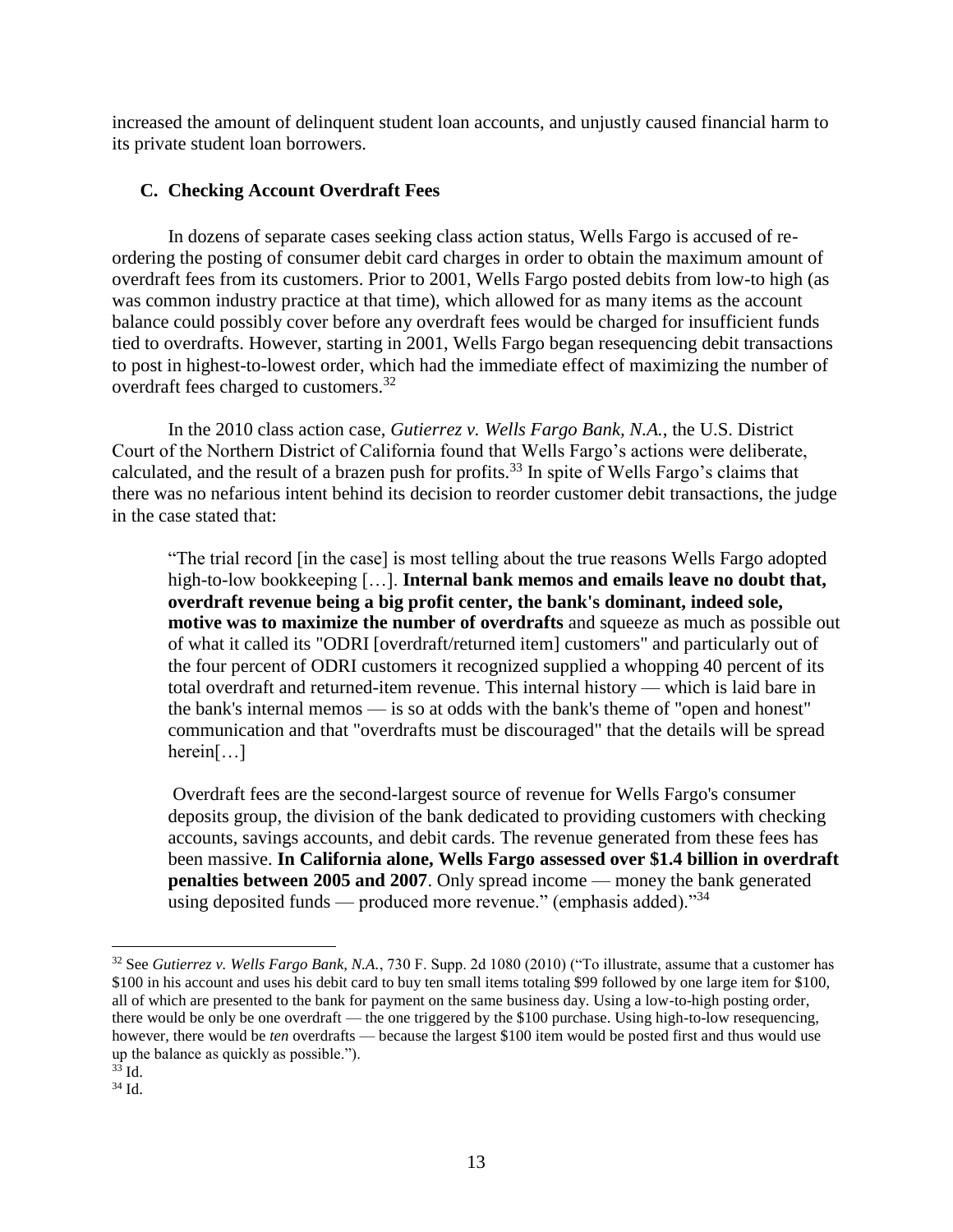increased the amount of delinquent student loan accounts, and unjustly caused financial harm to its private student loan borrowers.

## <span id="page-12-0"></span>**C. Checking Account Overdraft Fees**

In dozens of separate cases seeking class action status, Wells Fargo is accused of reordering the posting of consumer debit card charges in order to obtain the maximum amount of overdraft fees from its customers. Prior to 2001, Wells Fargo posted debits from low-to high (as was common industry practice at that time), which allowed for as many items as the account balance could possibly cover before any overdraft fees would be charged for insufficient funds tied to overdrafts. However, starting in 2001, Wells Fargo began resequencing debit transactions to post in highest-to-lowest order, which had the immediate effect of maximizing the number of overdraft fees charged to customers.<sup>32</sup>

In the 2010 class action case, *Gutierrez v. Wells Fargo Bank, N.A.*, the U.S. District Court of the Northern District of California found that Wells Fargo's actions were deliberate, calculated, and the result of a brazen push for profits.<sup>33</sup> In spite of Wells Fargo's claims that there was no nefarious intent behind its decision to reorder customer debit transactions, the judge in the case stated that:

"The trial record [in the case] is most telling about the true reasons Wells Fargo adopted high-to-low bookkeeping […]. **Internal bank memos and emails leave no doubt that, overdraft revenue being a big profit center, the bank's dominant, indeed sole, motive was to maximize the number of overdrafts** and squeeze as much as possible out of what it called its "ODRI [overdraft/returned item] customers" and particularly out of the four percent of ODRI customers it recognized supplied a whopping 40 percent of its total overdraft and returned-item revenue. This internal history — which is laid bare in the bank's internal memos — is so at odds with the bank's theme of "open and honest" communication and that "overdrafts must be discouraged" that the details will be spread herein[…]

Overdraft fees are the second-largest source of revenue for Wells Fargo's consumer deposits group, the division of the bank dedicated to providing customers with checking accounts, savings accounts, and debit cards. The revenue generated from these fees has been massive. **In California alone, Wells Fargo assessed over \$1.4 billion in overdraft penalties between 2005 and 2007**. Only spread income — money the bank generated using deposited funds — produced more revenue." (emphasis added). $^{334}$ 

<sup>32</sup> See *Gutierrez v. Wells Fargo Bank, N.A.*, 730 F. Supp. 2d 1080 (2010) ("To illustrate, assume that a customer has \$100 in his account and uses his debit card to buy ten small items totaling \$99 followed by one large item for \$100, all of which are presented to the bank for payment on the same business day. Using a low-to-high posting order, there would be only be one overdraft — the one triggered by the \$100 purchase. Using high-to-low resequencing, however, there would be *ten* overdrafts — because the largest \$100 item would be posted first and thus would use up the balance as quickly as possible.").

 $33$  Id.

<sup>34</sup> Id.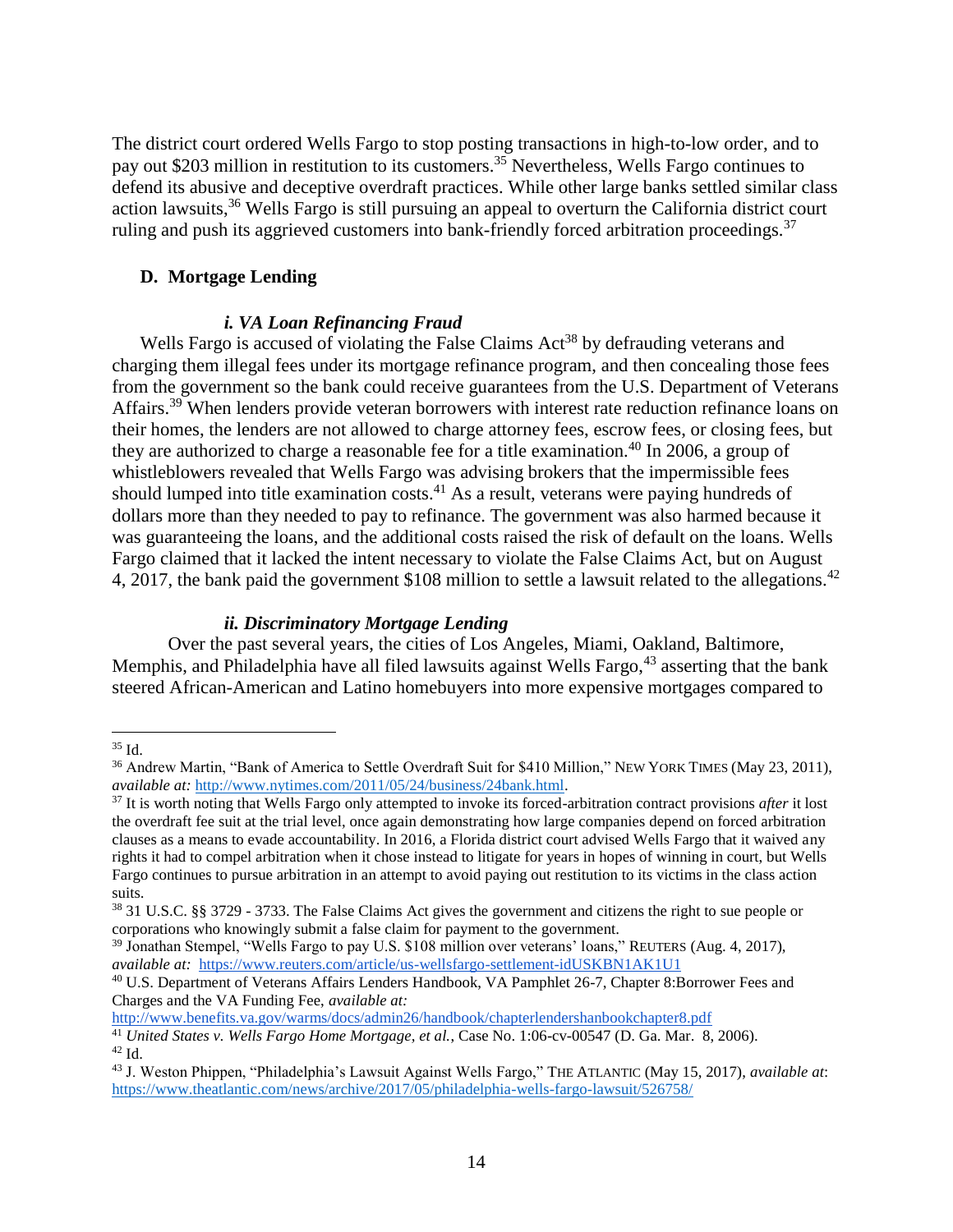The district court ordered Wells Fargo to stop posting transactions in high-to-low order, and to pay out \$203 million in restitution to its customers.<sup>35</sup> Nevertheless, Wells Fargo continues to defend its abusive and deceptive overdraft practices. While other large banks settled similar class action lawsuits,<sup>36</sup> Wells Fargo is still pursuing an appeal to overturn the California district court ruling and push its aggrieved customers into bank-friendly forced arbitration proceedings.<sup>37</sup>

#### <span id="page-13-0"></span>**D. Mortgage Lending**

#### *i. VA Loan Refinancing Fraud*

Wells Fargo is accused of violating the False Claims  $Act^{38}$  by defrauding veterans and charging them illegal fees under its mortgage refinance program, and then concealing those fees from the government so the bank could receive guarantees from the U.S. Department of Veterans Affairs.<sup>39</sup> When lenders provide veteran borrowers with interest rate reduction refinance loans on their homes, the lenders are not allowed to charge attorney fees, escrow fees, or closing fees, but they are authorized to charge a reasonable fee for a title examination.<sup>40</sup> In 2006, a group of whistleblowers revealed that Wells Fargo was advising brokers that the impermissible fees should lumped into title examination costs.<sup>41</sup> As a result, veterans were paying hundreds of dollars more than they needed to pay to refinance. The government was also harmed because it was guaranteeing the loans, and the additional costs raised the risk of default on the loans. Wells Fargo claimed that it lacked the intent necessary to violate the False Claims Act, but on August 4, 2017, the bank paid the government \$108 million to settle a lawsuit related to the allegations.<sup>42</sup>

#### *ii. Discriminatory Mortgage Lending*

Over the past several years, the cities of Los Angeles, Miami, Oakland, Baltimore, Memphis, and Philadelphia have all filed lawsuits against Wells Fargo,<sup>43</sup> asserting that the bank steered African-American and Latino homebuyers into more expensive mortgages compared to

 $\overline{a}$ 

<http://www.benefits.va.gov/warms/docs/admin26/handbook/chapterlendershanbookchapter8.pdf>

 $35$  Id.

<sup>&</sup>lt;sup>36</sup> Andrew Martin, "Bank of America to Settle Overdraft Suit for \$410 Million," NEW YORK TIMES (May 23, 2011), *available at:* [http://www.nytimes.com/2011/05/24/business/24bank.html.](http://www.nytimes.com/2011/05/24/business/24bank.html)

<sup>37</sup> It is worth noting that Wells Fargo only attempted to invoke its forced-arbitration contract provisions *after* it lost the overdraft fee suit at the trial level, once again demonstrating how large companies depend on forced arbitration clauses as a means to evade accountability. In 2016, a Florida district court advised Wells Fargo that it waived any rights it had to compel arbitration when it chose instead to litigate for years in hopes of winning in court, but Wells Fargo continues to pursue arbitration in an attempt to avoid paying out restitution to its victims in the class action suits.

<sup>38</sup> 31 U.S.C. §§ 3729 - 3733. The False Claims Act gives the government and citizens the right to sue people or corporations who knowingly submit a false claim for payment to the government.

<sup>39</sup> Jonathan Stempel, "Wells Fargo to pay U.S. \$108 million over veterans' loans," REUTERS (Aug. 4, 2017), *available at:* <https://www.reuters.com/article/us-wellsfargo-settlement-idUSKBN1AK1U1>

<sup>40</sup> U.S. Department of Veterans Affairs Lenders Handbook, VA Pamphlet 26-7, Chapter 8:Borrower Fees and Charges and the VA Funding Fee, *available at:* 

<sup>41</sup> *United States v. Wells Fargo Home Mortgage, et al.*, Case No. 1:06-cv-00547 (D. Ga. Mar. 8, 2006).  $42$  Id.

<sup>43</sup> J. Weston Phippen, "Philadelphia's Lawsuit Against Wells Fargo," THE ATLANTIC (May 15, 2017), *available at*: <https://www.theatlantic.com/news/archive/2017/05/philadelphia-wells-fargo-lawsuit/526758/>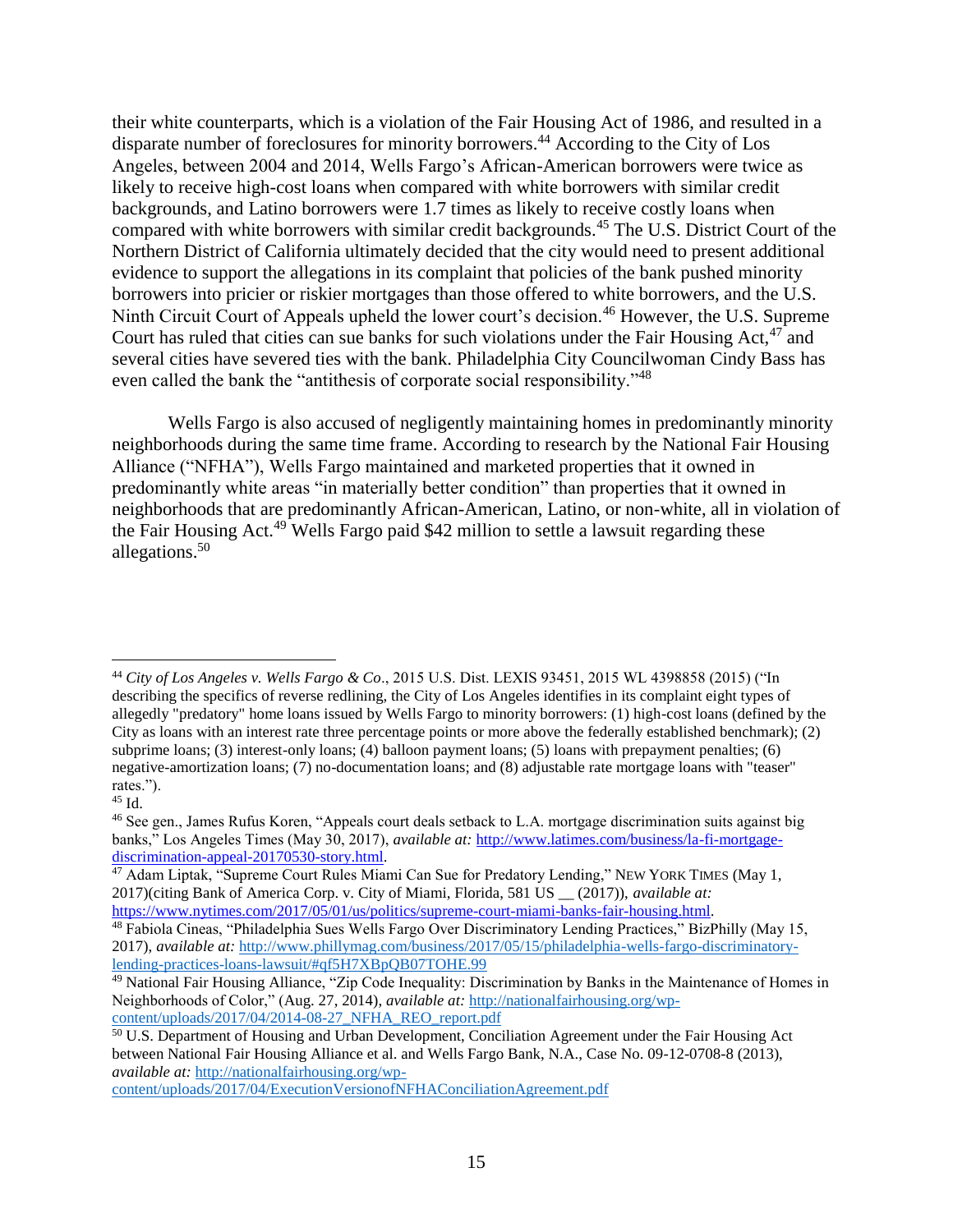their white counterparts, which is a violation of the Fair Housing Act of 1986, and resulted in a disparate number of foreclosures for minority borrowers.<sup>44</sup> According to the City of Los Angeles, between 2004 and 2014, Wells Fargo's African-American borrowers were twice as likely to receive high-cost loans when compared with white borrowers with similar credit backgrounds, and Latino borrowers were 1.7 times as likely to receive costly loans when compared with white borrowers with similar credit backgrounds.<sup>45</sup> The U.S. District Court of the Northern District of California ultimately decided that the city would need to present additional evidence to support the allegations in its complaint that policies of the bank pushed minority borrowers into pricier or riskier mortgages than those offered to white borrowers, and the U.S. Ninth Circuit Court of Appeals upheld the lower court's decision.<sup>46</sup> However, the U.S. Supreme Court has ruled that cities can sue banks for such violations under the Fair Housing Act. $47$  and several cities have severed ties with the bank. Philadelphia City Councilwoman Cindy Bass has even called the bank the "antithesis of corporate social responsibility."<sup>48</sup>

Wells Fargo is also accused of negligently maintaining homes in predominantly minority neighborhoods during the same time frame. According to research by the National Fair Housing Alliance ("NFHA"), Wells Fargo maintained and marketed properties that it owned in predominantly white areas "in materially better condition" than properties that it owned in neighborhoods that are predominantly African-American, Latino, or non-white, all in violation of the Fair Housing Act.<sup>49</sup> Wells Fargo paid \$42 million to settle a lawsuit regarding these allegations.<sup>50</sup>

<sup>44</sup> *City of Los Angeles v. Wells Fargo & Co*., 2015 U.S. Dist. LEXIS 93451, 2015 WL 4398858 (2015) ("In describing the specifics of reverse redlining, the City of Los Angeles identifies in its complaint eight types of allegedly "predatory" home loans issued by Wells Fargo to minority borrowers: (1) high-cost loans (defined by the City as loans with an interest rate three percentage points or more above the federally established benchmark); (2) subprime loans; (3) interest-only loans; (4) balloon payment loans; (5) loans with prepayment penalties; (6) negative-amortization loans; (7) no-documentation loans; and (8) adjustable rate mortgage loans with "teaser" rates.").

<sup>45</sup> Id.

<sup>46</sup> See gen., James Rufus Koren, "Appeals court deals setback to L.A. mortgage discrimination suits against big banks," Los Angeles Times (May 30, 2017), *available at:* [http://www.latimes.com/business/la-fi-mortgage](http://www.latimes.com/business/la-fi-mortgage-discrimination-appeal-20170530-story.html)[discrimination-appeal-20170530-story.html.](http://www.latimes.com/business/la-fi-mortgage-discrimination-appeal-20170530-story.html)

<sup>&</sup>lt;sup>47</sup> Adam Liptak, "Supreme Court Rules Miami Can Sue for Predatory Lending," NEW YORK TIMES (May 1, 2017)(citing Bank of America Corp. v. City of Miami, Florida, 581 US \_\_ (2017)), *available at:* [https://www.nytimes.com/2017/05/01/us/politics/supreme-court-miami-banks-fair-housing.html.](https://www.nytimes.com/2017/05/01/us/politics/supreme-court-miami-banks-fair-housing.html)

<sup>48</sup> Fabiola Cineas, "Philadelphia Sues Wells Fargo Over Discriminatory Lending Practices," BizPhilly (May 15, 2017), *available at:* [http://www.phillymag.com/business/2017/05/15/philadelphia-wells-fargo-discriminatory](http://www.phillymag.com/business/2017/05/15/philadelphia-wells-fargo-discriminatory-lending-practices-loans-lawsuit/#qf5H7XBpQB07TOHE.99)[lending-practices-loans-lawsuit/#qf5H7XBpQB07TOHE.99](http://www.phillymag.com/business/2017/05/15/philadelphia-wells-fargo-discriminatory-lending-practices-loans-lawsuit/#qf5H7XBpQB07TOHE.99)

<sup>49</sup> National Fair Housing Alliance, "Zip Code Inequality: Discrimination by Banks in the Maintenance of Homes in Neighborhoods of Color," (Aug. 27, 2014), *available at:* [http://nationalfairhousing.org/wp](http://nationalfairhousing.org/wp-content/uploads/2017/04/2014-08-27_NFHA_REO_report.pdf)[content/uploads/2017/04/2014-08-27\\_NFHA\\_REO\\_report.pdf](http://nationalfairhousing.org/wp-content/uploads/2017/04/2014-08-27_NFHA_REO_report.pdf)

<sup>&</sup>lt;sup>50</sup> U.S. Department of Housing and Urban Development, Conciliation Agreement under the Fair Housing Act between National Fair Housing Alliance et al. and Wells Fargo Bank, N.A., Case No. 09-12-0708-8 (2013), *available at:* [http://nationalfairhousing.org/wp-](http://nationalfairhousing.org/wp-content/uploads/2017/04/ExecutionVersionofNFHAConciliationAgreement.pdf)

[content/uploads/2017/04/ExecutionVersionofNFHAConciliationAgreement.pdf](http://nationalfairhousing.org/wp-content/uploads/2017/04/ExecutionVersionofNFHAConciliationAgreement.pdf)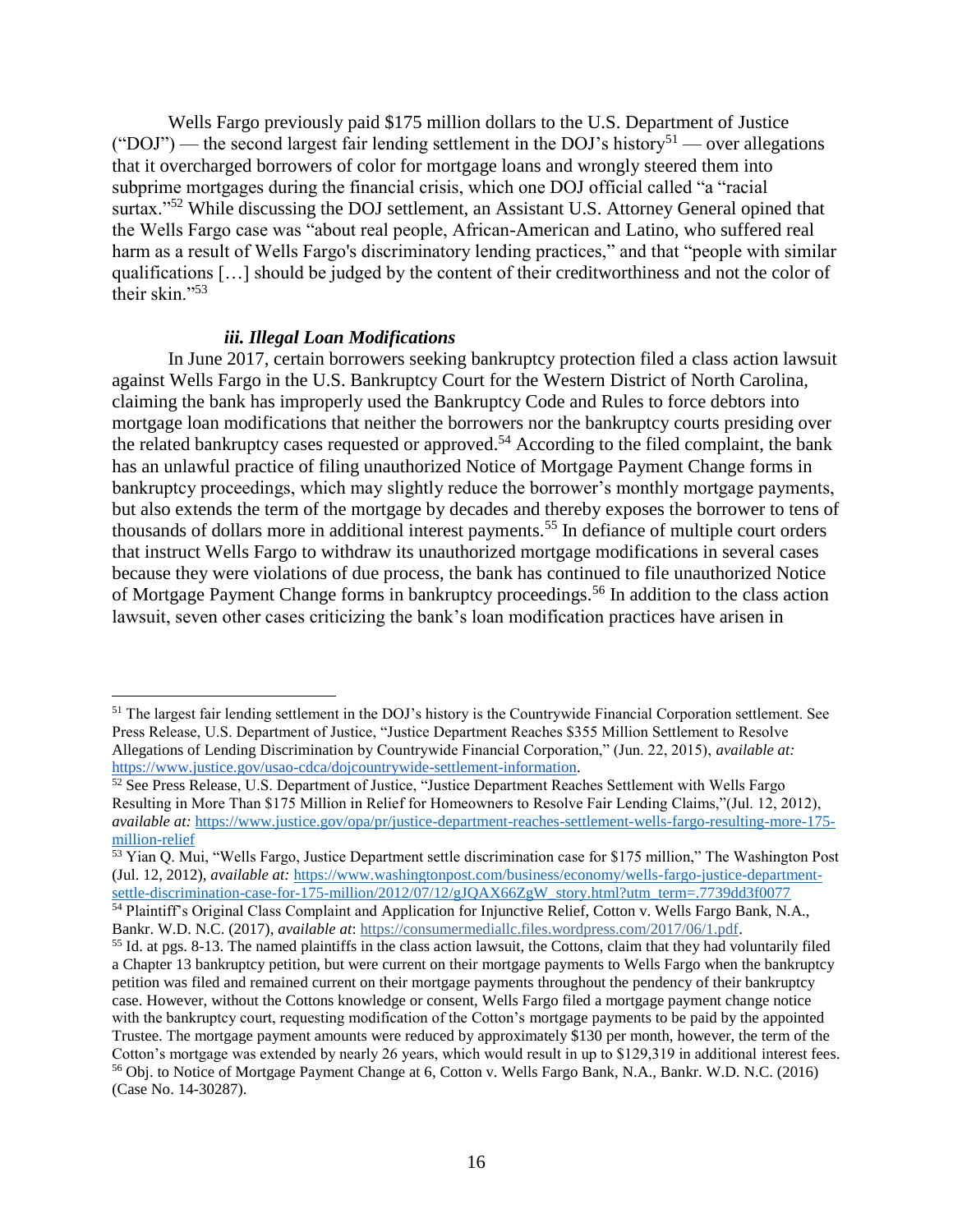Wells Fargo previously paid \$175 million dollars to the U.S. Department of Justice ("DOJ") — the second largest fair lending settlement in the DOJ's history<sup>51</sup> — over allegations that it overcharged borrowers of color for mortgage loans and wrongly steered them into subprime mortgages during the financial crisis, which one DOJ official called "a "racial surtax."<sup>52</sup> While discussing the DOJ settlement, an Assistant U.S. Attorney General opined that the Wells Fargo case was "about real people, African-American and Latino, who suffered real harm as a result of Wells Fargo's discriminatory lending practices," and that "people with similar qualifications […] should be judged by the content of their creditworthiness and not the color of their skin."<sup>53</sup>

#### *iii. Illegal Loan Modifications*

 $\overline{a}$ 

In June 2017, certain borrowers seeking bankruptcy protection filed a class action lawsuit against Wells Fargo in the U.S. Bankruptcy Court for the Western District of North Carolina, claiming the bank has improperly used the Bankruptcy Code and Rules to force debtors into mortgage loan modifications that neither the borrowers nor the bankruptcy courts presiding over the related bankruptcy cases requested or approved.<sup>54</sup> According to the filed complaint, the bank has an unlawful practice of filing unauthorized Notice of Mortgage Payment Change forms in bankruptcy proceedings, which may slightly reduce the borrower's monthly mortgage payments, but also extends the term of the mortgage by decades and thereby exposes the borrower to tens of thousands of dollars more in additional interest payments.<sup>55</sup> In defiance of multiple court orders that instruct Wells Fargo to withdraw its unauthorized mortgage modifications in several cases because they were violations of due process, the bank has continued to file unauthorized Notice of Mortgage Payment Change forms in bankruptcy proceedings.<sup>56</sup> In addition to the class action lawsuit, seven other cases criticizing the bank's loan modification practices have arisen in

<sup>51</sup> The largest fair lending settlement in the DOJ's history is the Countrywide Financial Corporation settlement. See Press Release, U.S. Department of Justice, "Justice Department Reaches \$355 Million Settlement to Resolve Allegations of Lending Discrimination by Countrywide Financial Corporation," (Jun. 22, 2015), *available at:* [https://www.justice.gov/usao-cdca/dojcountrywide-settlement-information.](https://www.justice.gov/usao-cdca/dojcountrywide-settlement-information)

<sup>52</sup> See Press Release, U.S. Department of Justice, "Justice Department Reaches Settlement with Wells Fargo Resulting in More Than \$175 Million in Relief for Homeowners to Resolve Fair Lending Claims,"(Jul. 12, 2012), *available at:* [https://www.justice.gov/opa/pr/justice-department-reaches-settlement-wells-fargo-resulting-more-175](https://www.justice.gov/opa/pr/justice-department-reaches-settlement-wells-fargo-resulting-more-175-million-relief) [million-relief](https://www.justice.gov/opa/pr/justice-department-reaches-settlement-wells-fargo-resulting-more-175-million-relief)

<sup>53</sup> Yian Q. Mui, "Wells Fargo, Justice Department settle discrimination case for \$175 million," The Washington Post (Jul. 12, 2012), *available at:* [https://www.washingtonpost.com/business/economy/wells-fargo-justice-department](https://www.washingtonpost.com/business/economy/wells-fargo-justice-department-settle-discrimination-case-for-175-million/2012/07/12/gJQAX66ZgW_story.html?utm_term=.7739dd3f0077)[settle-discrimination-case-for-175-million/2012/07/12/gJQAX66ZgW\\_story.html?utm\\_term=.7739dd3f0077](https://www.washingtonpost.com/business/economy/wells-fargo-justice-department-settle-discrimination-case-for-175-million/2012/07/12/gJQAX66ZgW_story.html?utm_term=.7739dd3f0077)

<sup>54</sup> Plaintiff's Original Class Complaint and Application for Injunctive Relief, Cotton v. Wells Fargo Bank, N.A., Bankr. W.D. N.C. (2017), *available at*[: https://consumermediallc.files.wordpress.com/2017/06/1.pdf.](https://consumermediallc.files.wordpress.com/2017/06/1.pdf)

<sup>&</sup>lt;sup>55</sup> Id. at pgs. 8-13. The named plaintiffs in the class action lawsuit, the Cottons, claim that they had voluntarily filed a Chapter 13 bankruptcy petition, but were current on their mortgage payments to Wells Fargo when the bankruptcy petition was filed and remained current on their mortgage payments throughout the pendency of their bankruptcy case. However, without the Cottons knowledge or consent, Wells Fargo filed a mortgage payment change notice with the bankruptcy court, requesting modification of the Cotton's mortgage payments to be paid by the appointed Trustee. The mortgage payment amounts were reduced by approximately \$130 per month, however, the term of the Cotton's mortgage was extended by nearly 26 years, which would result in up to \$129,319 in additional interest fees. <sup>56</sup> Obj. to Notice of Mortgage Payment Change at 6, Cotton v. Wells Fargo Bank, N.A., Bankr. W.D. N.C. (2016) (Case No. 14-30287).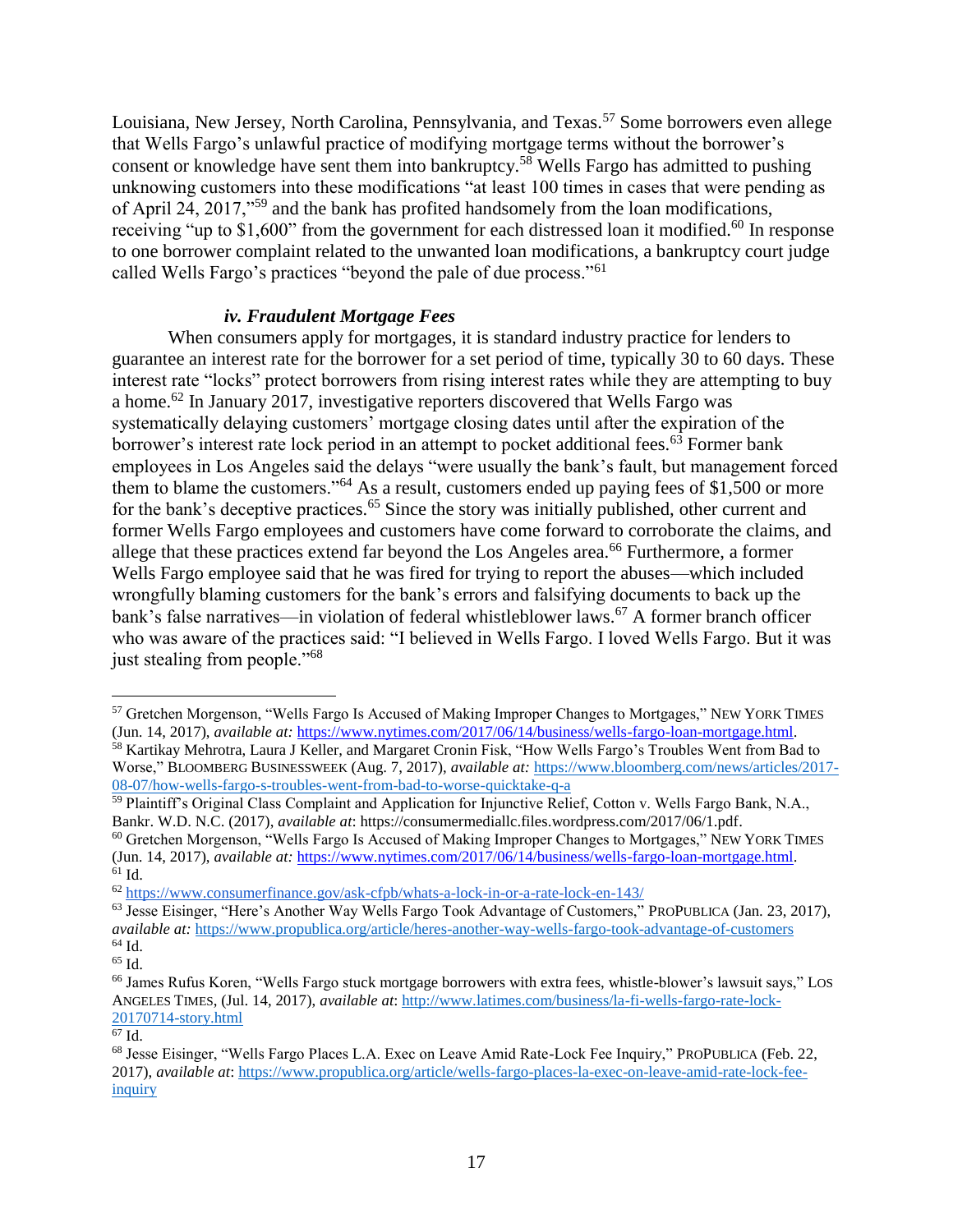Louisiana, New Jersey, North Carolina, Pennsylvania, and Texas.<sup>57</sup> Some borrowers even allege that Wells Fargo's unlawful practice of modifying mortgage terms without the borrower's consent or knowledge have sent them into bankruptcy.<sup>58</sup> Wells Fargo has admitted to pushing unknowing customers into these modifications "at least 100 times in cases that were pending as of April 24, 2017,"<sup>59</sup> and the bank has profited handsomely from the loan modifications, receiving "up to \$1,600" from the government for each distressed loan it modified.<sup>60</sup> In response to one borrower complaint related to the unwanted loan modifications, a bankruptcy court judge called Wells Fargo's practices "beyond the pale of due process."<sup>61</sup>

#### *iv. Fraudulent Mortgage Fees*

When consumers apply for mortgages, it is standard industry practice for lenders to guarantee an interest rate for the borrower for a set period of time, typically 30 to 60 days. These interest rate "locks" protect borrowers from rising interest rates while they are attempting to buy a home.<sup>62</sup> In January 2017, investigative reporters discovered that Wells Fargo was systematically delaying customers' mortgage closing dates until after the expiration of the borrower's interest rate lock period in an attempt to pocket additional fees.<sup>63</sup> Former bank employees in Los Angeles said the delays "were usually the bank's fault, but management forced them to blame the customers."<sup>64</sup> As a result, customers ended up paying fees of \$1,500 or more for the bank's deceptive practices.<sup>65</sup> Since the story was initially published, other current and former Wells Fargo employees and customers have come forward to corroborate the claims, and allege that these practices extend far beyond the Los Angeles area.<sup>66</sup> Furthermore, a former Wells Fargo employee said that he was fired for trying to report the abuses—which included wrongfully blaming customers for the bank's errors and falsifying documents to back up the bank's false narratives—in violation of federal whistleblower laws.<sup>67</sup> A former branch officer who was aware of the practices said: "I believed in Wells Fargo. I loved Wells Fargo. But it was just stealing from people."<sup>68</sup>

<sup>57</sup> Gretchen Morgenson, "Wells Fargo Is Accused of Making Improper Changes to Mortgages," NEW YORK TIMES (Jun. 14, 2017), *available at:* [https://www.nytimes.com/2017/06/14/business/wells-fargo-loan-mortgage.html.](https://www.nytimes.com/2017/06/14/business/wells-fargo-loan-mortgage.html) <sup>58</sup> Kartikay Mehrotra, Laura J Keller, and Margaret Cronin Fisk, "How Wells Fargo's Troubles Went from Bad to Worse," BLOOMBERG BUSINESSWEEK (Aug. 7, 2017), *available at:* [https://www.bloomberg.com/news/articles/2017-](https://www.bloomberg.com/news/articles/2017-08-07/how-wells-fargo-s-troubles-went-from-bad-to-worse-quicktake-q-a) [08-07/how-wells-fargo-s-troubles-went-from-bad-to-worse-quicktake-q-a](https://www.bloomberg.com/news/articles/2017-08-07/how-wells-fargo-s-troubles-went-from-bad-to-worse-quicktake-q-a)

<sup>59</sup> Plaintiff's Original Class Complaint and Application for Injunctive Relief, Cotton v. Wells Fargo Bank, N.A., Bankr. W.D. N.C. (2017), *available at*[: https://consumermediallc.files.wordpress.com/2017/06/1.pdf.](https://consumermediallc.files.wordpress.com/2017/06/1.pdf)

<sup>&</sup>lt;sup>60</sup> Gretchen Morgenson, "Wells Fargo Is Accused of Making Improper Changes to Mortgages," NEW YORK TIMES (Jun. 14, 2017), *available at:* [https://www.nytimes.com/2017/06/14/business/wells-fargo-loan-mortgage.html.](https://www.nytimes.com/2017/06/14/business/wells-fargo-loan-mortgage.html)  $61$  Id.

<sup>62</sup> <https://www.consumerfinance.gov/ask-cfpb/whats-a-lock-in-or-a-rate-lock-en-143/>

<sup>&</sup>lt;sup>63</sup> Jesse Eisinger, "Here's Another Way Wells Fargo Took Advantage of Customers," PROPUBLICA (Jan. 23, 2017), *available at:* <https://www.propublica.org/article/heres-another-way-wells-fargo-took-advantage-of-customers>  $64$  Id.

<sup>65</sup> Id.

<sup>66</sup> James Rufus Koren, "Wells Fargo stuck mortgage borrowers with extra fees, whistle-blower's lawsuit says," LOS ANGELES TIMES, (Jul. 14, 2017), *available at*: [http://www.latimes.com/business/la-fi-wells-fargo-rate-lock-](http://www.latimes.com/business/la-fi-wells-fargo-rate-lock-20170714-story.html)[20170714-story.html](http://www.latimes.com/business/la-fi-wells-fargo-rate-lock-20170714-story.html)

 $\overline{67}$  Id.

<sup>68</sup> Jesse Eisinger, "Wells Fargo Places L.A. Exec on Leave Amid Rate-Lock Fee Inquiry," PROPUBLICA (Feb. 22, 2017), *available at*: [https://www.propublica.org/article/wells-fargo-places-la-exec-on-leave-amid-rate-lock-fee](https://www.propublica.org/article/wells-fargo-places-la-exec-on-leave-amid-rate-lock-fee-inquiry)[inquiry](https://www.propublica.org/article/wells-fargo-places-la-exec-on-leave-amid-rate-lock-fee-inquiry)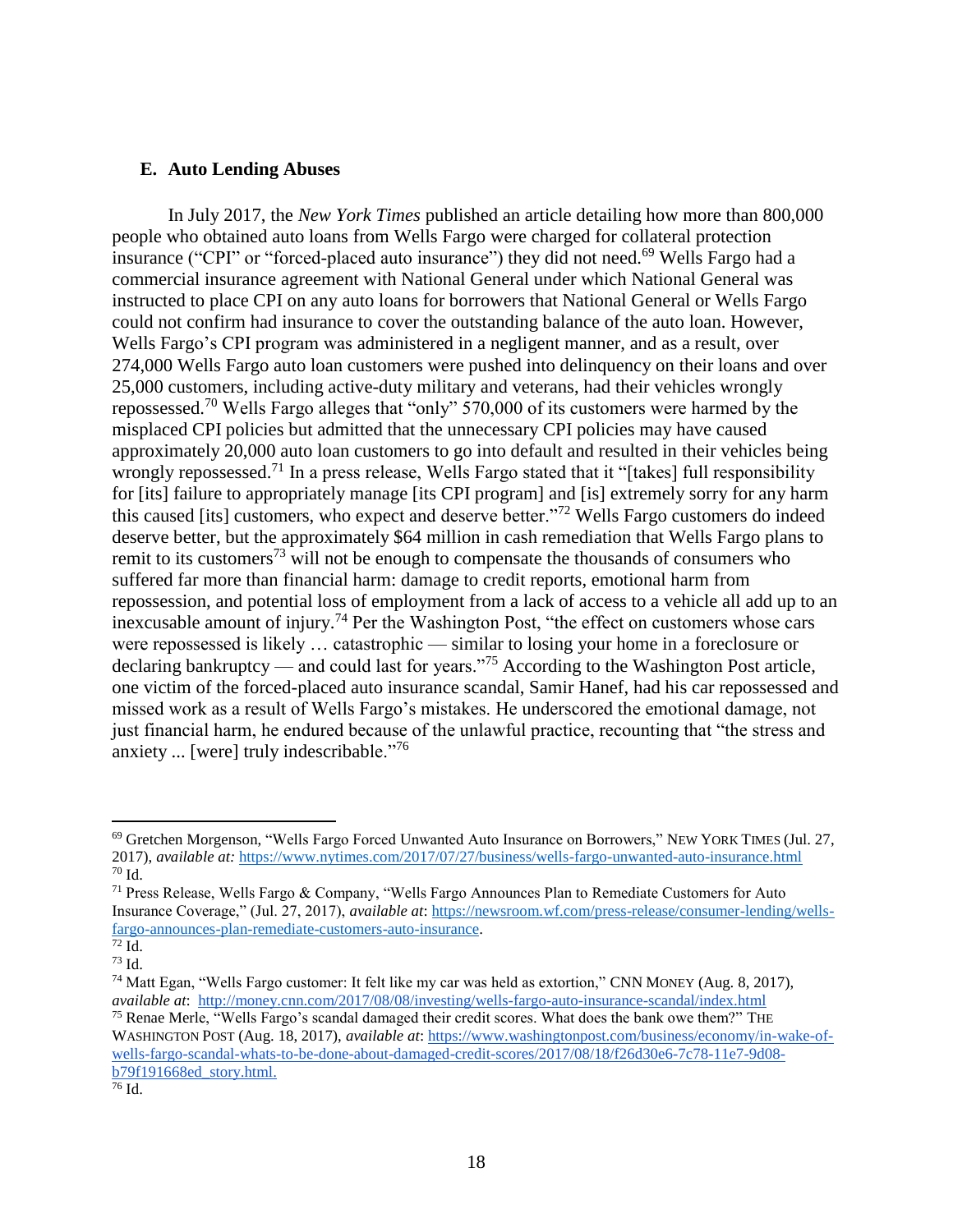#### <span id="page-17-0"></span>**E. Auto Lending Abuses**

In July 2017, the *New York Times* published an article detailing how more than 800,000 people who obtained auto loans from Wells Fargo were charged for collateral protection insurance ("CPI" or "forced-placed auto insurance") they did not need.<sup>69</sup> Wells Fargo had a commercial insurance agreement with National General under which National General was instructed to place CPI on any auto loans for borrowers that National General or Wells Fargo could not confirm had insurance to cover the outstanding balance of the auto loan. However, Wells Fargo's CPI program was administered in a negligent manner, and as a result, over 274,000 Wells Fargo auto loan customers were pushed into delinquency on their loans and over 25,000 customers, including active-duty military and veterans, had their vehicles wrongly repossessed.<sup>70</sup> Wells Fargo alleges that "only" 570,000 of its customers were harmed by the misplaced CPI policies but admitted that the unnecessary CPI policies may have caused approximately 20,000 auto loan customers to go into default and resulted in their vehicles being wrongly repossessed.<sup>71</sup> In a press release, Wells Fargo stated that it "[takes] full responsibility for [its] failure to appropriately manage [its CPI program] and [is] extremely sorry for any harm this caused [its] customers, who expect and deserve better."<sup>72</sup> Wells Fargo customers do indeed deserve better, but the approximately \$64 million in cash remediation that Wells Fargo plans to remit to its customers<sup>73</sup> will not be enough to compensate the thousands of consumers who suffered far more than financial harm: damage to credit reports, emotional harm from repossession, and potential loss of employment from a lack of access to a vehicle all add up to an inexcusable amount of injury.<sup>74</sup> Per the Washington Post, "the effect on customers whose cars were repossessed is likely … catastrophic — similar to losing your home in a foreclosure or declaring bankruptcy — and could last for years."<sup>75</sup> According to the Washington Post article, one victim of the forced-placed auto insurance scandal, Samir Hanef, had his car repossessed and missed work as a result of Wells Fargo's mistakes. He underscored the emotional damage, not just financial harm, he endured because of the unlawful practice, recounting that "the stress and anxiety ... [were] truly indescribable."<sup>76</sup>

 $\overline{a}$ 

<sup>75</sup> Renae Merle, "Wells Fargo's scandal damaged their credit scores. What does the bank owe them?" THE WASHINGTON POST (Aug. 18, 2017), *available at*: [https://www.washingtonpost.com/business/economy/in-wake-of](https://www.washingtonpost.com/business/economy/in-wake-of-wells-fargo-scandal-whats-to-be-done-about-damaged-credit-scores/2017/08/18/f26d30e6-7c78-11e7-9d08-b79f191668ed_story.html?utm_term=.eb3b43e589c3)[wells-fargo-scandal-whats-to-be-done-about-damaged-credit-scores/2017/08/18/f26d30e6-7c78-11e7-9d08](https://www.washingtonpost.com/business/economy/in-wake-of-wells-fargo-scandal-whats-to-be-done-about-damaged-credit-scores/2017/08/18/f26d30e6-7c78-11e7-9d08-b79f191668ed_story.html?utm_term=.eb3b43e589c3) [b79f191668ed\\_story.html.](https://www.washingtonpost.com/business/economy/in-wake-of-wells-fargo-scandal-whats-to-be-done-about-damaged-credit-scores/2017/08/18/f26d30e6-7c78-11e7-9d08-b79f191668ed_story.html?utm_term=.eb3b43e589c3)

<sup>69</sup> Gretchen Morgenson, "Wells Fargo Forced Unwanted Auto Insurance on Borrowers," NEW YORK TIMES (Jul. 27, 2017), *available at:* <https://www.nytimes.com/2017/07/27/business/wells-fargo-unwanted-auto-insurance.html> <sup>70</sup> Id.

<sup>71</sup> Press Release, Wells Fargo & Company, "Wells Fargo Announces Plan to Remediate Customers for Auto Insurance Coverage," (Jul. 27, 2017), *available at*: [https://newsroom.wf.com/press-release/consumer-lending/wells](https://newsroom.wf.com/press-release/consumer-lending/wells-fargo-announces-plan-remediate-customers-auto-insurance)[fargo-announces-plan-remediate-customers-auto-insurance.](https://newsroom.wf.com/press-release/consumer-lending/wells-fargo-announces-plan-remediate-customers-auto-insurance)

 $72$  Id.

<sup>73</sup> Id.

<sup>74</sup> Matt Egan, "Wells Fargo customer: It felt like my car was held as extortion," CNN MONEY (Aug. 8, 2017), *available at*: <http://money.cnn.com/2017/08/08/investing/wells-fargo-auto-insurance-scandal/index.html>

 $\overline{^{76}$  Id.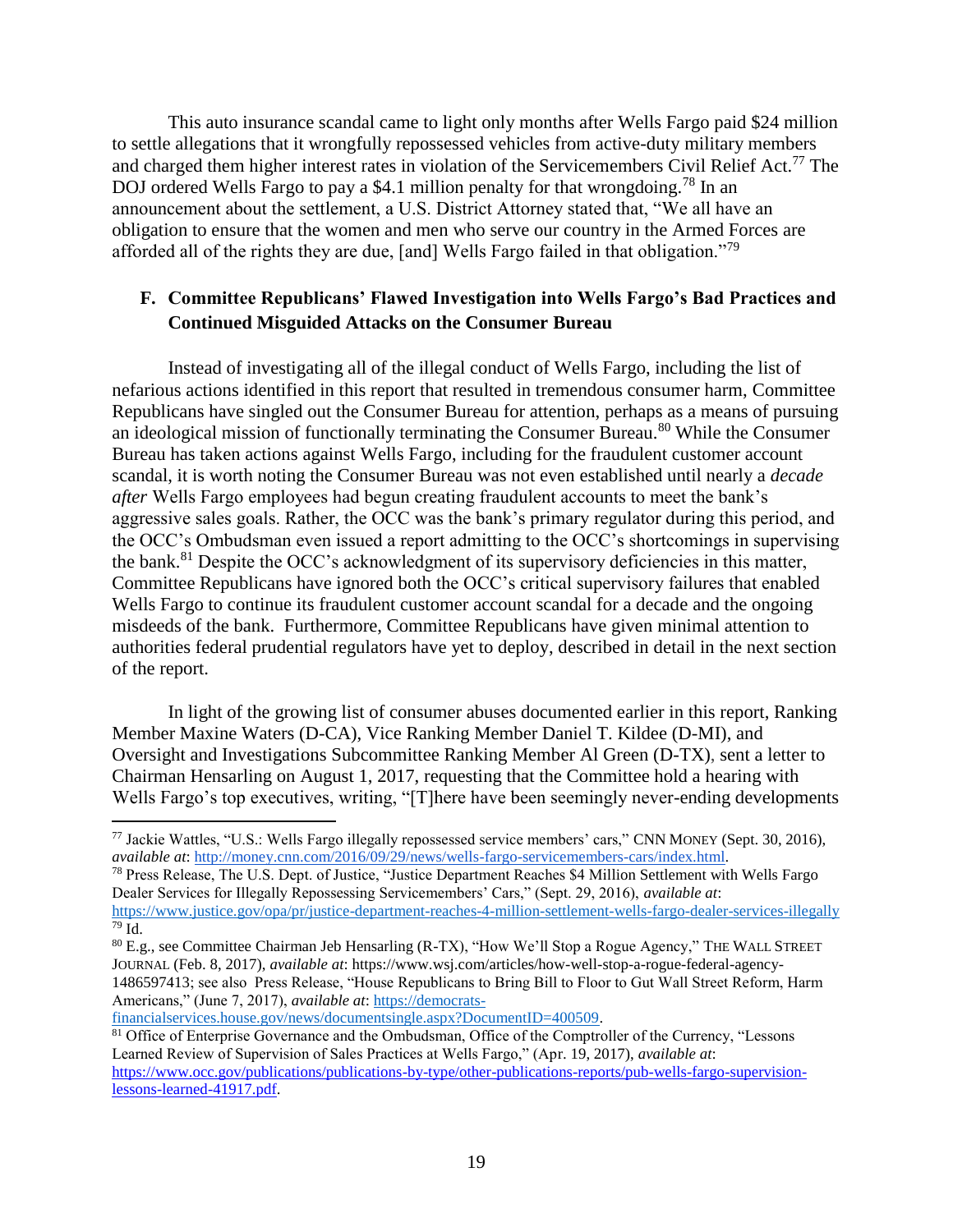This auto insurance scandal came to light only months after Wells Fargo paid \$24 million to settle allegations that it wrongfully repossessed vehicles from active-duty military members and charged them higher interest rates in violation of the Servicemembers Civil Relief Act.<sup>77</sup> The DOJ ordered Wells Fargo to pay a \$4.1 million penalty for that wrongdoing.<sup>78</sup> In an announcement about the settlement, a U.S. District Attorney stated that, "We all have an obligation to ensure that the women and men who serve our country in the Armed Forces are afforded all of the rights they are due, [and] Wells Fargo failed in that obligation."<sup>79</sup>

## <span id="page-18-0"></span>**F. Committee Republicans' Flawed Investigation into Wells Fargo's Bad Practices and Continued Misguided Attacks on the Consumer Bureau**

Instead of investigating all of the illegal conduct of Wells Fargo, including the list of nefarious actions identified in this report that resulted in tremendous consumer harm, Committee Republicans have singled out the Consumer Bureau for attention, perhaps as a means of pursuing an ideological mission of functionally terminating the Consumer Bureau.<sup>80</sup> While the Consumer Bureau has taken actions against Wells Fargo, including for the fraudulent customer account scandal, it is worth noting the Consumer Bureau was not even established until nearly a *decade after* Wells Fargo employees had begun creating fraudulent accounts to meet the bank's aggressive sales goals. Rather, the OCC was the bank's primary regulator during this period, and the OCC's Ombudsman even issued a report admitting to the OCC's shortcomings in supervising the bank.<sup>81</sup> Despite the OCC's acknowledgment of its supervisory deficiencies in this matter, Committee Republicans have ignored both the OCC's critical supervisory failures that enabled Wells Fargo to continue its fraudulent customer account scandal for a decade and the ongoing misdeeds of the bank. Furthermore, Committee Republicans have given minimal attention to authorities federal prudential regulators have yet to deploy, described in detail in the next section of the report.

In light of the growing list of consumer abuses documented earlier in this report, Ranking Member Maxine Waters (D-CA), Vice Ranking Member Daniel T. Kildee (D-MI), and Oversight and Investigations Subcommittee Ranking Member Al Green (D-TX), sent a letter to Chairman Hensarling on August 1, 2017, requesting that the Committee hold a hearing with Wells Fargo's top executives, writing, "[T]here have been seemingly never-ending developments

<sup>78</sup> Press Release, The U.S. Dept. of Justice, "Justice Department Reaches \$4 Million Settlement with Wells Fargo Dealer Services for Illegally Repossessing Servicemembers' Cars," (Sept. 29, 2016), *available at*: <https://www.justice.gov/opa/pr/justice-department-reaches-4-million-settlement-wells-fargo-dealer-services-illegally>  $79$  Id.

[financialservices.house.gov/news/documentsingle.aspx?DocumentID=400509.](https://democrats-financialservices.house.gov/news/documentsingle.aspx?DocumentID=400509)

 $\overline{a}$ 

<sup>81</sup> Office of Enterprise Governance and the Ombudsman, Office of the Comptroller of the Currency, "Lessons" Learned Review of Supervision of Sales Practices at Wells Fargo," (Apr. 19, 2017), *available at*: [https://www.occ.gov/publications/publications-by-type/other-publications-reports/pub-wells-fargo-supervision](https://www.occ.gov/publications/publications-by-type/other-publications-reports/pub-wells-fargo-supervision-lessons-learned-41917.pdf)[lessons-learned-41917.pdf.](https://www.occ.gov/publications/publications-by-type/other-publications-reports/pub-wells-fargo-supervision-lessons-learned-41917.pdf)

<sup>77</sup> Jackie Wattles, "U.S.: Wells Fargo illegally repossessed service members' cars," CNN MONEY (Sept. 30, 2016), *available at*: [http://money.cnn.com/2016/09/29/news/wells-fargo-servicemembers-cars/index.html.](http://money.cnn.com/2016/09/29/news/wells-fargo-servicemembers-cars/index.html)

<sup>&</sup>lt;sup>80</sup> E.g., see Committee Chairman Jeb Hensarling (R-TX), "How We'll Stop a Rogue Agency," THE WALL STREET JOURNAL (Feb. 8, 2017), *available at*: [https://www.wsj.com/articles/how-well-stop-a-rogue-federal-agency-](https://www.wsj.com/articles/how-well-stop-a-rogue-federal-agency-1486597413)[1486597413;](https://www.wsj.com/articles/how-well-stop-a-rogue-federal-agency-1486597413) see also Press Release, "House Republicans to Bring Bill to Floor to Gut Wall Street Reform, Harm Americans," (June 7, 2017), *available at*: [https://democrats-](https://democrats-financialservices.house.gov/news/documentsingle.aspx?DocumentID=400509)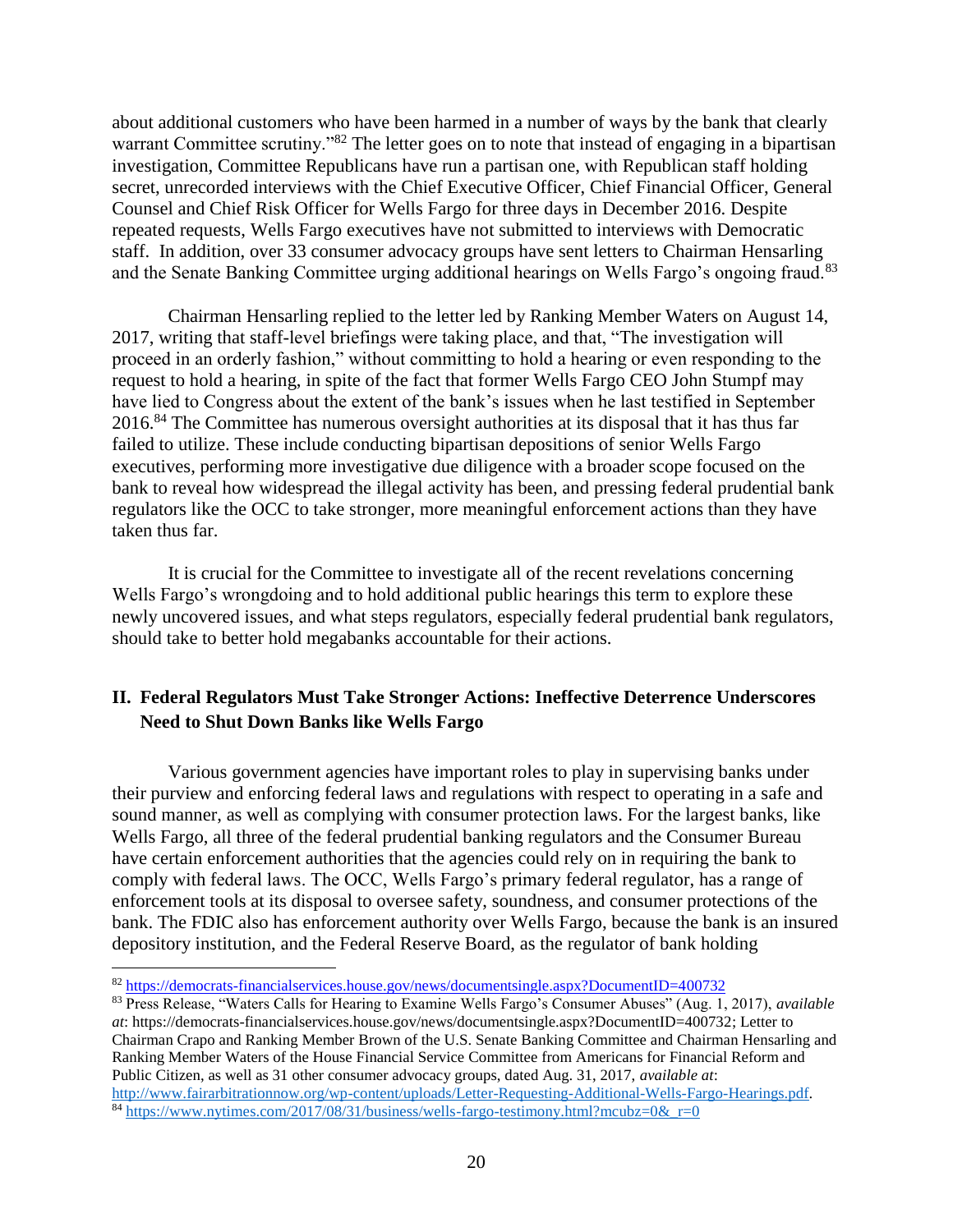about additional customers who have been harmed in a number of ways by the bank that clearly warrant Committee scrutiny."<sup>82</sup> The letter goes on to note that instead of engaging in a bipartisan investigation, Committee Republicans have run a partisan one, with Republican staff holding secret, unrecorded interviews with the Chief Executive Officer, Chief Financial Officer, General Counsel and Chief Risk Officer for Wells Fargo for three days in December 2016. Despite repeated requests, Wells Fargo executives have not submitted to interviews with Democratic staff. In addition, over 33 consumer advocacy groups have sent letters to Chairman Hensarling and the Senate Banking Committee urging additional hearings on Wells Fargo's ongoing fraud.<sup>83</sup>

Chairman Hensarling replied to the letter led by Ranking Member Waters on August 14, 2017, writing that staff-level briefings were taking place, and that, "The investigation will proceed in an orderly fashion," without committing to hold a hearing or even responding to the request to hold a hearing, in spite of the fact that former Wells Fargo CEO John Stumpf may have lied to Congress about the extent of the bank's issues when he last testified in September 2016.<sup>84</sup> The Committee has numerous oversight authorities at its disposal that it has thus far failed to utilize. These include conducting bipartisan depositions of senior Wells Fargo executives, performing more investigative due diligence with a broader scope focused on the bank to reveal how widespread the illegal activity has been, and pressing federal prudential bank regulators like the OCC to take stronger, more meaningful enforcement actions than they have taken thus far.

It is crucial for the Committee to investigate all of the recent revelations concerning Wells Fargo's wrongdoing and to hold additional public hearings this term to explore these newly uncovered issues, and what steps regulators, especially federal prudential bank regulators, should take to better hold megabanks accountable for their actions.

## <span id="page-19-0"></span>**II. Federal Regulators Must Take Stronger Actions: Ineffective Deterrence Underscores Need to Shut Down Banks like Wells Fargo**

Various government agencies have important roles to play in supervising banks under their purview and enforcing federal laws and regulations with respect to operating in a safe and sound manner, as well as complying with consumer protection laws. For the largest banks, like Wells Fargo, all three of the federal prudential banking regulators and the Consumer Bureau have certain enforcement authorities that the agencies could rely on in requiring the bank to comply with federal laws. The OCC, Wells Fargo's primary federal regulator, has a range of enforcement tools at its disposal to oversee safety, soundness, and consumer protections of the bank. The FDIC also has enforcement authority over Wells Fargo, because the bank is an insured depository institution, and the Federal Reserve Board, as the regulator of bank holding

<sup>82</sup> <https://democrats-financialservices.house.gov/news/documentsingle.aspx?DocumentID=400732>

<sup>83</sup> Press Release, "Waters Calls for Hearing to Examine Wells Fargo's Consumer Abuses" (Aug. 1, 2017), *available at*: [https://democrats-financialservices.house.gov/news/documentsingle.aspx?DocumentID=400732;](https://democrats-financialservices.house.gov/news/documentsingle.aspx?DocumentID=400732) Letter to Chairman Crapo and Ranking Member Brown of the U.S. Senate Banking Committee and Chairman Hensarling and Ranking Member Waters of the House Financial Service Committee from Americans for Financial Reform and Public Citizen, as well as 31 other consumer advocacy groups, dated Aug. 31, 2017, *available at*: [http://www.fairarbitrationnow.org/wp-content/uploads/Letter-Requesting-Additional-Wells-Fargo-Hearings.pdf.](http://www.fairarbitrationnow.org/wp-content/uploads/Letter-Requesting-Additional-Wells-Fargo-Hearings.pdf) 84 https://www.nytimes.com/2017/08/31/business/wells-fargo-testimony.html?mcubz=0& $r=0$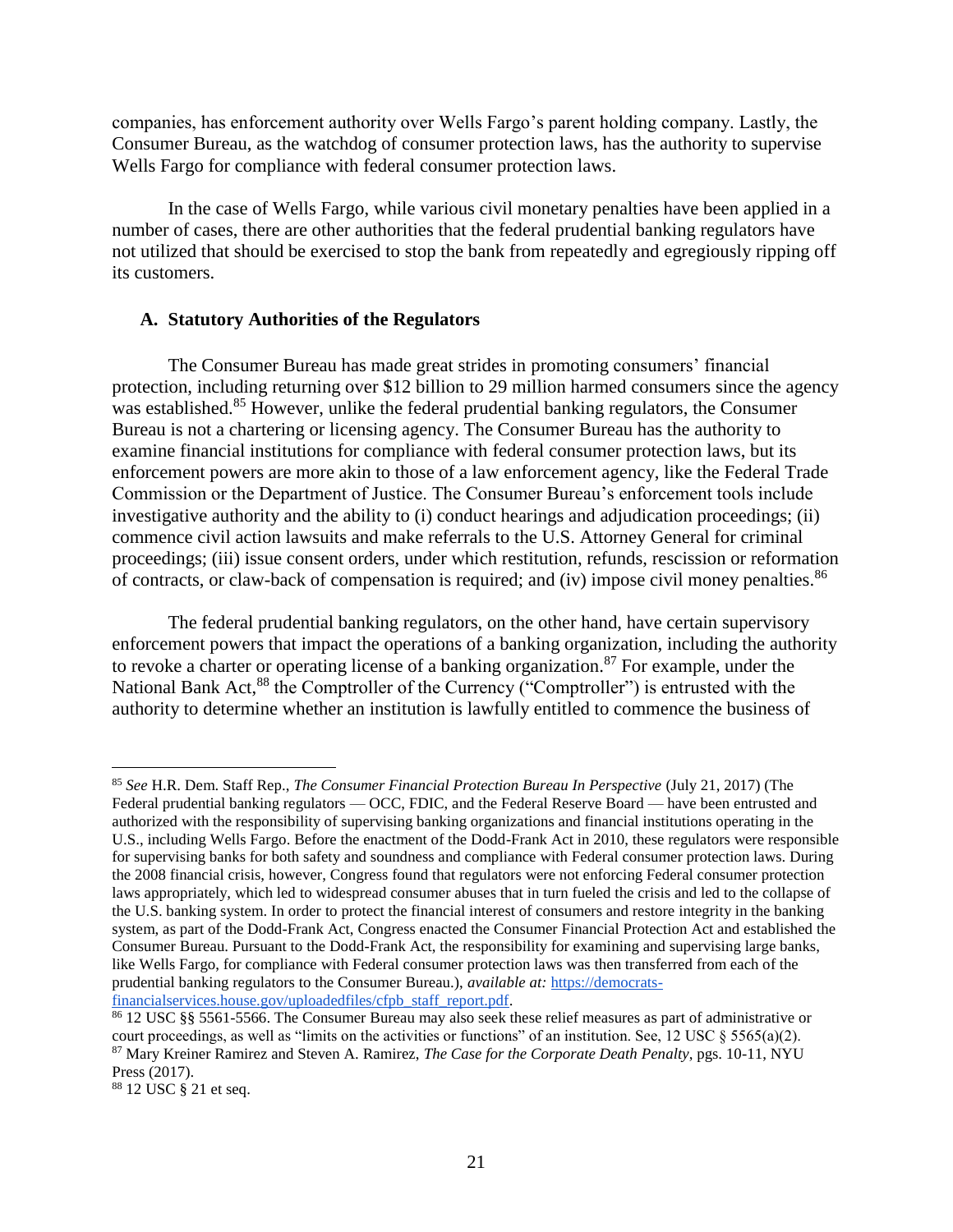companies, has enforcement authority over Wells Fargo's parent holding company. Lastly, the Consumer Bureau, as the watchdog of consumer protection laws, has the authority to supervise Wells Fargo for compliance with federal consumer protection laws.

In the case of Wells Fargo, while various civil monetary penalties have been applied in a number of cases, there are other authorities that the federal prudential banking regulators have not utilized that should be exercised to stop the bank from repeatedly and egregiously ripping off its customers.

#### <span id="page-20-0"></span>**A. Statutory Authorities of the Regulators**

The Consumer Bureau has made great strides in promoting consumers' financial protection, including returning over \$12 billion to 29 million harmed consumers since the agency was established.<sup>85</sup> However, unlike the federal prudential banking regulators, the Consumer Bureau is not a chartering or licensing agency. The Consumer Bureau has the authority to examine financial institutions for compliance with federal consumer protection laws, but its enforcement powers are more akin to those of a law enforcement agency, like the Federal Trade Commission or the Department of Justice. The Consumer Bureau's enforcement tools include investigative authority and the ability to (i) conduct hearings and adjudication proceedings; (ii) commence civil action lawsuits and make referrals to the U.S. Attorney General for criminal proceedings; (iii) issue consent orders, under which restitution, refunds, rescission or reformation of contracts, or claw-back of compensation is required; and (iv) impose civil money penalties.<sup>86</sup>

The federal prudential banking regulators, on the other hand, have certain supervisory enforcement powers that impact the operations of a banking organization, including the authority to revoke a charter or operating license of a banking organization.<sup>87</sup> For example, under the National Bank Act,<sup>88</sup> the Comptroller of the Currency ("Comptroller") is entrusted with the authority to determine whether an institution is lawfully entitled to commence the business of

<sup>85</sup> *See* H.R. Dem. Staff Rep., *The Consumer Financial Protection Bureau In Perspective* (July 21, 2017) (The Federal prudential banking regulators — OCC, FDIC, and the Federal Reserve Board — have been entrusted and authorized with the responsibility of supervising banking organizations and financial institutions operating in the U.S., including Wells Fargo. Before the enactment of the Dodd-Frank Act in 2010, these regulators were responsible for supervising banks for both safety and soundness and compliance with Federal consumer protection laws. During the 2008 financial crisis, however, Congress found that regulators were not enforcing Federal consumer protection laws appropriately, which led to widespread consumer abuses that in turn fueled the crisis and led to the collapse of the U.S. banking system. In order to protect the financial interest of consumers and restore integrity in the banking system, as part of the Dodd-Frank Act, Congress enacted the Consumer Financial Protection Act and established the Consumer Bureau. Pursuant to the Dodd-Frank Act, the responsibility for examining and supervising large banks, like Wells Fargo, for compliance with Federal consumer protection laws was then transferred from each of the prudential banking regulators to the Consumer Bureau.), *available at:* [https://democrats](https://democrats-financialservices.house.gov/uploadedfiles/cfpb_staff_report.pdf)[financialservices.house.gov/uploadedfiles/cfpb\\_staff\\_report.pdf.](https://democrats-financialservices.house.gov/uploadedfiles/cfpb_staff_report.pdf)

<sup>86</sup> 12 USC §§ 5561-5566. The Consumer Bureau may also seek these relief measures as part of administrative or court proceedings, as well as "limits on the activities or functions" of an institution. See, 12 USC  $\S 5565(a)(2)$ . <sup>87</sup> Mary Kreiner Ramirez and Steven A. Ramirez, *The Case for the Corporate Death Penalty*, pgs. 10-11, NYU Press (2017).

<sup>88</sup> 12 USC § 21 et seq.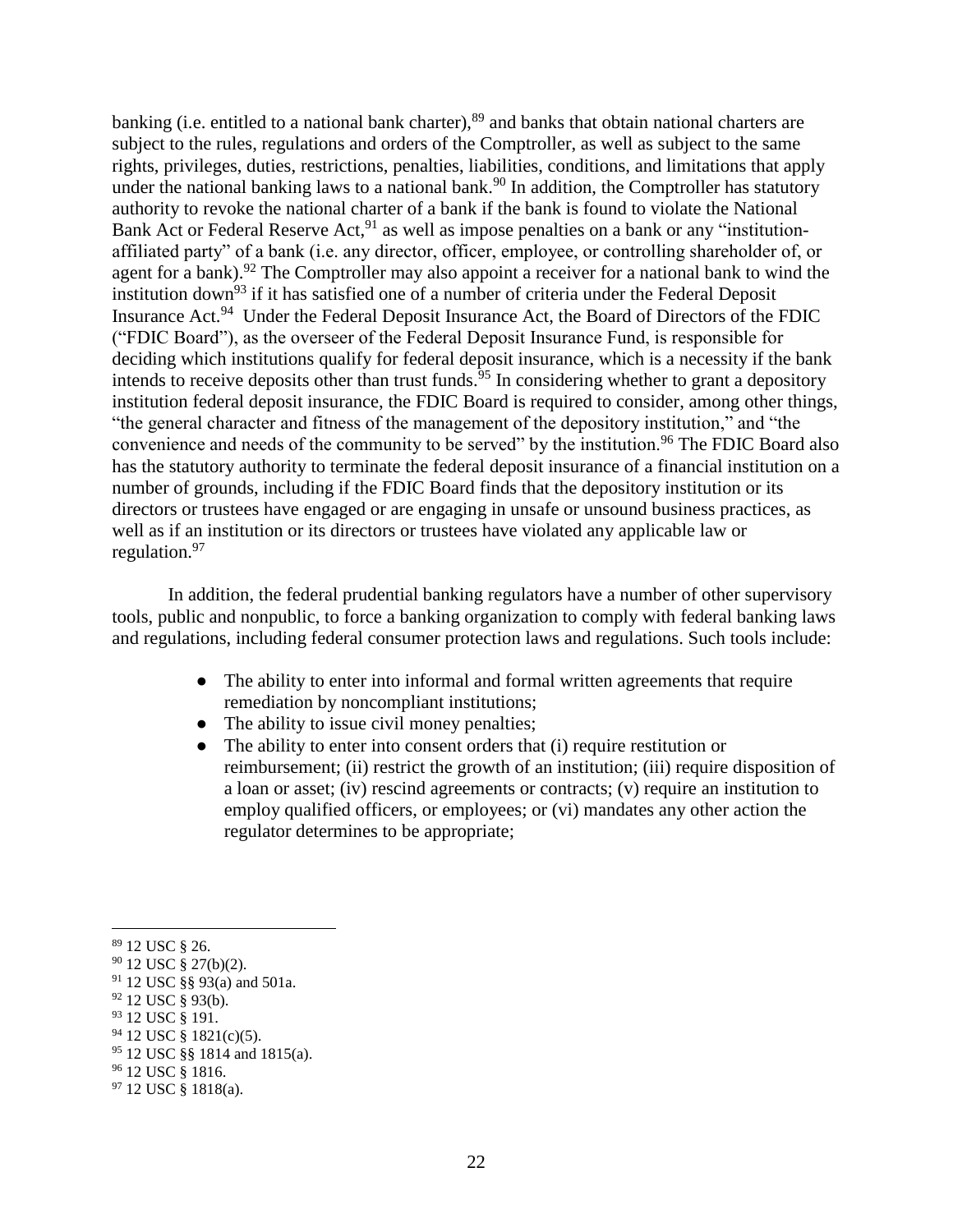banking (i.e. entitled to a national bank charter),<sup>89</sup> and banks that obtain national charters are subject to the rules, regulations and orders of the Comptroller, as well as subject to the same rights, privileges, duties, restrictions, penalties, liabilities, conditions, and limitations that apply under the national banking laws to a national bank.<sup>90</sup> In addition, the Comptroller has statutory authority to revoke the national charter of a bank if the bank is found to violate the National Bank Act or Federal Reserve Act,<sup>91</sup> as well as impose penalties on a bank or any "institutionaffiliated party" of a bank (i.e. any director, officer, employee, or controlling shareholder of, or agent for a bank).<sup>92</sup> The Comptroller may also appoint a receiver for a national bank to wind the institution down<sup>93</sup> if it has satisfied one of a number of criteria under the Federal Deposit Insurance Act.<sup>94</sup> Under the Federal Deposit Insurance Act, the Board of Directors of the FDIC ("FDIC Board"), as the overseer of the Federal Deposit Insurance Fund, is responsible for deciding which institutions qualify for federal deposit insurance, which is a necessity if the bank intends to receive deposits other than trust funds.  $\frac{5}{95}$  In considering whether to grant a depository institution federal deposit insurance, the FDIC Board is required to consider, among other things, "the general character and fitness of the management of the depository institution," and "the convenience and needs of the community to be served" by the institution.<sup>96</sup> The FDIC Board also has the statutory authority to terminate the federal deposit insurance of a financial institution on a number of grounds, including if the FDIC Board finds that the depository institution or its directors or trustees have engaged or are engaging in unsafe or unsound business practices, as well as if an institution or its directors or trustees have violated any applicable law or regulation.<sup>97</sup>

In addition, the federal prudential banking regulators have a number of other supervisory tools, public and nonpublic, to force a banking organization to comply with federal banking laws and regulations, including federal consumer protection laws and regulations. Such tools include:

- The ability to enter into informal and formal written agreements that require remediation by noncompliant institutions;
- The ability to issue civil money penalties;
- The ability to enter into consent orders that (i) require restitution or reimbursement; (ii) restrict the growth of an institution; (iii) require disposition of a loan or asset; (iv) rescind agreements or contracts; (v) require an institution to employ qualified officers, or employees; or (vi) mandates any other action the regulator determines to be appropriate;

<sup>89</sup> 12 USC § 26.

<sup>90</sup> 12 USC § 27(b)(2).

<sup>91</sup> 12 USC §§ 93(a) and 501a.

<sup>92</sup> 12 USC § 93(b).

<sup>93 12</sup> USC § 191.

<sup>94</sup> 12 USC § 1821(c)(5).

<sup>95</sup> 12 USC §§ 1814 and 1815(a).

<sup>&</sup>lt;sup>96</sup> 12 USC § 1816.

<sup>97</sup> 12 USC § 1818(a).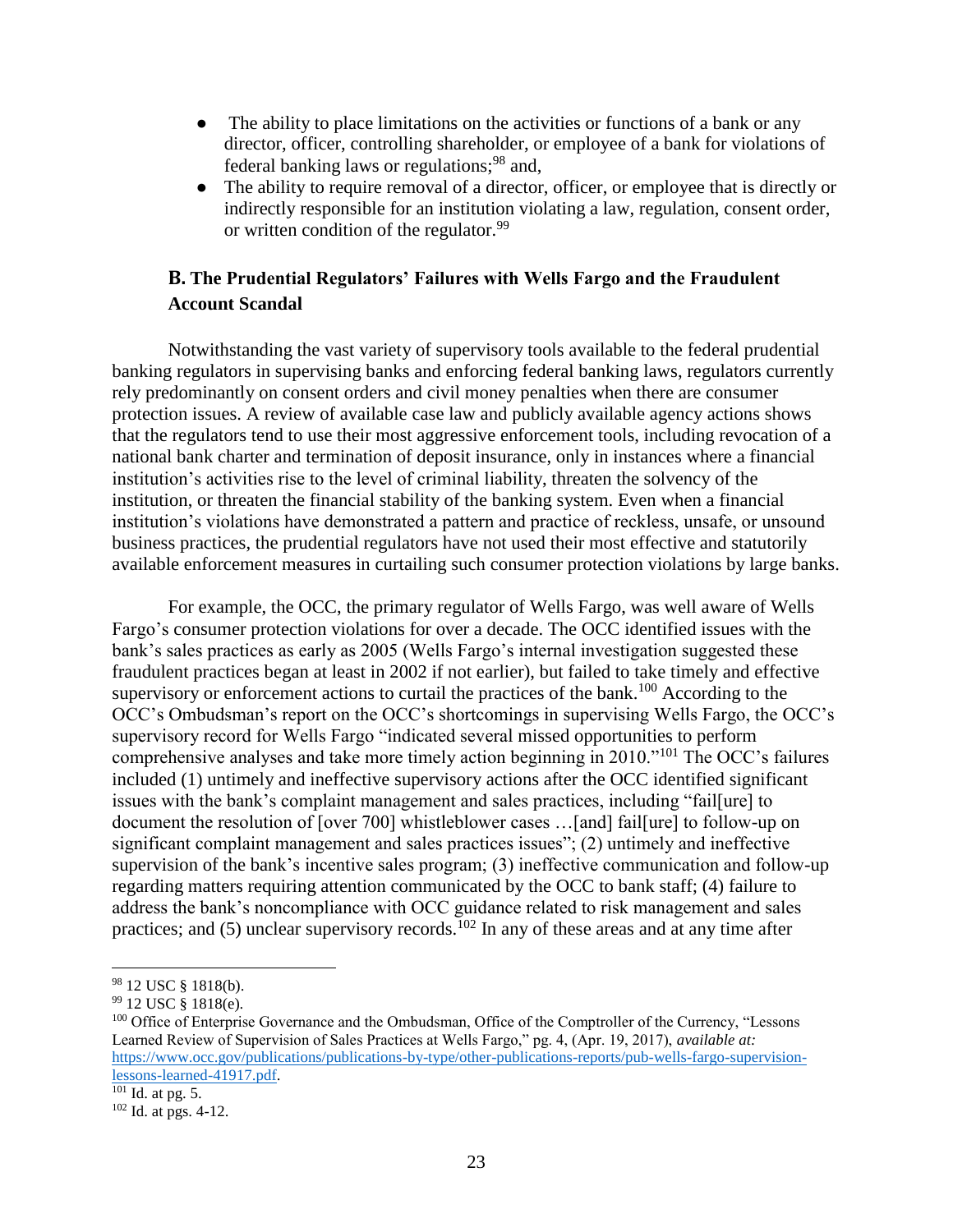- The ability to place limitations on the activities or functions of a bank or any director, officer, controlling shareholder, or employee of a bank for violations of federal banking laws or regulations;<sup>98</sup> and,
- The ability to require removal of a director, officer, or employee that is directly or indirectly responsible for an institution violating a law, regulation, consent order, or written condition of the regulator.<sup>99</sup>

## <span id="page-22-0"></span>**B. The Prudential Regulators' Failures with Wells Fargo and the Fraudulent Account Scandal**

Notwithstanding the vast variety of supervisory tools available to the federal prudential banking regulators in supervising banks and enforcing federal banking laws, regulators currently rely predominantly on consent orders and civil money penalties when there are consumer protection issues. A review of available case law and publicly available agency actions shows that the regulators tend to use their most aggressive enforcement tools, including revocation of a national bank charter and termination of deposit insurance, only in instances where a financial institution's activities rise to the level of criminal liability, threaten the solvency of the institution, or threaten the financial stability of the banking system. Even when a financial institution's violations have demonstrated a pattern and practice of reckless, unsafe, or unsound business practices, the prudential regulators have not used their most effective and statutorily available enforcement measures in curtailing such consumer protection violations by large banks.

For example, the OCC, the primary regulator of Wells Fargo, was well aware of Wells Fargo's consumer protection violations for over a decade. The OCC identified issues with the bank's sales practices as early as 2005 (Wells Fargo's internal investigation suggested these fraudulent practices began at least in 2002 if not earlier), but failed to take timely and effective supervisory or enforcement actions to curtail the practices of the bank.<sup>100</sup> According to the OCC's Ombudsman's report on the OCC's shortcomings in supervising Wells Fargo, the OCC's supervisory record for Wells Fargo "indicated several missed opportunities to perform comprehensive analyses and take more timely action beginning in 2010."<sup>101</sup> The OCC's failures included (1) untimely and ineffective supervisory actions after the OCC identified significant issues with the bank's complaint management and sales practices, including "fail[ure] to document the resolution of [over 700] whistleblower cases …[and] fail[ure] to follow-up on significant complaint management and sales practices issues"; (2) untimely and ineffective supervision of the bank's incentive sales program; (3) ineffective communication and follow-up regarding matters requiring attention communicated by the OCC to bank staff; (4) failure to address the bank's noncompliance with OCC guidance related to risk management and sales practices; and (5) unclear supervisory records.<sup>102</sup> In any of these areas and at any time after

<sup>98</sup> 12 USC § 1818(b).

<sup>99</sup> 12 USC § 1818(e).

<sup>&</sup>lt;sup>100</sup> Office of Enterprise Governance and the Ombudsman, Office of the Comptroller of the Currency, "Lessons" Learned Review of Supervision of Sales Practices at Wells Fargo," pg. 4, (Apr. 19, 2017), *available at:* [https://www.occ.gov/publications/publications-by-type/other-publications-reports/pub-wells-fargo-supervision](https://www.occ.gov/publications/publications-by-type/other-publications-reports/pub-wells-fargo-supervision-lessons-learned-41917.pdf)[lessons-learned-41917.pdf.](https://www.occ.gov/publications/publications-by-type/other-publications-reports/pub-wells-fargo-supervision-lessons-learned-41917.pdf)

 $\overline{101}$  Id. at pg. 5.

 $102$  Id. at pgs. 4-12.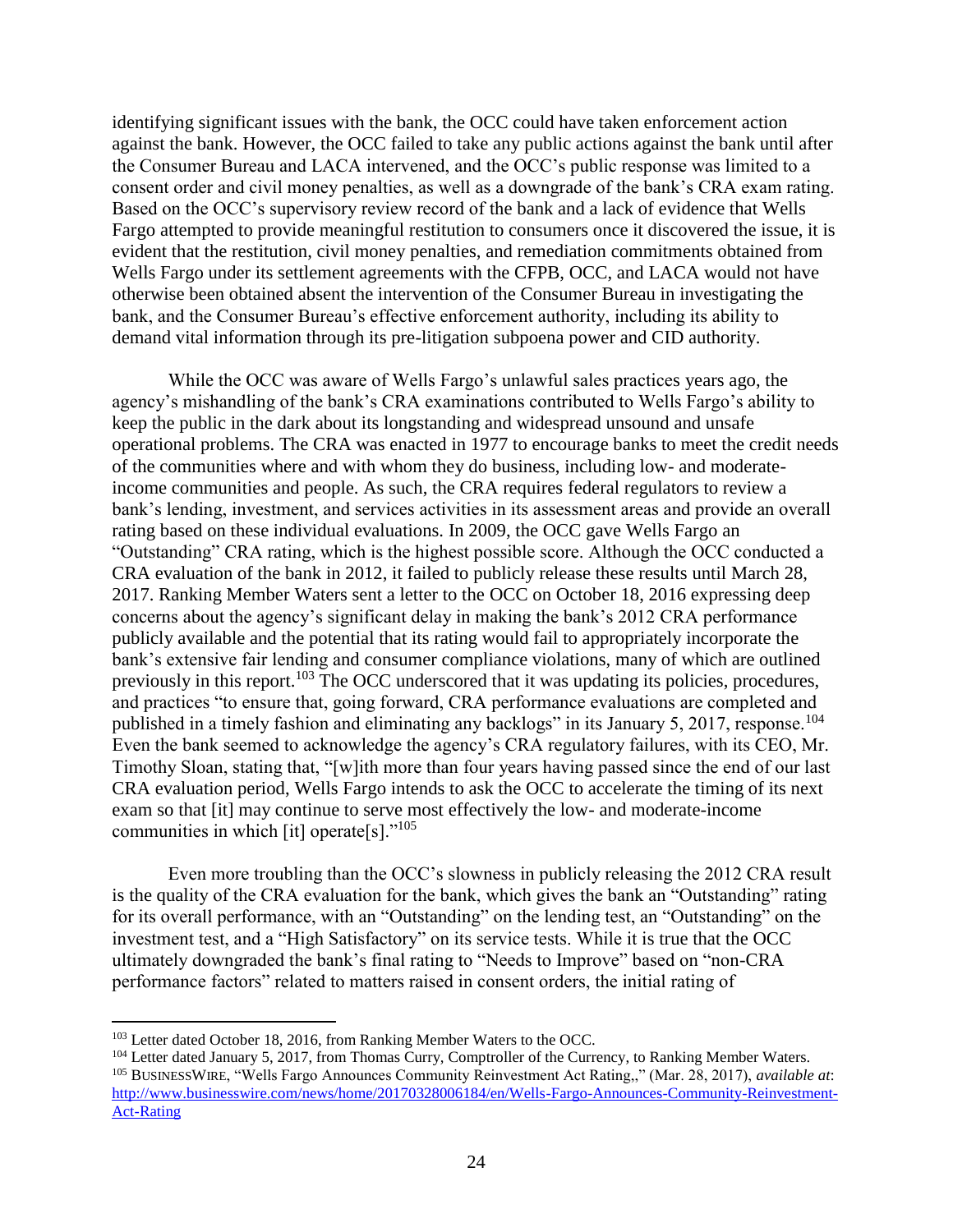identifying significant issues with the bank, the OCC could have taken enforcement action against the bank. However, the OCC failed to take any public actions against the bank until after the Consumer Bureau and LACA intervened, and the OCC's public response was limited to a consent order and civil money penalties, as well as a downgrade of the bank's CRA exam rating. Based on the OCC's supervisory review record of the bank and a lack of evidence that Wells Fargo attempted to provide meaningful restitution to consumers once it discovered the issue, it is evident that the restitution, civil money penalties, and remediation commitments obtained from Wells Fargo under its settlement agreements with the CFPB, OCC, and LACA would not have otherwise been obtained absent the intervention of the Consumer Bureau in investigating the bank, and the Consumer Bureau's effective enforcement authority, including its ability to demand vital information through its pre-litigation subpoena power and CID authority.

While the OCC was aware of Wells Fargo's unlawful sales practices years ago, the agency's mishandling of the bank's CRA examinations contributed to Wells Fargo's ability to keep the public in the dark about its longstanding and widespread unsound and unsafe operational problems. The CRA was enacted in 1977 to encourage banks to meet the credit needs of the communities where and with whom they do business, including low- and moderateincome communities and people. As such, the CRA requires federal regulators to review a bank's lending, investment, and services activities in its assessment areas and provide an overall rating based on these individual evaluations. In 2009, the OCC gave Wells Fargo an "Outstanding" CRA rating, which is the highest possible score. Although the OCC conducted a CRA evaluation of the bank in 2012, it failed to publicly release these results until March 28, 2017. Ranking Member Waters sent a letter to the OCC on October 18, 2016 expressing deep concerns about the agency's significant delay in making the bank's 2012 CRA performance publicly available and the potential that its rating would fail to appropriately incorporate the bank's extensive fair lending and consumer compliance violations, many of which are outlined previously in this report.<sup>103</sup> The OCC underscored that it was updating its policies, procedures, and practices "to ensure that, going forward, CRA performance evaluations are completed and published in a timely fashion and eliminating any backlogs" in its January 5, 2017, response.<sup>104</sup> Even the bank seemed to acknowledge the agency's CRA regulatory failures, with its CEO, Mr. Timothy Sloan, stating that, "[w]ith more than four years having passed since the end of our last CRA evaluation period, Wells Fargo intends to ask the OCC to accelerate the timing of its next exam so that [it] may continue to serve most effectively the low- and moderate-income communities in which [it] operate[s]."<sup>105</sup>

Even more troubling than the OCC's slowness in publicly releasing the 2012 CRA result is the quality of the CRA evaluation for the bank, which gives the bank an "Outstanding" rating for its overall performance, with an "Outstanding" on the lending test, an "Outstanding" on the investment test, and a "High Satisfactory" on its service tests. While it is true that the OCC ultimately downgraded the bank's final rating to "Needs to Improve" based on "non-CRA performance factors" related to matters raised in consent orders, the initial rating of

<sup>&</sup>lt;sup>103</sup> Letter dated October 18, 2016, from Ranking Member Waters to the OCC.

<sup>&</sup>lt;sup>104</sup> Letter dated January 5, 2017, from Thomas Curry, Comptroller of the Currency, to Ranking Member Waters.

<sup>105</sup> BUSINESSWIRE, "Wells Fargo Announces Community Reinvestment Act Rating,," (Mar. 28, 2017), *available at*: [http://www.businesswire.com/news/home/20170328006184/en/Wells-Fargo-Announces-Community-Reinvestment-](http://www.businesswire.com/news/home/20170328006184/en/Wells-Fargo-Announces-Community-Reinvestment-Act-Rating)[Act-Rating](http://www.businesswire.com/news/home/20170328006184/en/Wells-Fargo-Announces-Community-Reinvestment-Act-Rating)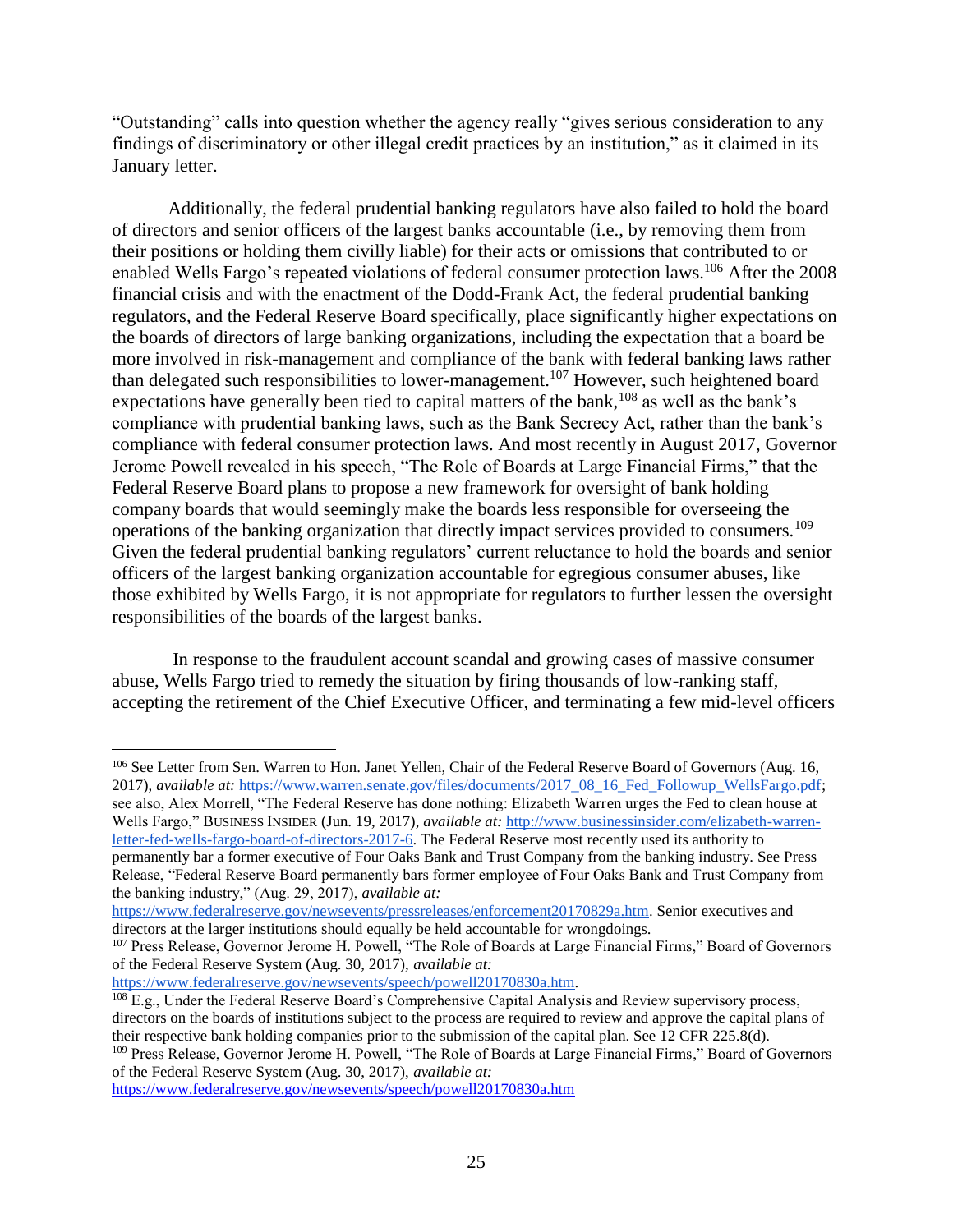"Outstanding" calls into question whether the agency really "gives serious consideration to any findings of discriminatory or other illegal credit practices by an institution," as it claimed in its January letter.

Additionally, the federal prudential banking regulators have also failed to hold the board of directors and senior officers of the largest banks accountable (i.e., by removing them from their positions or holding them civilly liable) for their acts or omissions that contributed to or enabled Wells Fargo's repeated violations of federal consumer protection laws.<sup>106</sup> After the 2008 financial crisis and with the enactment of the Dodd-Frank Act, the federal prudential banking regulators, and the Federal Reserve Board specifically, place significantly higher expectations on the boards of directors of large banking organizations, including the expectation that a board be more involved in risk-management and compliance of the bank with federal banking laws rather than delegated such responsibilities to lower-management.<sup>107</sup> However, such heightened board expectations have generally been tied to capital matters of the bank,<sup>108</sup> as well as the bank's compliance with prudential banking laws, such as the Bank Secrecy Act, rather than the bank's compliance with federal consumer protection laws. And most recently in August 2017, Governor Jerome Powell revealed in his speech, "The Role of Boards at Large Financial Firms," that the Federal Reserve Board plans to propose a new framework for oversight of bank holding company boards that would seemingly make the boards less responsible for overseeing the operations of the banking organization that directly impact services provided to consumers.<sup>109</sup> Given the federal prudential banking regulators' current reluctance to hold the boards and senior officers of the largest banking organization accountable for egregious consumer abuses, like those exhibited by Wells Fargo, it is not appropriate for regulators to further lessen the oversight responsibilities of the boards of the largest banks.

In response to the fraudulent account scandal and growing cases of massive consumer abuse, Wells Fargo tried to remedy the situation by firing thousands of low-ranking staff, accepting the retirement of the Chief Executive Officer, and terminating a few mid-level officers

the banking industry," (Aug. 29, 2017), *available at:*

 $\overline{a}$ 

[https://www.federalreserve.gov/newsevents/speech/powell20170830a.htm.](https://www.federalreserve.gov/newsevents/speech/powell20170830a.htm) 

<sup>109</sup> Press Release, Governor Jerome H. Powell, "The Role of Boards at Large Financial Firms," Board of Governors of the Federal Reserve System (Aug. 30, 2017), *available at:*

<https://www.federalreserve.gov/newsevents/speech/powell20170830a.htm>

<sup>&</sup>lt;sup>106</sup> See Letter from Sen. Warren to Hon. Janet Yellen, Chair of the Federal Reserve Board of Governors (Aug. 16, 2017), *available at:* [https://www.warren.senate.gov/files/documents/2017\\_08\\_16\\_Fed\\_Followup\\_WellsFargo.pdf;](https://www.warren.senate.gov/files/documents/2017_08_16_Fed_Followup_WellsFargo.pdf) see also, Alex Morrell, "The Federal Reserve has done nothing: Elizabeth Warren urges the Fed to clean house at Wells Fargo," BUSINESS INSIDER (Jun. 19, 2017), *available at:* [http://www.businessinsider.com/elizabeth-warren](http://www.businessinsider.com/elizabeth-warren-letter-fed-wells-fargo-board-of-directors-2017-6)[letter-fed-wells-fargo-board-of-directors-2017-6.](http://www.businessinsider.com/elizabeth-warren-letter-fed-wells-fargo-board-of-directors-2017-6) The Federal Reserve most recently used its authority to permanently bar a former executive of Four Oaks Bank and Trust Company from the banking industry. See Press Release, "Federal Reserve Board permanently bars former employee of Four Oaks Bank and Trust Company from

[https://www.federalreserve.gov/newsevents/pressreleases/enforcement20170829a.htm.](https://www.federalreserve.gov/newsevents/pressreleases/enforcement20170829a.htm) Senior executives and directors at the larger institutions should equally be held accountable for wrongdoings.

<sup>&</sup>lt;sup>107</sup> Press Release, Governor Jerome H. Powell, "The Role of Boards at Large Financial Firms," Board of Governors of the Federal Reserve System (Aug. 30, 2017), *available at:*

<sup>&</sup>lt;sup>108</sup> E.g., Under the Federal Reserve Board's Comprehensive Capital Analysis and Review supervisory process, directors on the boards of institutions subject to the process are required to review and approve the capital plans of their respective bank holding companies prior to the submission of the capital plan. See 12 CFR 225.8(d).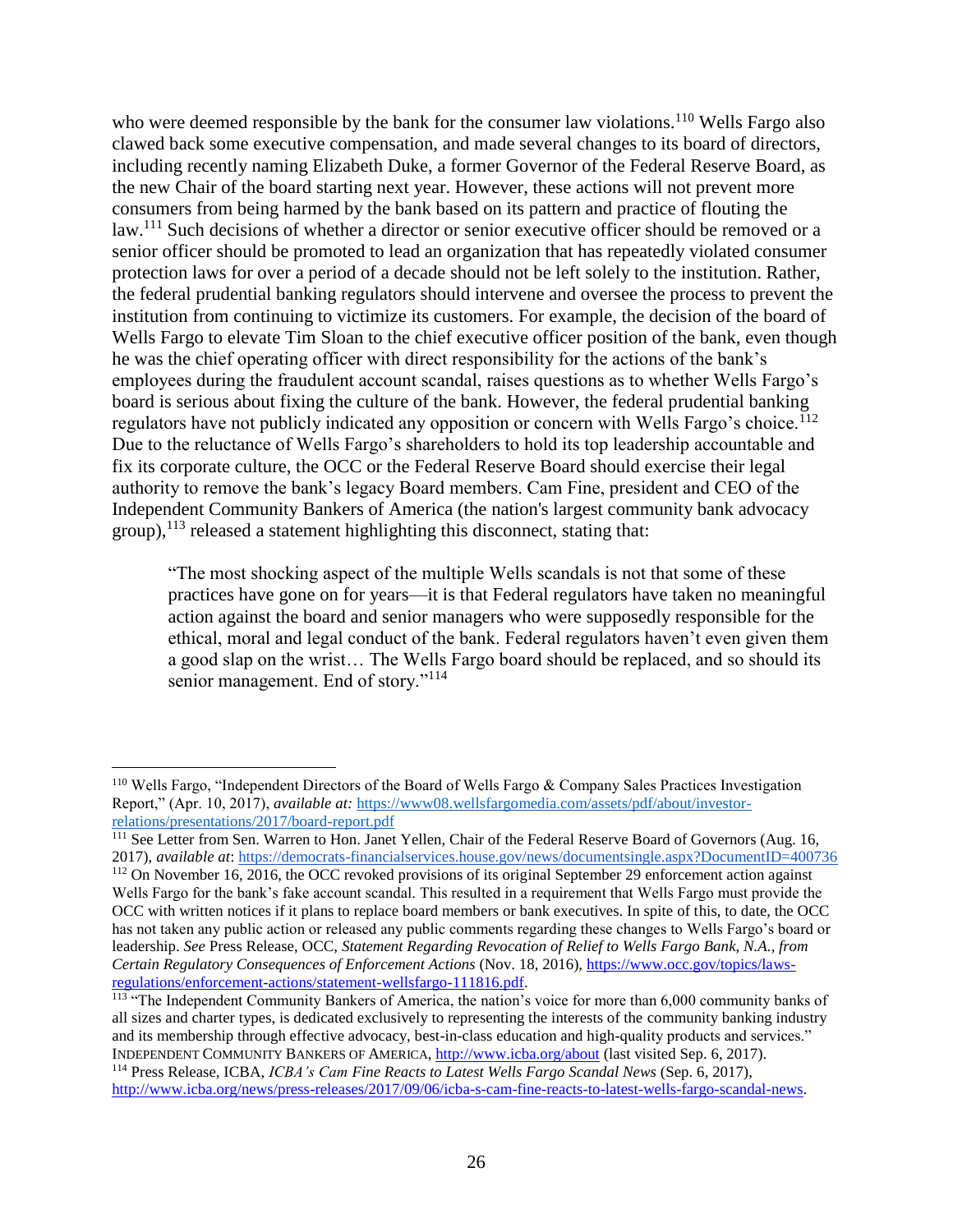who were deemed responsible by the bank for the consumer law violations.<sup>110</sup> Wells Fargo also clawed back some executive compensation, and made several changes to its board of directors, including recently naming Elizabeth Duke, a former Governor of the Federal Reserve Board, as the new Chair of the board starting next year. However, these actions will not prevent more consumers from being harmed by the bank based on its pattern and practice of flouting the law.<sup>111</sup> Such decisions of whether a director or senior executive officer should be removed or a senior officer should be promoted to lead an organization that has repeatedly violated consumer protection laws for over a period of a decade should not be left solely to the institution. Rather, the federal prudential banking regulators should intervene and oversee the process to prevent the institution from continuing to victimize its customers. For example, the decision of the board of Wells Fargo to elevate Tim Sloan to the chief executive officer position of the bank, even though he was the chief operating officer with direct responsibility for the actions of the bank's employees during the fraudulent account scandal, raises questions as to whether Wells Fargo's board is serious about fixing the culture of the bank. However, the federal prudential banking regulators have not publicly indicated any opposition or concern with Wells Fargo's choice.<sup>112</sup> Due to the reluctance of Wells Fargo's shareholders to hold its top leadership accountable and fix its corporate culture, the OCC or the Federal Reserve Board should exercise their legal authority to remove the bank's legacy Board members. Cam Fine, president and CEO of the Independent Community Bankers of America (the nation's largest community bank advocacy  $(2 \text{group})$ ,<sup>113</sup> released a statement highlighting this disconnect, stating that:

"The most shocking aspect of the multiple Wells scandals is not that some of these practices have gone on for years—it is that Federal regulators have taken no meaningful action against the board and senior managers who were supposedly responsible for the ethical, moral and legal conduct of the bank. Federal regulators haven't even given them a good slap on the wrist… The Wells Fargo board should be replaced, and so should its senior management. End of story."<sup>114</sup>

<sup>110</sup> Wells Fargo, "Independent Directors of the Board of Wells Fargo & Company Sales Practices Investigation Report," (Apr. 10, 2017), *available at:* [https://www08.wellsfargomedia.com/assets/pdf/about/investor](https://www08.wellsfargomedia.com/assets/pdf/about/investor-relations/presentations/2017/board-report.pdf)[relations/presentations/2017/board-report.pdf](https://www08.wellsfargomedia.com/assets/pdf/about/investor-relations/presentations/2017/board-report.pdf)

<sup>&</sup>lt;sup>111</sup> See Letter from Sen. Warren to Hon. Janet Yellen, Chair of the Federal Reserve Board of Governors (Aug. 16, 2017), *available at*:<https://democrats-financialservices.house.gov/news/documentsingle.aspx?DocumentID=400736> <sup>112</sup> On November 16, 2016, the OCC revoked provisions of its original September 29 enforcement action against Wells Fargo for the bank's fake account scandal. This resulted in a requirement that Wells Fargo must provide the OCC with written notices if it plans to replace board members or bank executives. In spite of this, to date, the OCC has not taken any public action or released any public comments regarding these changes to Wells Fargo's board or leadership. *See* Press Release, OCC, *Statement Regarding Revocation of Relief to Wells Fargo Bank, N.A., from Certain Regulatory Consequences of Enforcement Actions* (Nov. 18, 2016), [https://www.occ.gov/topics/laws](https://www.occ.gov/topics/laws-regulations/enforcement-actions/statement-wellsfargo-111816.pdf)[regulations/enforcement-actions/statement-wellsfargo-111816.pdf.](https://www.occ.gov/topics/laws-regulations/enforcement-actions/statement-wellsfargo-111816.pdf)

<sup>&</sup>lt;sup>113</sup> "The Independent Community Bankers of America, the nation's voice for more than 6,000 community banks of all sizes and charter types, is dedicated exclusively to representing the interests of the community banking industry and its membership through effective advocacy, best-in-class education and high-quality products and services." INDEPENDENT COMMUNITY BANKERS OF AMERICA,<http://www.icba.org/about> (last visited Sep. 6, 2017). <sup>114</sup> Press Release, ICBA, *ICBA's Cam Fine Reacts to Latest Wells Fargo Scandal News* (Sep. 6, 2017),

[http://www.icba.org/news/press-releases/2017/09/06/icba-s-cam-fine-reacts-to-latest-wells-fargo-scandal-news.](http://www.icba.org/news/press-releases/2017/09/06/icba-s-cam-fine-reacts-to-latest-wells-fargo-scandal-news)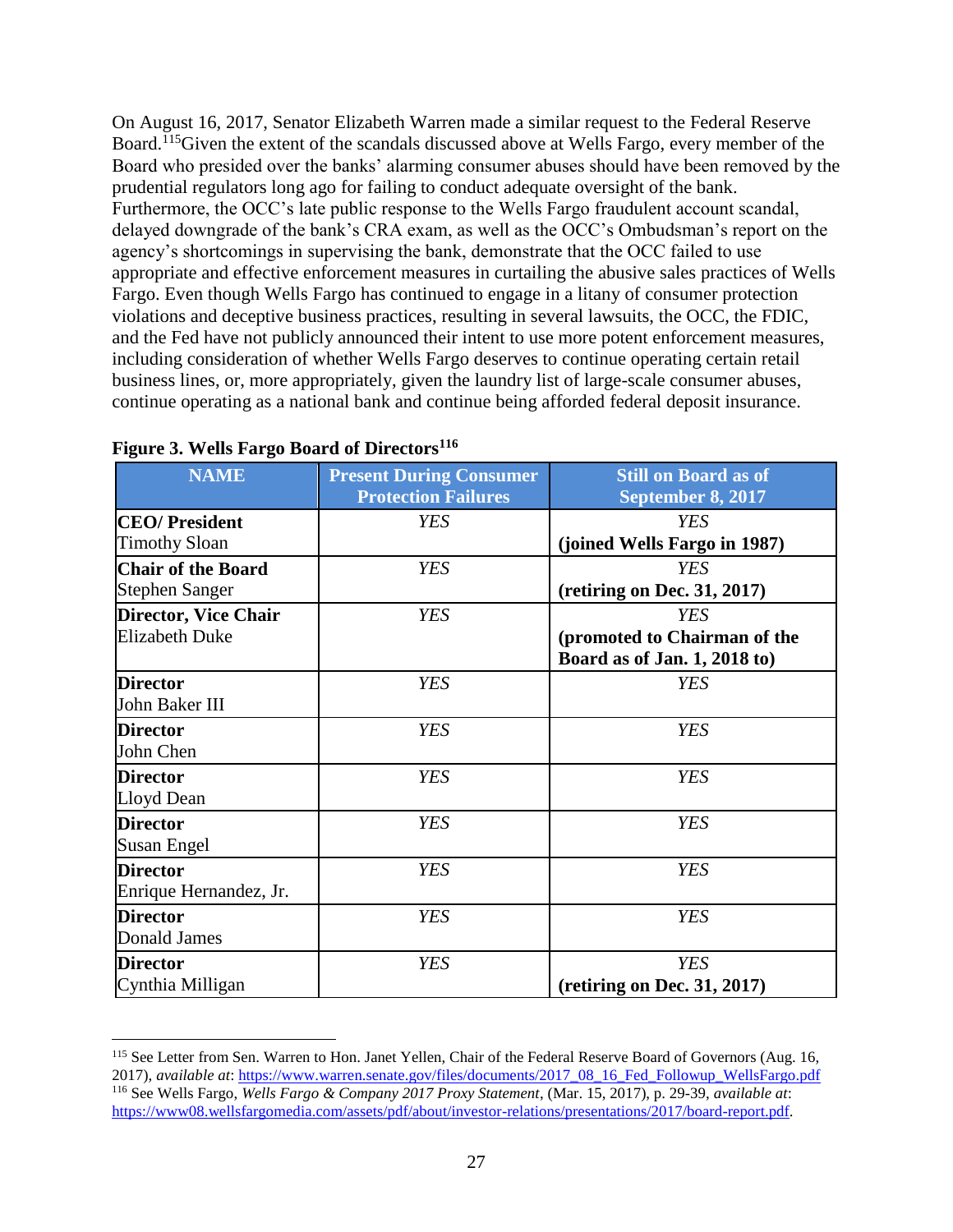On August 16, 2017, Senator Elizabeth Warren made a similar request to the Federal Reserve Board.<sup>115</sup>Given the extent of the scandals discussed above at Wells Fargo, every member of the Board who presided over the banks' alarming consumer abuses should have been removed by the prudential regulators long ago for failing to conduct adequate oversight of the bank. Furthermore, the OCC's late public response to the Wells Fargo fraudulent account scandal, delayed downgrade of the bank's CRA exam, as well as the OCC's Ombudsman's report on the agency's shortcomings in supervising the bank, demonstrate that the OCC failed to use appropriate and effective enforcement measures in curtailing the abusive sales practices of Wells Fargo. Even though Wells Fargo has continued to engage in a litany of consumer protection violations and deceptive business practices, resulting in several lawsuits, the OCC, the FDIC, and the Fed have not publicly announced their intent to use more potent enforcement measures, including consideration of whether Wells Fargo deserves to continue operating certain retail business lines, or, more appropriately, given the laundry list of large-scale consumer abuses, continue operating as a national bank and continue being afforded federal deposit insurance.

| <b>NAME</b>                                          | <b>Present During Consumer</b><br><b>Protection Failures</b> | <b>Still on Board as of</b><br>September 8, 2017                           |
|------------------------------------------------------|--------------------------------------------------------------|----------------------------------------------------------------------------|
| <b>CEO/President</b><br><b>Timothy Sloan</b>         | <b>YES</b>                                                   | <b>YES</b><br>(joined Wells Fargo in 1987)                                 |
| <b>Chair of the Board</b><br><b>Stephen Sanger</b>   | <b>YES</b>                                                   | <b>YES</b><br>(retiring on Dec. $31, 2017$ )                               |
| <b>Director, Vice Chair</b><br><b>Elizabeth Duke</b> | <b>YES</b>                                                   | <b>YES</b><br>(promoted to Chairman of the<br>Board as of Jan. 1, 2018 to) |
| <b>Director</b><br>John Baker III                    | <b>YES</b>                                                   | <b>YES</b>                                                                 |
| <b>Director</b><br>John Chen                         | <b>YES</b>                                                   | <b>YES</b>                                                                 |
| <b>Director</b><br>Lloyd Dean                        | <b>YES</b>                                                   | <b>YES</b>                                                                 |
| <b>Director</b><br><b>Susan Engel</b>                | <b>YES</b>                                                   | <b>YES</b>                                                                 |
| <b>Director</b><br>Enrique Hernandez, Jr.            | <b>YES</b>                                                   | <b>YES</b>                                                                 |
| <b>Director</b><br><b>Donald James</b>               | <b>YES</b>                                                   | <b>YES</b>                                                                 |
| <b>Director</b><br>Cynthia Milligan                  | <b>YES</b>                                                   | <b>YES</b><br>(retiring on Dec. 31, 2017)                                  |

<span id="page-26-0"></span>**Figure 3. Wells Fargo Board of Directors<sup>116</sup>**

<sup>&</sup>lt;sup>115</sup> See Letter from Sen. Warren to Hon. Janet Yellen, Chair of the Federal Reserve Board of Governors (Aug. 16, 2017), *available at*: [https://www.warren.senate.gov/files/documents/2017\\_08\\_16\\_Fed\\_Followup\\_WellsFargo.pdf](https://www.warren.senate.gov/files/documents/2017_08_16_Fed_Followup_WellsFargo.pdf) <sup>116</sup> See Wells Fargo, *Wells Fargo & Company 2017 Proxy Statement*, (Mar. 15, 2017), p. 29-39, *available at*: [https://www08.wellsfargomedia.com/assets/pdf/about/investor-relations/presentations/2017/board-report.pdf.](https://www08.wellsfargomedia.com/assets/pdf/about/investor-relations/presentations/2017/board-report.pdf)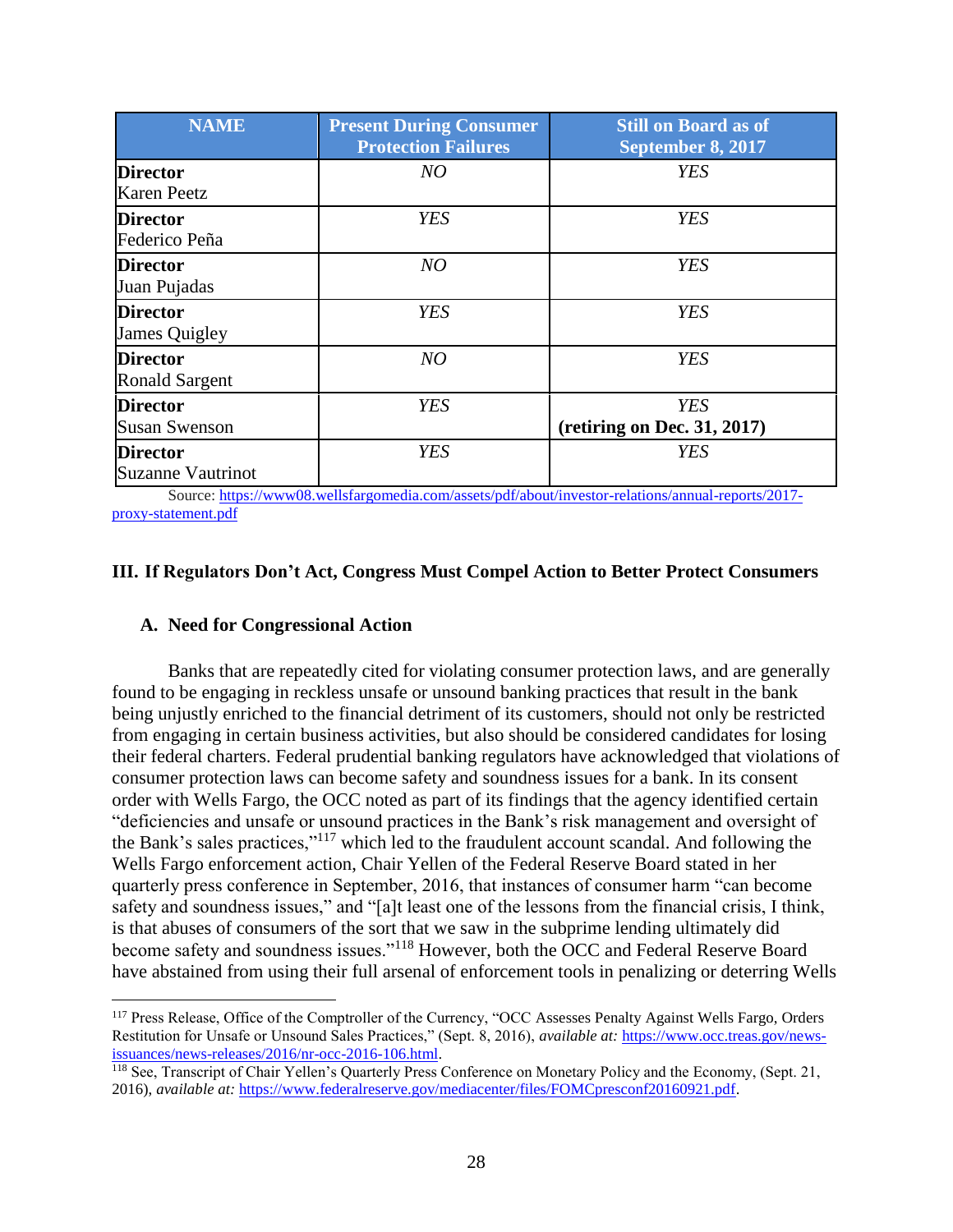| <b>NAME</b>                                 | <b>Present During Consumer</b><br><b>Protection Failures</b> | <b>Still on Board as of</b><br>September 8, 2017    |
|---------------------------------------------|--------------------------------------------------------------|-----------------------------------------------------|
| <b>Director</b><br><b>Karen Peetz</b>       | NO                                                           | <b>YES</b>                                          |
| <b>Director</b><br>Federico Peña            | <b>YES</b>                                                   | <b>YES</b>                                          |
| <b>Director</b><br>Juan Pujadas             | NO                                                           | <b>YES</b>                                          |
| <b>Director</b><br><b>James Quigley</b>     | <b>YES</b>                                                   | <b>YES</b>                                          |
| <b>Director</b><br><b>Ronald Sargent</b>    | NO                                                           | <b>YES</b>                                          |
| <b>Director</b><br><b>Susan Swenson</b>     | <b>YES</b>                                                   | <b>YES</b><br>$(\text{restring on Dec. } 31, 2017)$ |
| <b>Director</b><br><b>Suzanne Vautrinot</b> | <b>YES</b>                                                   | YES                                                 |

<span id="page-27-0"></span>Source: [https://www08.wellsfargomedia.com/assets/pdf/about/investor-relations/annual-reports/2017](https://www08.wellsfargomedia.com/assets/pdf/about/investor-relations/annual-reports/2017-proxy-statement.pdf) [proxy-statement.pdf](https://www08.wellsfargomedia.com/assets/pdf/about/investor-relations/annual-reports/2017-proxy-statement.pdf)

#### **III. If Regulators Don't Act, Congress Must Compel Action to Better Protect Consumers**

#### <span id="page-27-1"></span>**A. Need for Congressional Action**

 $\overline{a}$ 

Banks that are repeatedly cited for violating consumer protection laws, and are generally found to be engaging in reckless unsafe or unsound banking practices that result in the bank being unjustly enriched to the financial detriment of its customers, should not only be restricted from engaging in certain business activities, but also should be considered candidates for losing their federal charters. Federal prudential banking regulators have acknowledged that violations of consumer protection laws can become safety and soundness issues for a bank. In its consent order with Wells Fargo, the OCC noted as part of its findings that the agency identified certain "deficiencies and unsafe or unsound practices in the Bank's risk management and oversight of the Bank's sales practices,"<sup>117</sup> which led to the fraudulent account scandal. And following the Wells Fargo enforcement action, Chair Yellen of the Federal Reserve Board stated in her quarterly press conference in September, 2016, that instances of consumer harm "can become safety and soundness issues," and "[a]t least one of the lessons from the financial crisis, I think, is that abuses of consumers of the sort that we saw in the subprime lending ultimately did become safety and soundness issues."<sup>118</sup> However, both the OCC and Federal Reserve Board have abstained from using their full arsenal of enforcement tools in penalizing or deterring Wells

<sup>117</sup> Press Release, Office of the Comptroller of the Currency, "OCC Assesses Penalty Against Wells Fargo, Orders Restitution for Unsafe or Unsound Sales Practices," (Sept. 8, 2016), *available at:* [https://www.occ.treas.gov/news](https://www.occ.treas.gov/news-issuances/news-releases/2016/nr-occ-2016-106.html)[issuances/news-releases/2016/nr-occ-2016-106.html.](https://www.occ.treas.gov/news-issuances/news-releases/2016/nr-occ-2016-106.html)

<sup>&</sup>lt;sup>118</sup> See, Transcript of Chair Yellen's Quarterly Press Conference on Monetary Policy and the Economy, (Sept. 21, 2016), *available at:* [https://www.federalreserve.gov/mediacenter/files/FOMCpresconf20160921.pdf.](https://www.federalreserve.gov/mediacenter/files/FOMCpresconf20160921.pdf)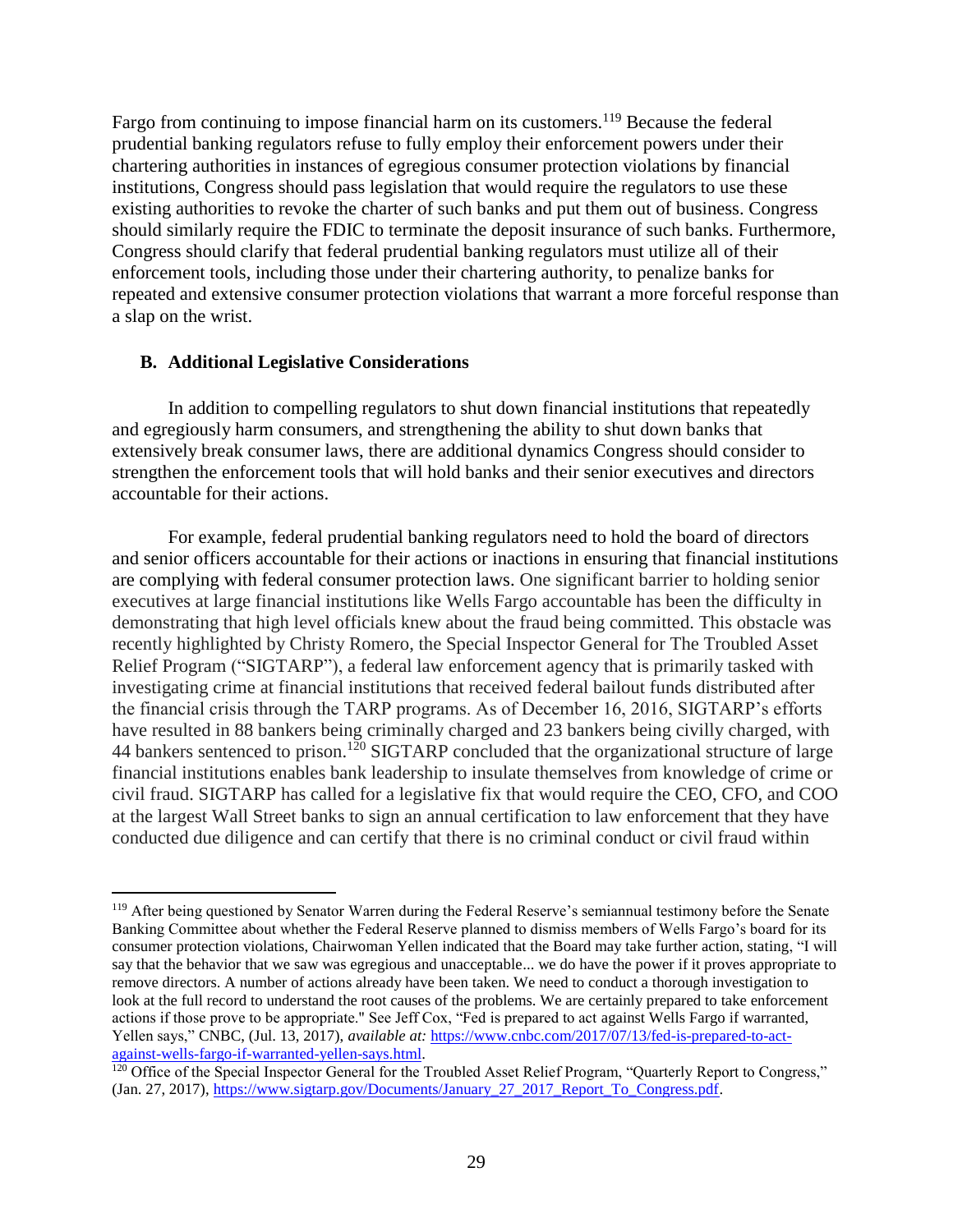Fargo from continuing to impose financial harm on its customers.<sup>119</sup> Because the federal prudential banking regulators refuse to fully employ their enforcement powers under their chartering authorities in instances of egregious consumer protection violations by financial institutions, Congress should pass legislation that would require the regulators to use these existing authorities to revoke the charter of such banks and put them out of business. Congress should similarly require the FDIC to terminate the deposit insurance of such banks. Furthermore, Congress should clarify that federal prudential banking regulators must utilize all of their enforcement tools, including those under their chartering authority, to penalize banks for repeated and extensive consumer protection violations that warrant a more forceful response than a slap on the wrist.

#### <span id="page-28-0"></span>**B. Additional Legislative Considerations**

 $\overline{a}$ 

In addition to compelling regulators to shut down financial institutions that repeatedly and egregiously harm consumers, and strengthening the ability to shut down banks that extensively break consumer laws, there are additional dynamics Congress should consider to strengthen the enforcement tools that will hold banks and their senior executives and directors accountable for their actions.

For example, federal prudential banking regulators need to hold the board of directors and senior officers accountable for their actions or inactions in ensuring that financial institutions are complying with federal consumer protection laws. One significant barrier to holding senior executives at large financial institutions like Wells Fargo accountable has been the difficulty in demonstrating that high level officials knew about the fraud being committed. This obstacle was recently highlighted by Christy Romero, the Special Inspector General for The Troubled Asset Relief Program ("SIGTARP"), a federal law enforcement agency that is primarily tasked with investigating crime at financial institutions that received federal bailout funds distributed after the financial crisis through the TARP programs. As of December 16, 2016, SIGTARP's efforts have resulted in 88 bankers being criminally charged and 23 bankers being civilly charged, with 44 bankers sentenced to prison.<sup>120</sup> SIGTARP concluded that the organizational structure of large financial institutions enables bank leadership to insulate themselves from knowledge of crime or civil fraud. SIGTARP has called for a legislative fix that would require the CEO, CFO, and COO at the largest Wall Street banks to sign an annual certification to law enforcement that they have conducted due diligence and can certify that there is no criminal conduct or civil fraud within

<sup>&</sup>lt;sup>119</sup> After being questioned by Senator Warren during the Federal Reserve's semiannual testimony before the Senate Banking Committee about whether the Federal Reserve planned to dismiss members of Wells Fargo's board for its consumer protection violations, Chairwoman Yellen indicated that the Board may take further action, stating, "I will say that the behavior that we saw was egregious and unacceptable... we do have the power if it proves appropriate to remove directors. A number of actions already have been taken. We need to conduct a thorough investigation to look at the full record to understand the root causes of the problems. We are certainly prepared to take enforcement actions if those prove to be appropriate." See Jeff Cox, "Fed is prepared to act against Wells Fargo if warranted, Yellen says," CNBC, (Jul. 13, 2017), *available at:* [https://www.cnbc.com/2017/07/13/fed-is-prepared-to-act](https://www.cnbc.com/2017/07/13/fed-is-prepared-to-act-against-wells-fargo-if-warranted-yellen-says.html)[against-wells-fargo-if-warranted-yellen-says.html.](https://www.cnbc.com/2017/07/13/fed-is-prepared-to-act-against-wells-fargo-if-warranted-yellen-says.html)

<sup>&</sup>lt;sup>120</sup> Office of the Special Inspector General for the Troubled Asset Relief Program, "Quarterly Report to Congress," (Jan. 27, 2017), [https://www.sigtarp.gov/Documents/January\\_27\\_2017\\_Report\\_To\\_Congress.pdf.](https://www.sigtarp.gov/Documents/January_27_2017_Report_To_Congress.pdf)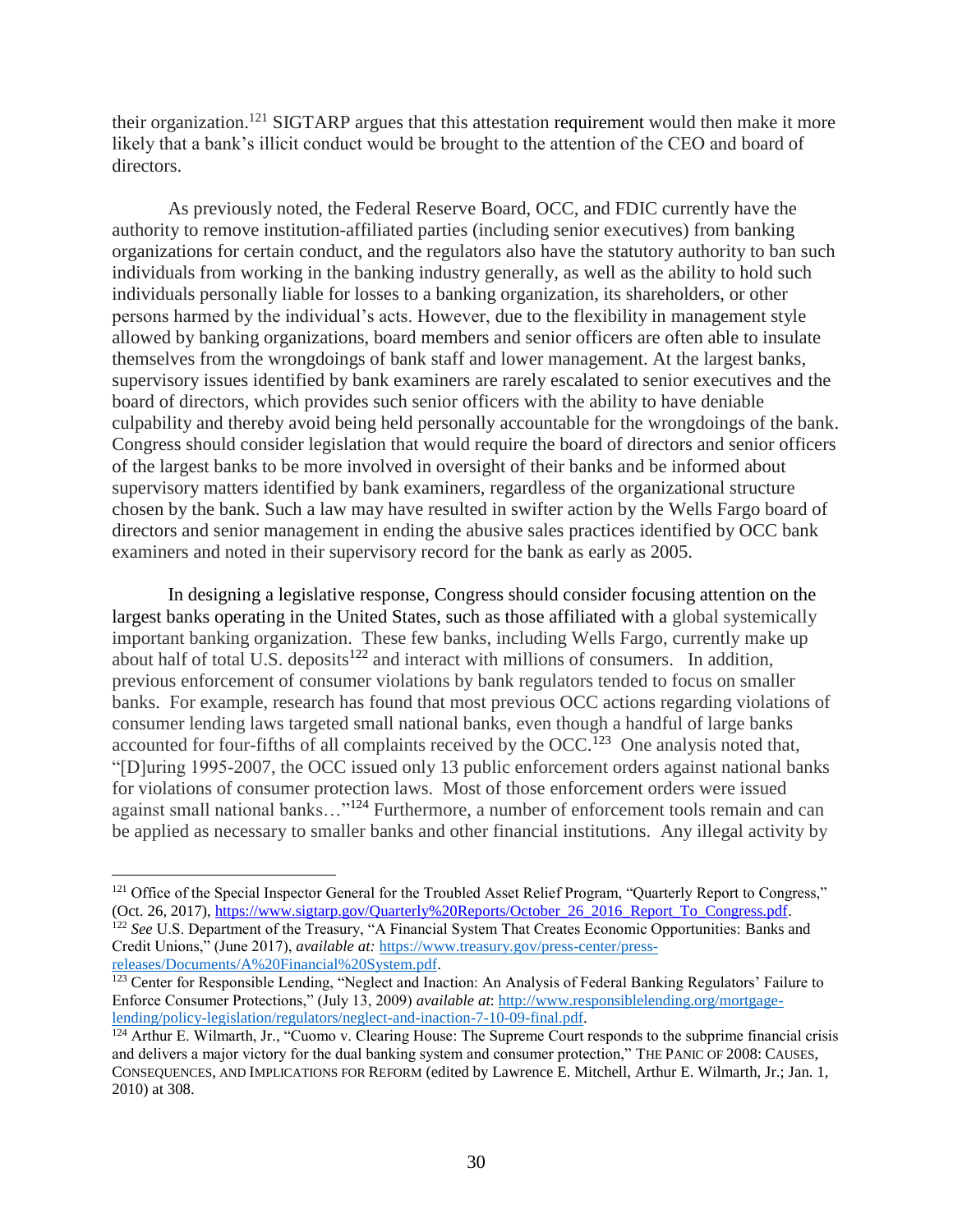their organization.<sup>121</sup> SIGTARP argues that this attestation requirement would then make it more likely that a bank's illicit conduct would be brought to the attention of the CEO and board of directors.

As previously noted, the Federal Reserve Board, OCC, and FDIC currently have the authority to remove institution-affiliated parties (including senior executives) from banking organizations for certain conduct, and the regulators also have the statutory authority to ban such individuals from working in the banking industry generally, as well as the ability to hold such individuals personally liable for losses to a banking organization, its shareholders, or other persons harmed by the individual's acts. However, due to the flexibility in management style allowed by banking organizations, board members and senior officers are often able to insulate themselves from the wrongdoings of bank staff and lower management. At the largest banks, supervisory issues identified by bank examiners are rarely escalated to senior executives and the board of directors, which provides such senior officers with the ability to have deniable culpability and thereby avoid being held personally accountable for the wrongdoings of the bank. Congress should consider legislation that would require the board of directors and senior officers of the largest banks to be more involved in oversight of their banks and be informed about supervisory matters identified by bank examiners, regardless of the organizational structure chosen by the bank. Such a law may have resulted in swifter action by the Wells Fargo board of directors and senior management in ending the abusive sales practices identified by OCC bank examiners and noted in their supervisory record for the bank as early as 2005.

In designing a legislative response, Congress should consider focusing attention on the largest banks operating in the United States, such as those affiliated with a global systemically important banking organization. These few banks, including Wells Fargo, currently make up about half of total U.S. deposits $122$  and interact with millions of consumers. In addition, previous enforcement of consumer violations by bank regulators tended to focus on smaller banks. For example, research has found that most previous OCC actions regarding violations of consumer lending laws targeted small national banks, even though a handful of large banks accounted for four-fifths of all complaints received by the OCC.<sup>123</sup> One analysis noted that, "[D]uring 1995-2007, the OCC issued only 13 public enforcement orders against national banks for violations of consumer protection laws. Most of those enforcement orders were issued against small national banks…"<sup>124</sup> Furthermore, a number of enforcement tools remain and can be applied as necessary to smaller banks and other financial institutions. Any illegal activity by

<sup>&</sup>lt;sup>121</sup> Office of the Special Inspector General for the Troubled Asset Relief Program, "Quarterly Report to Congress," (Oct. 26, 2017), [https://www.sigtarp.gov/Quarterly%20Reports/October\\_26\\_2016\\_Report\\_To\\_Congress.pdf.](https://www.sigtarp.gov/Quarterly%20Reports/October_26_2016_Report_To_Congress.pdf) <sup>122</sup> *See U.S. Department of the Treasury, "A Financial System That Creates Economic Opportunities: Banks and* Credit Unions," (June 2017), *available at:* [https://www.treasury.gov/press-center/press](https://www.treasury.gov/press-center/press-releases/Documents/A%20Financial%20System.pdf)[releases/Documents/A%20Financial%20System.pdf.](https://www.treasury.gov/press-center/press-releases/Documents/A%20Financial%20System.pdf)

<sup>&</sup>lt;sup>123</sup> Center for Responsible Lending, "Neglect and Inaction: An Analysis of Federal Banking Regulators' Failure to Enforce Consumer Protections," (July 13, 2009) *available at*: [http://www.responsiblelending.org/mortgage](http://www.responsiblelending.org/mortgage-lending/policy-legislation/regulators/neglect-and-inaction-7-10-09-final.pdf)[lending/policy-legislation/regulators/neglect-and-inaction-7-10-09-final.pdf.](http://www.responsiblelending.org/mortgage-lending/policy-legislation/regulators/neglect-and-inaction-7-10-09-final.pdf)

<sup>&</sup>lt;sup>124</sup> Arthur E. Wilmarth, Jr., "Cuomo v. Clearing House: The Supreme Court responds to the subprime financial crisis and delivers a major victory for the dual banking system and consumer protection," THE PANIC OF 2008: CAUSES, CONSEQUENCES, AND IMPLICATIONS FOR REFORM (edited by Lawrence E. Mitchell, Arthur E. Wilmarth, Jr.; Jan. 1, 2010) at 308.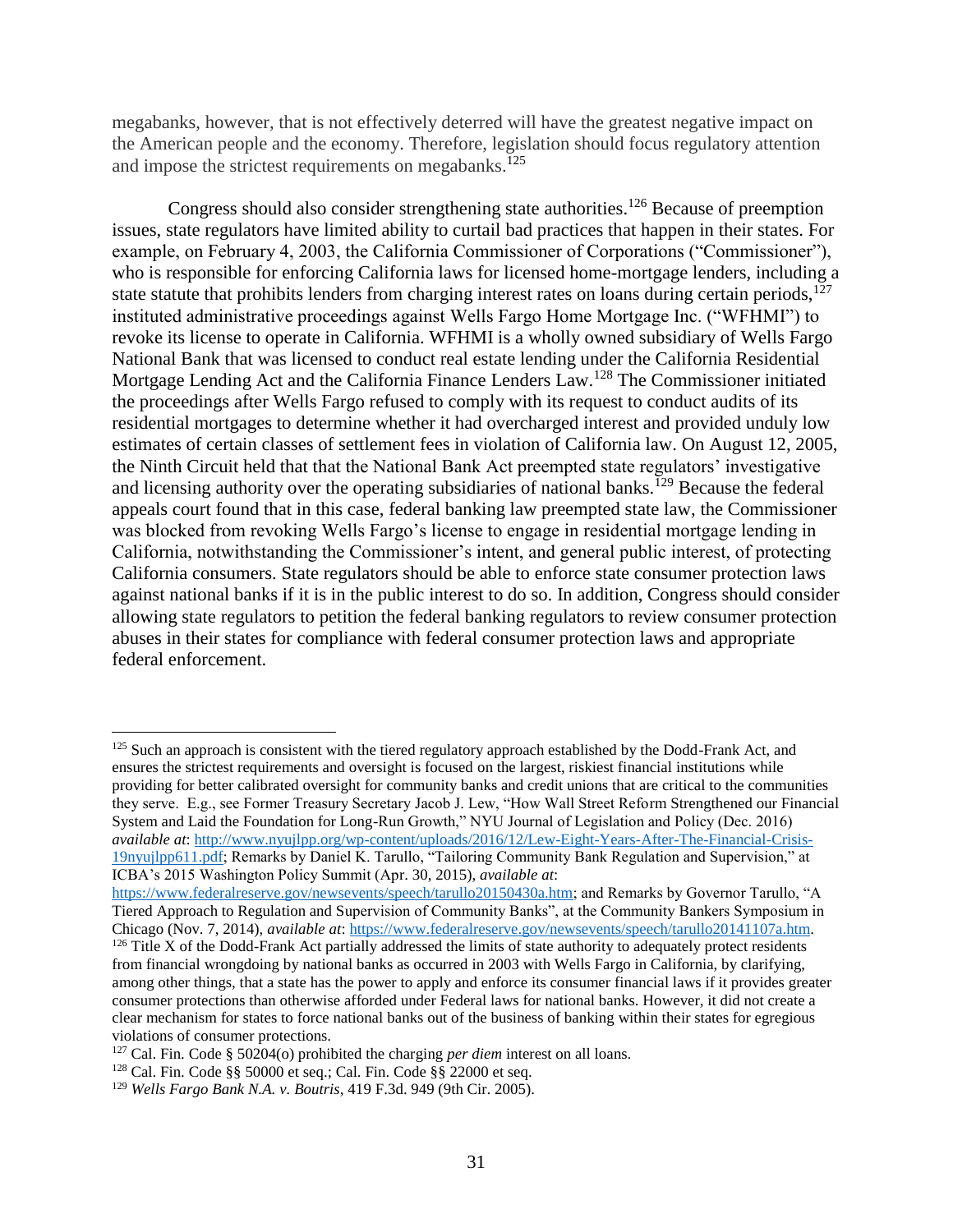megabanks, however, that is not effectively deterred will have the greatest negative impact on the American people and the economy. Therefore, legislation should focus regulatory attention and impose the strictest requirements on megabanks.<sup>125</sup>

Congress should also consider strengthening state authorities.<sup>126</sup> Because of preemption issues, state regulators have limited ability to curtail bad practices that happen in their states. For example, on February 4, 2003, the California Commissioner of Corporations ("Commissioner"), who is responsible for enforcing California laws for licensed home-mortgage lenders, including a state statute that prohibits lenders from charging interest rates on loans during certain periods, $127$ instituted administrative proceedings against Wells Fargo Home Mortgage Inc. ("WFHMI") to revoke its license to operate in California. WFHMI is a wholly owned subsidiary of Wells Fargo National Bank that was licensed to conduct real estate lending under the California Residential Mortgage Lending Act and the California Finance Lenders Law.<sup>128</sup> The Commissioner initiated the proceedings after Wells Fargo refused to comply with its request to conduct audits of its residential mortgages to determine whether it had overcharged interest and provided unduly low estimates of certain classes of settlement fees in violation of California law. On August 12, 2005, the Ninth Circuit held that that the National Bank Act preempted state regulators' investigative and licensing authority over the operating subsidiaries of national banks.<sup>129</sup> Because the federal appeals court found that in this case, federal banking law preempted state law, the Commissioner was blocked from revoking Wells Fargo's license to engage in residential mortgage lending in California, notwithstanding the Commissioner's intent, and general public interest, of protecting California consumers. State regulators should be able to enforce state consumer protection laws against national banks if it is in the public interest to do so. In addition, Congress should consider allowing state regulators to petition the federal banking regulators to review consumer protection abuses in their states for compliance with federal consumer protection laws and appropriate federal enforcement.

<sup>&</sup>lt;sup>125</sup> Such an approach is consistent with the tiered regulatory approach established by the Dodd-Frank Act, and ensures the strictest requirements and oversight is focused on the largest, riskiest financial institutions while providing for better calibrated oversight for community banks and credit unions that are critical to the communities they serve. E.g., see Former Treasury Secretary Jacob J. Lew, "How Wall Street Reform Strengthened our Financial System and Laid the Foundation for Long-Run Growth," NYU Journal of Legislation and Policy (Dec. 2016) *available at*: [http://www.nyujlpp.org/wp-content/uploads/2016/12/Lew-Eight-Years-After-The-Financial-Crisis-](http://www.nyujlpp.org/wp-content/uploads/2016/12/Lew-Eight-Years-After-The-Financial-Crisis-19nyujlpp611.pdf)[19nyujlpp611.pdf;](http://www.nyujlpp.org/wp-content/uploads/2016/12/Lew-Eight-Years-After-The-Financial-Crisis-19nyujlpp611.pdf) Remarks by Daniel K. Tarullo, "Tailoring Community Bank Regulation and Supervision," at ICBA's 2015 Washington Policy Summit (Apr. 30, 2015), *available at*:

[https://www.federalreserve.gov/newsevents/speech/tarullo20150430a.htm;](https://www.federalreserve.gov/newsevents/speech/tarullo20150430a.htm) and Remarks by Governor Tarullo, "A Tiered Approach to Regulation and Supervision of Community Banks", at the Community Bankers Symposium in Chicago (Nov. 7, 2014), *available at*[: https://www.federalreserve.gov/newsevents/speech/tarullo20141107a.htm.](https://www.federalreserve.gov/newsevents/speech/tarullo20141107a.htm)

 $126$  Title X of the Dodd-Frank Act partially addressed the limits of state authority to adequately protect residents from financial wrongdoing by national banks as occurred in 2003 with Wells Fargo in California, by clarifying, among other things, that a state has the power to apply and enforce its consumer financial laws if it provides greater consumer protections than otherwise afforded under Federal laws for national banks. However, it did not create a clear mechanism for states to force national banks out of the business of banking within their states for egregious violations of consumer protections.

<sup>127</sup> Cal. Fin. Code § 50204(o) prohibited the charging *per diem* interest on all loans.

<sup>128</sup> Cal. Fin. Code §§ 50000 et seq.; Cal. Fin. Code §§ 22000 et seq.

<sup>129</sup> *Wells Fargo Bank N.A. v. Boutris*, 419 F.3d. 949 (9th Cir. 2005).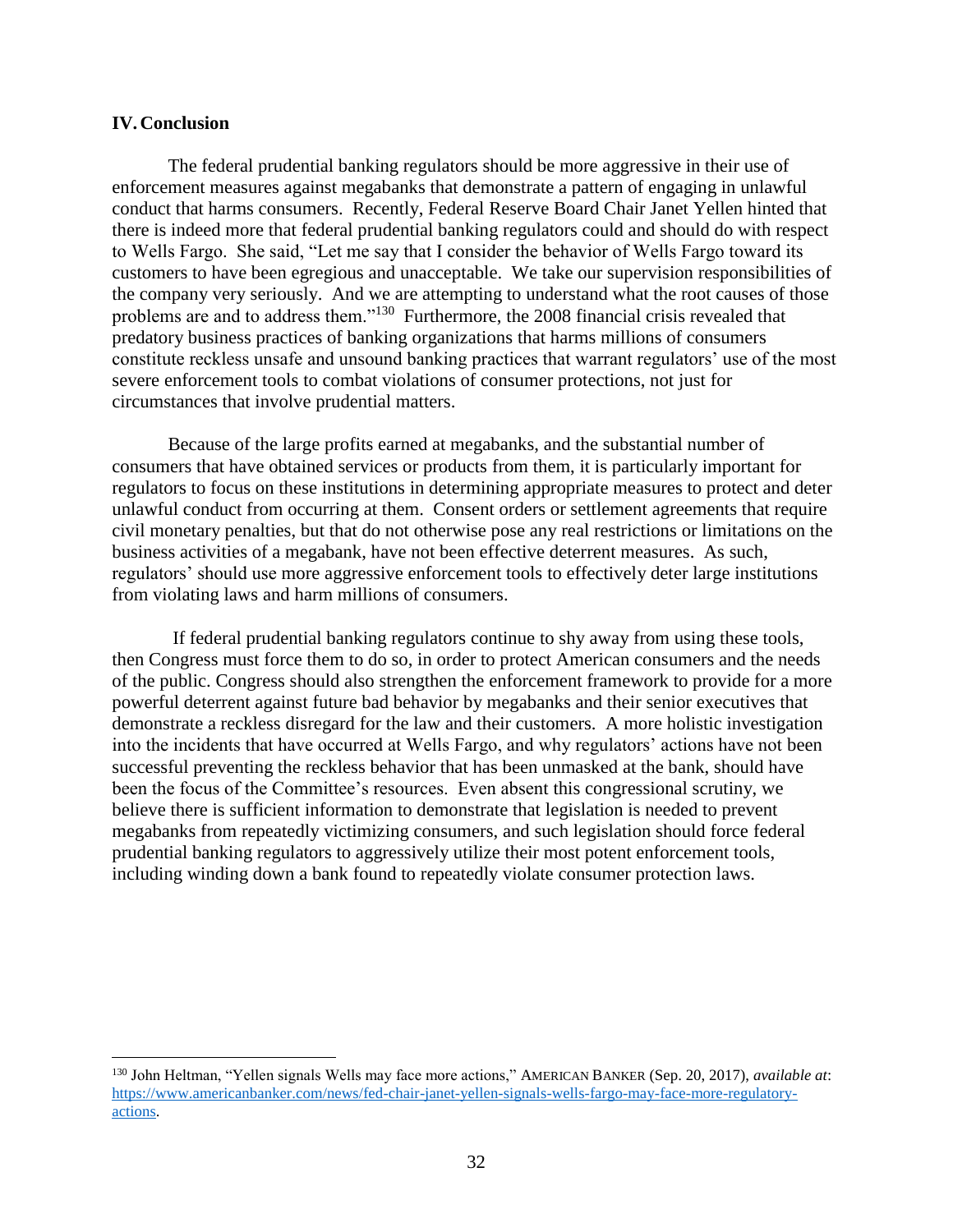#### <span id="page-31-0"></span>**IV.Conclusion**

 $\overline{a}$ 

The federal prudential banking regulators should be more aggressive in their use of enforcement measures against megabanks that demonstrate a pattern of engaging in unlawful conduct that harms consumers. Recently, Federal Reserve Board Chair Janet Yellen hinted that there is indeed more that federal prudential banking regulators could and should do with respect to Wells Fargo. She said, "Let me say that I consider the behavior of Wells Fargo toward its customers to have been egregious and unacceptable. We take our supervision responsibilities of the company very seriously. And we are attempting to understand what the root causes of those problems are and to address them."<sup>130</sup> Furthermore, the 2008 financial crisis revealed that predatory business practices of banking organizations that harms millions of consumers constitute reckless unsafe and unsound banking practices that warrant regulators' use of the most severe enforcement tools to combat violations of consumer protections, not just for circumstances that involve prudential matters.

Because of the large profits earned at megabanks, and the substantial number of consumers that have obtained services or products from them, it is particularly important for regulators to focus on these institutions in determining appropriate measures to protect and deter unlawful conduct from occurring at them. Consent orders or settlement agreements that require civil monetary penalties, but that do not otherwise pose any real restrictions or limitations on the business activities of a megabank, have not been effective deterrent measures. As such, regulators' should use more aggressive enforcement tools to effectively deter large institutions from violating laws and harm millions of consumers.

If federal prudential banking regulators continue to shy away from using these tools, then Congress must force them to do so, in order to protect American consumers and the needs of the public. Congress should also strengthen the enforcement framework to provide for a more powerful deterrent against future bad behavior by megabanks and their senior executives that demonstrate a reckless disregard for the law and their customers. A more holistic investigation into the incidents that have occurred at Wells Fargo, and why regulators' actions have not been successful preventing the reckless behavior that has been unmasked at the bank, should have been the focus of the Committee's resources. Even absent this congressional scrutiny, we believe there is sufficient information to demonstrate that legislation is needed to prevent megabanks from repeatedly victimizing consumers, and such legislation should force federal prudential banking regulators to aggressively utilize their most potent enforcement tools, including winding down a bank found to repeatedly violate consumer protection laws.

<sup>130</sup> John Heltman, "Yellen signals Wells may face more actions," AMERICAN BANKER (Sep. 20, 2017), *available at*: [https://www.americanbanker.com/news/fed-chair-janet-yellen-signals-wells-fargo-may-face-more-regulatory](https://www.americanbanker.com/news/fed-chair-janet-yellen-signals-wells-fargo-may-face-more-regulatory-actions)[actions.](https://www.americanbanker.com/news/fed-chair-janet-yellen-signals-wells-fargo-may-face-more-regulatory-actions)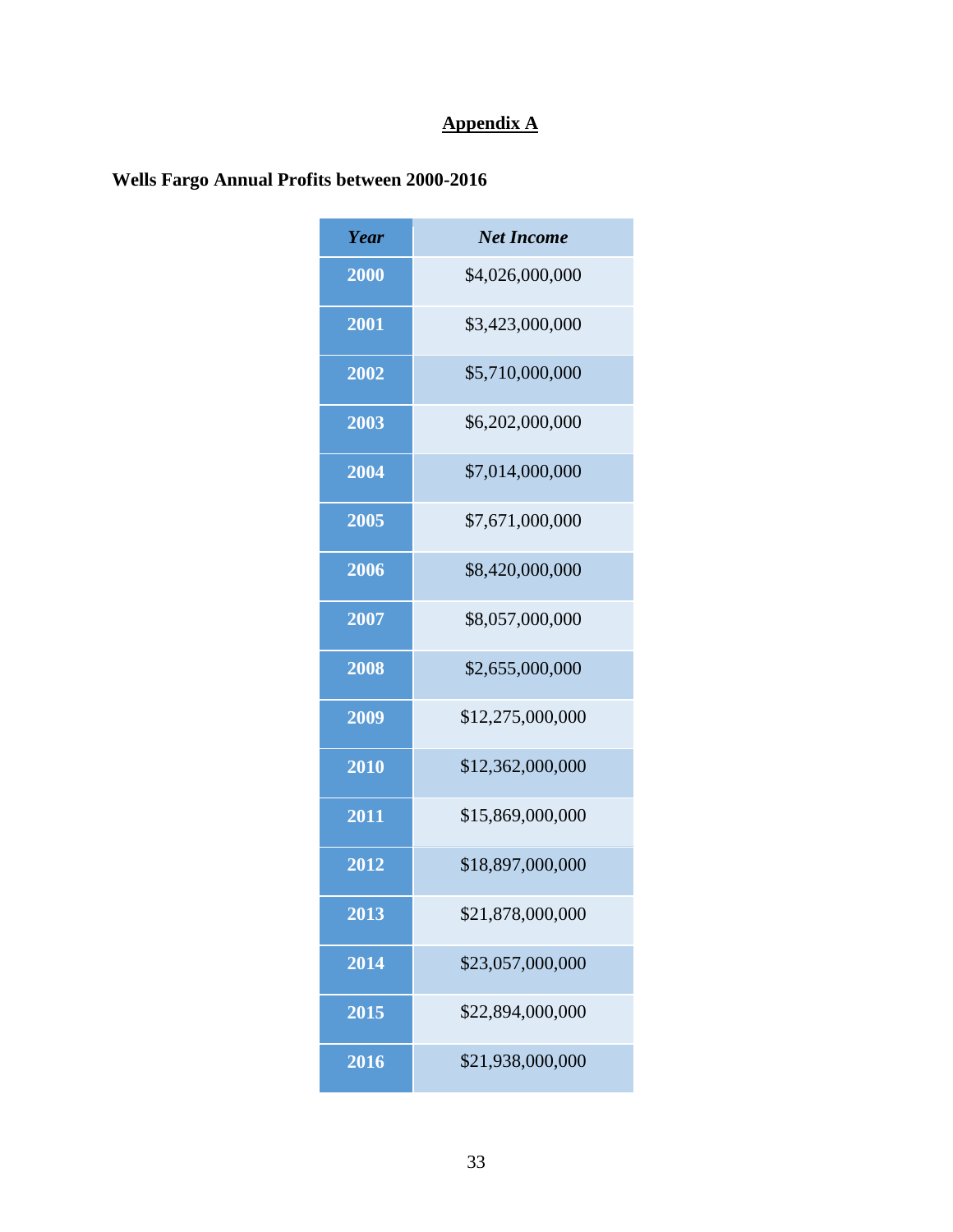# **Appendix A**

# <span id="page-32-1"></span><span id="page-32-0"></span>**Wells Fargo Annual Profits between 2000-2016**

| Year | <b>Net Income</b> |
|------|-------------------|
| 2000 | \$4,026,000,000   |
| 2001 | \$3,423,000,000   |
| 2002 | \$5,710,000,000   |
| 2003 | \$6,202,000,000   |
| 2004 | \$7,014,000,000   |
| 2005 | \$7,671,000,000   |
| 2006 | \$8,420,000,000   |
| 2007 | \$8,057,000,000   |
| 2008 | \$2,655,000,000   |
| 2009 | \$12,275,000,000  |
| 2010 | \$12,362,000,000  |
| 2011 | \$15,869,000,000  |
| 2012 | \$18,897,000,000  |
| 2013 | \$21,878,000,000  |
| 2014 | \$23,057,000,000  |
| 2015 | \$22,894,000,000  |
| 2016 | \$21,938,000,000  |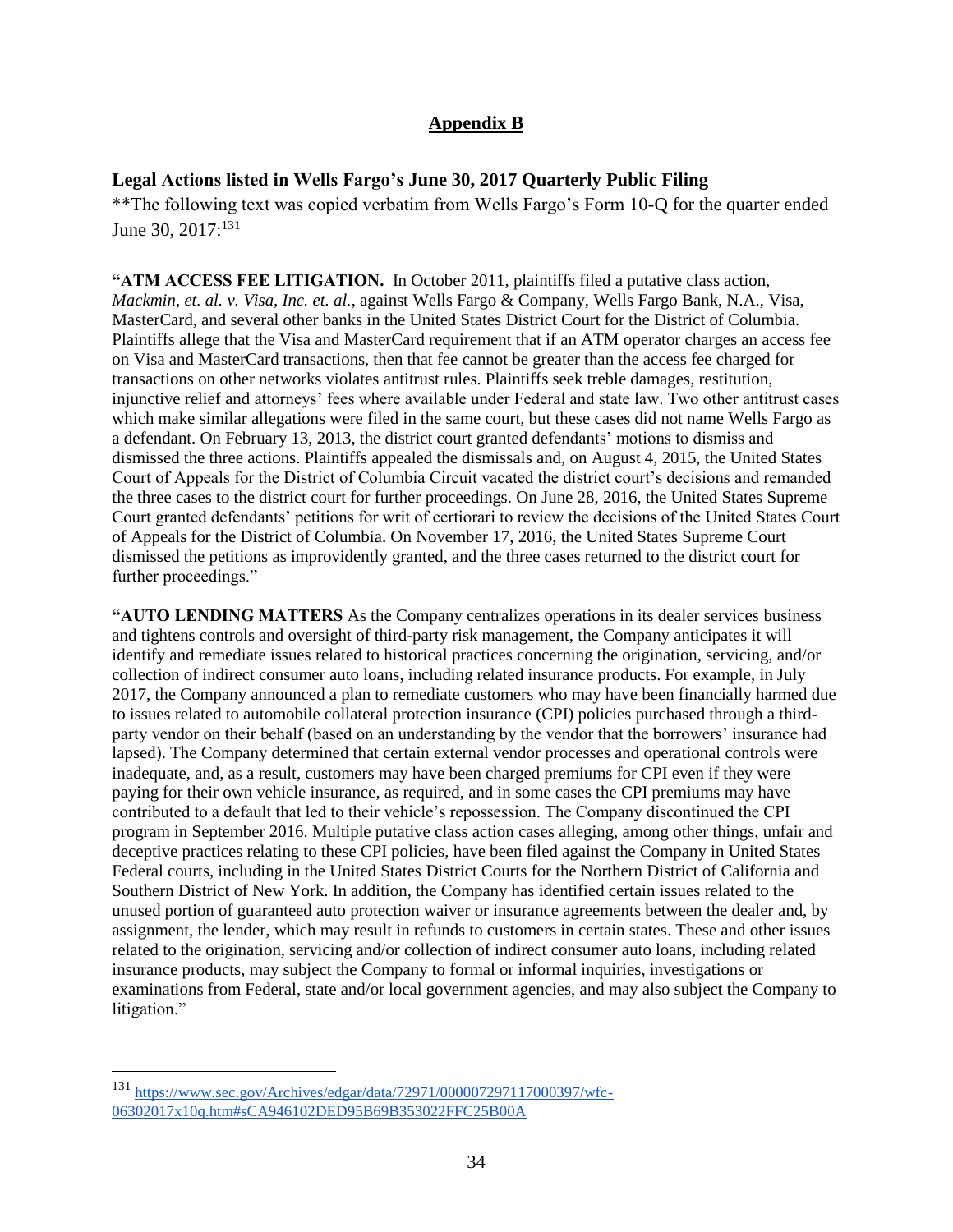## **Appendix B**

## <span id="page-33-1"></span><span id="page-33-0"></span>**Legal Actions listed in Wells Fargo's June 30, 2017 Quarterly Public Filing**

\*\*The following text was copied verbatim from Wells Fargo's Form 10-Q for the quarter ended June 30, 2017:<sup>131</sup>

**"ATM ACCESS FEE LITIGATION.** In October 2011, plaintiffs filed a putative class action, *Mackmin, et. al. v. Visa, Inc. et. al.*, against Wells Fargo & Company, Wells Fargo Bank, N.A., Visa, MasterCard, and several other banks in the United States District Court for the District of Columbia. Plaintiffs allege that the Visa and MasterCard requirement that if an ATM operator charges an access fee on Visa and MasterCard transactions, then that fee cannot be greater than the access fee charged for transactions on other networks violates antitrust rules. Plaintiffs seek treble damages, restitution, injunctive relief and attorneys' fees where available under Federal and state law. Two other antitrust cases which make similar allegations were filed in the same court, but these cases did not name Wells Fargo as a defendant. On February 13, 2013, the district court granted defendants' motions to dismiss and dismissed the three actions. Plaintiffs appealed the dismissals and, on August 4, 2015, the United States Court of Appeals for the District of Columbia Circuit vacated the district court's decisions and remanded the three cases to the district court for further proceedings. On June 28, 2016, the United States Supreme Court granted defendants' petitions for writ of certiorari to review the decisions of the United States Court of Appeals for the District of Columbia. On November 17, 2016, the United States Supreme Court dismissed the petitions as improvidently granted, and the three cases returned to the district court for further proceedings."

**"AUTO LENDING MATTERS** As the Company centralizes operations in its dealer services business and tightens controls and oversight of third-party risk management, the Company anticipates it will identify and remediate issues related to historical practices concerning the origination, servicing, and/or collection of indirect consumer auto loans, including related insurance products. For example, in July 2017, the Company announced a plan to remediate customers who may have been financially harmed due to issues related to automobile collateral protection insurance (CPI) policies purchased through a thirdparty vendor on their behalf (based on an understanding by the vendor that the borrowers' insurance had lapsed). The Company determined that certain external vendor processes and operational controls were inadequate, and, as a result, customers may have been charged premiums for CPI even if they were paying for their own vehicle insurance, as required, and in some cases the CPI premiums may have contributed to a default that led to their vehicle's repossession. The Company discontinued the CPI program in September 2016. Multiple putative class action cases alleging, among other things, unfair and deceptive practices relating to these CPI policies, have been filed against the Company in United States Federal courts, including in the United States District Courts for the Northern District of California and Southern District of New York. In addition, the Company has identified certain issues related to the unused portion of guaranteed auto protection waiver or insurance agreements between the dealer and, by assignment, the lender, which may result in refunds to customers in certain states. These and other issues related to the origination, servicing and/or collection of indirect consumer auto loans, including related insurance products, may subject the Company to formal or informal inquiries, investigations or examinations from Federal, state and/or local government agencies, and may also subject the Company to litigation."

<sup>131</sup> [https://www.sec.gov/Archives/edgar/data/72971/000007297117000397/wfc-](https://www.sec.gov/Archives/edgar/data/72971/000007297117000397/wfc-06302017x10q.htm#sCA946102DED95B69B353022FFC25B00A)[06302017x10q.htm#sCA946102DED95B69B353022FFC25B00A](https://www.sec.gov/Archives/edgar/data/72971/000007297117000397/wfc-06302017x10q.htm#sCA946102DED95B69B353022FFC25B00A)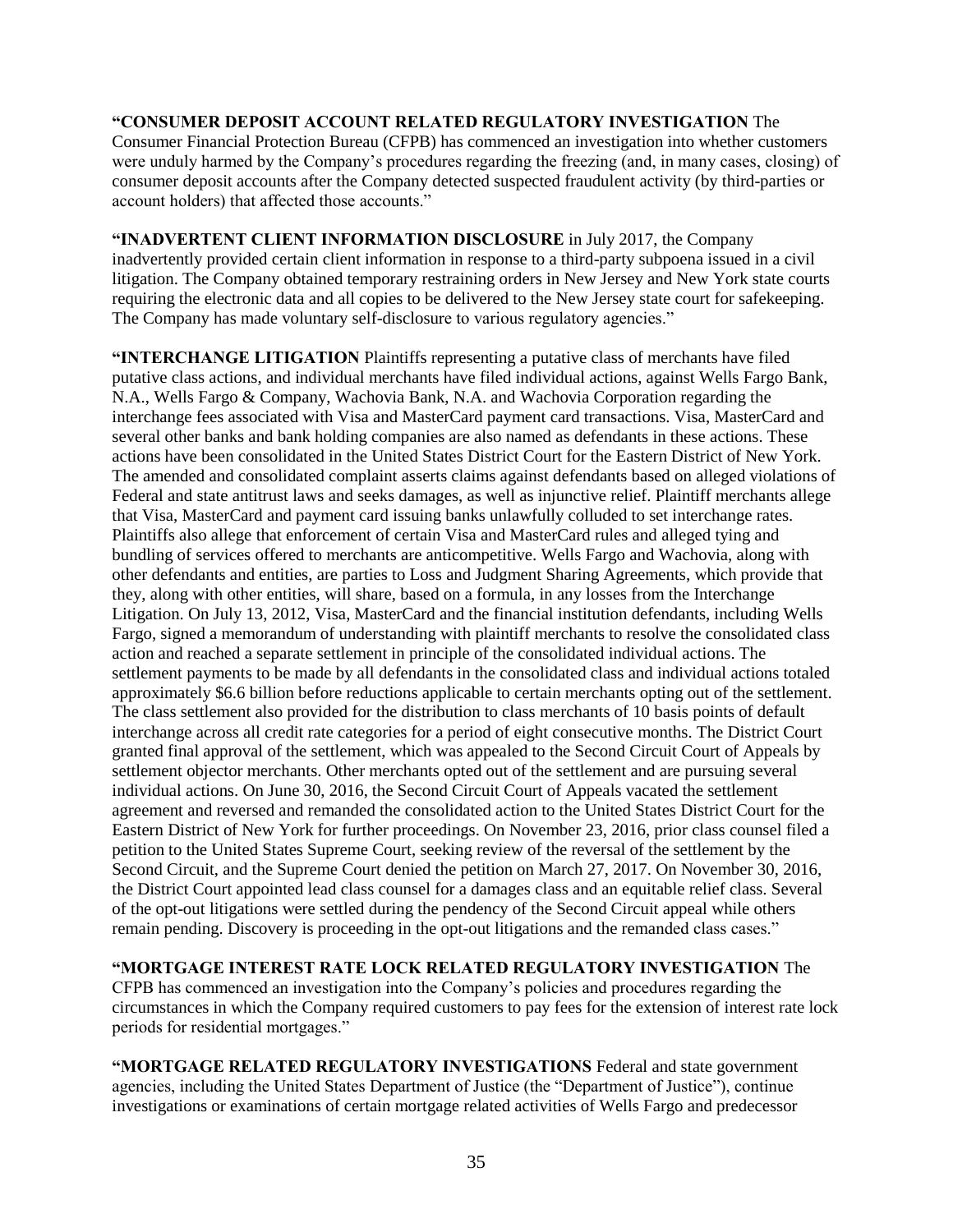#### **"CONSUMER DEPOSIT ACCOUNT RELATED REGULATORY INVESTIGATION** The Consumer Financial Protection Bureau (CFPB) has commenced an investigation into whether customers were unduly harmed by the Company's procedures regarding the freezing (and, in many cases, closing) of consumer deposit accounts after the Company detected suspected fraudulent activity (by third-parties or account holders) that affected those accounts."

**"INADVERTENT CLIENT INFORMATION DISCLOSURE** in July 2017, the Company inadvertently provided certain client information in response to a third-party subpoena issued in a civil litigation. The Company obtained temporary restraining orders in New Jersey and New York state courts requiring the electronic data and all copies to be delivered to the New Jersey state court for safekeeping. The Company has made voluntary self-disclosure to various regulatory agencies."

**"INTERCHANGE LITIGATION** Plaintiffs representing a putative class of merchants have filed putative class actions, and individual merchants have filed individual actions, against Wells Fargo Bank, N.A., Wells Fargo & Company, Wachovia Bank, N.A. and Wachovia Corporation regarding the interchange fees associated with Visa and MasterCard payment card transactions. Visa, MasterCard and several other banks and bank holding companies are also named as defendants in these actions. These actions have been consolidated in the United States District Court for the Eastern District of New York. The amended and consolidated complaint asserts claims against defendants based on alleged violations of Federal and state antitrust laws and seeks damages, as well as injunctive relief. Plaintiff merchants allege that Visa, MasterCard and payment card issuing banks unlawfully colluded to set interchange rates. Plaintiffs also allege that enforcement of certain Visa and MasterCard rules and alleged tying and bundling of services offered to merchants are anticompetitive. Wells Fargo and Wachovia, along with other defendants and entities, are parties to Loss and Judgment Sharing Agreements, which provide that they, along with other entities, will share, based on a formula, in any losses from the Interchange Litigation. On July 13, 2012, Visa, MasterCard and the financial institution defendants, including Wells Fargo, signed a memorandum of understanding with plaintiff merchants to resolve the consolidated class action and reached a separate settlement in principle of the consolidated individual actions. The settlement payments to be made by all defendants in the consolidated class and individual actions totaled approximately \$6.6 billion before reductions applicable to certain merchants opting out of the settlement. The class settlement also provided for the distribution to class merchants of 10 basis points of default interchange across all credit rate categories for a period of eight consecutive months. The District Court granted final approval of the settlement, which was appealed to the Second Circuit Court of Appeals by settlement objector merchants. Other merchants opted out of the settlement and are pursuing several individual actions. On June 30, 2016, the Second Circuit Court of Appeals vacated the settlement agreement and reversed and remanded the consolidated action to the United States District Court for the Eastern District of New York for further proceedings. On November 23, 2016, prior class counsel filed a petition to the United States Supreme Court, seeking review of the reversal of the settlement by the Second Circuit, and the Supreme Court denied the petition on March 27, 2017. On November 30, 2016, the District Court appointed lead class counsel for a damages class and an equitable relief class. Several of the opt-out litigations were settled during the pendency of the Second Circuit appeal while others remain pending. Discovery is proceeding in the opt-out litigations and the remanded class cases."

**"MORTGAGE INTEREST RATE LOCK RELATED REGULATORY INVESTIGATION** The CFPB has commenced an investigation into the Company's policies and procedures regarding the circumstances in which the Company required customers to pay fees for the extension of interest rate lock periods for residential mortgages."

**"MORTGAGE RELATED REGULATORY INVESTIGATIONS** Federal and state government agencies, including the United States Department of Justice (the "Department of Justice"), continue investigations or examinations of certain mortgage related activities of Wells Fargo and predecessor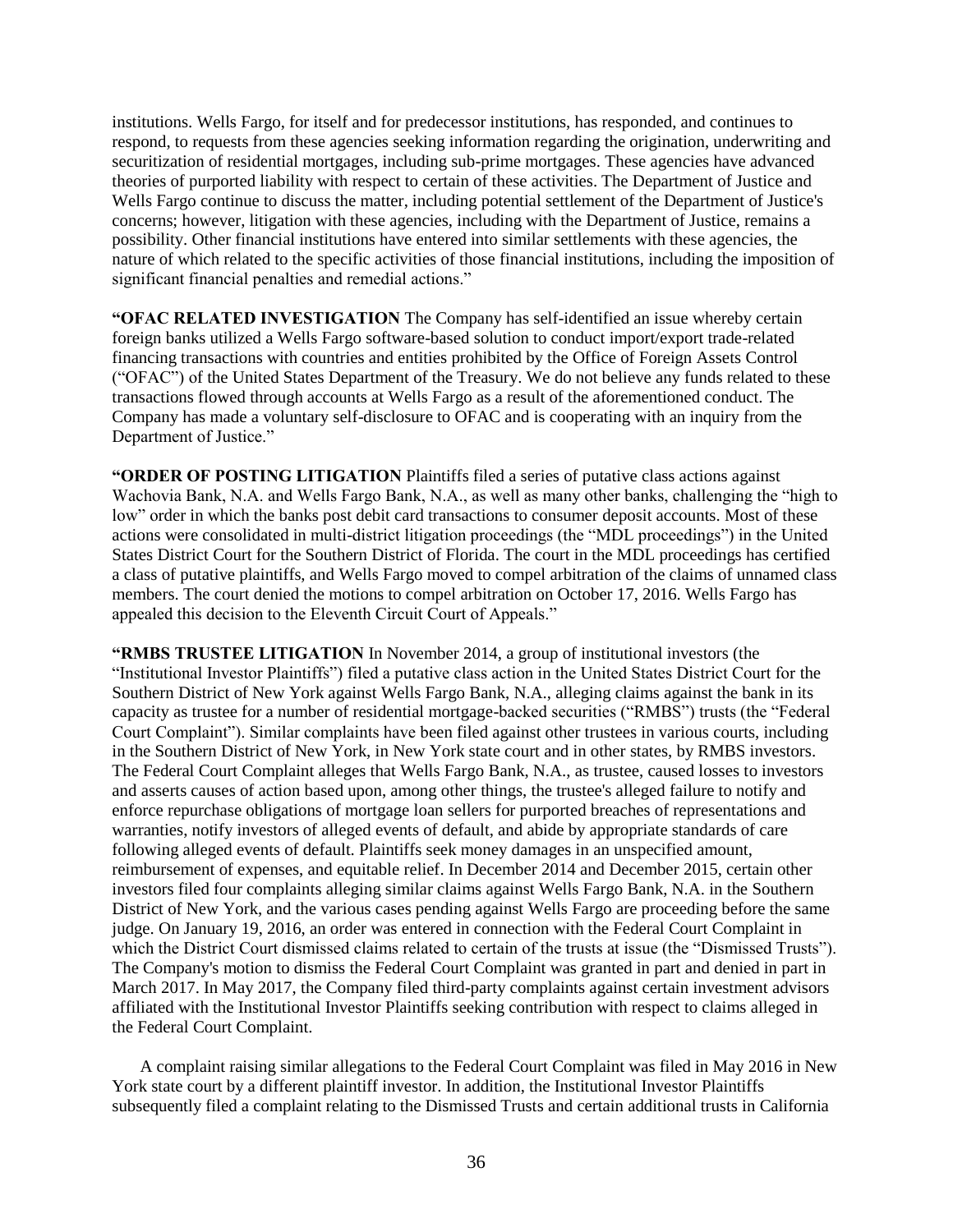institutions. Wells Fargo, for itself and for predecessor institutions, has responded, and continues to respond, to requests from these agencies seeking information regarding the origination, underwriting and securitization of residential mortgages, including sub-prime mortgages. These agencies have advanced theories of purported liability with respect to certain of these activities. The Department of Justice and Wells Fargo continue to discuss the matter, including potential settlement of the Department of Justice's concerns; however, litigation with these agencies, including with the Department of Justice, remains a possibility. Other financial institutions have entered into similar settlements with these agencies, the nature of which related to the specific activities of those financial institutions, including the imposition of significant financial penalties and remedial actions."

**"OFAC RELATED INVESTIGATION** The Company has self-identified an issue whereby certain foreign banks utilized a Wells Fargo software-based solution to conduct import/export trade-related financing transactions with countries and entities prohibited by the Office of Foreign Assets Control ("OFAC") of the United States Department of the Treasury. We do not believe any funds related to these transactions flowed through accounts at Wells Fargo as a result of the aforementioned conduct. The Company has made a voluntary self-disclosure to OFAC and is cooperating with an inquiry from the Department of Justice."

**"ORDER OF POSTING LITIGATION** Plaintiffs filed a series of putative class actions against Wachovia Bank, N.A. and Wells Fargo Bank, N.A., as well as many other banks, challenging the "high to low" order in which the banks post debit card transactions to consumer deposit accounts. Most of these actions were consolidated in multi-district litigation proceedings (the "MDL proceedings") in the United States District Court for the Southern District of Florida. The court in the MDL proceedings has certified a class of putative plaintiffs, and Wells Fargo moved to compel arbitration of the claims of unnamed class members. The court denied the motions to compel arbitration on October 17, 2016. Wells Fargo has appealed this decision to the Eleventh Circuit Court of Appeals."

**"RMBS TRUSTEE LITIGATION** In November 2014, a group of institutional investors (the "Institutional Investor Plaintiffs") filed a putative class action in the United States District Court for the Southern District of New York against Wells Fargo Bank, N.A., alleging claims against the bank in its capacity as trustee for a number of residential mortgage-backed securities ("RMBS") trusts (the "Federal Court Complaint"). Similar complaints have been filed against other trustees in various courts, including in the Southern District of New York, in New York state court and in other states, by RMBS investors. The Federal Court Complaint alleges that Wells Fargo Bank, N.A., as trustee, caused losses to investors and asserts causes of action based upon, among other things, the trustee's alleged failure to notify and enforce repurchase obligations of mortgage loan sellers for purported breaches of representations and warranties, notify investors of alleged events of default, and abide by appropriate standards of care following alleged events of default. Plaintiffs seek money damages in an unspecified amount, reimbursement of expenses, and equitable relief. In December 2014 and December 2015, certain other investors filed four complaints alleging similar claims against Wells Fargo Bank, N.A. in the Southern District of New York, and the various cases pending against Wells Fargo are proceeding before the same judge. On January 19, 2016, an order was entered in connection with the Federal Court Complaint in which the District Court dismissed claims related to certain of the trusts at issue (the "Dismissed Trusts"). The Company's motion to dismiss the Federal Court Complaint was granted in part and denied in part in March 2017. In May 2017, the Company filed third-party complaints against certain investment advisors affiliated with the Institutional Investor Plaintiffs seeking contribution with respect to claims alleged in the Federal Court Complaint.

A complaint raising similar allegations to the Federal Court Complaint was filed in May 2016 in New York state court by a different plaintiff investor. In addition, the Institutional Investor Plaintiffs subsequently filed a complaint relating to the Dismissed Trusts and certain additional trusts in California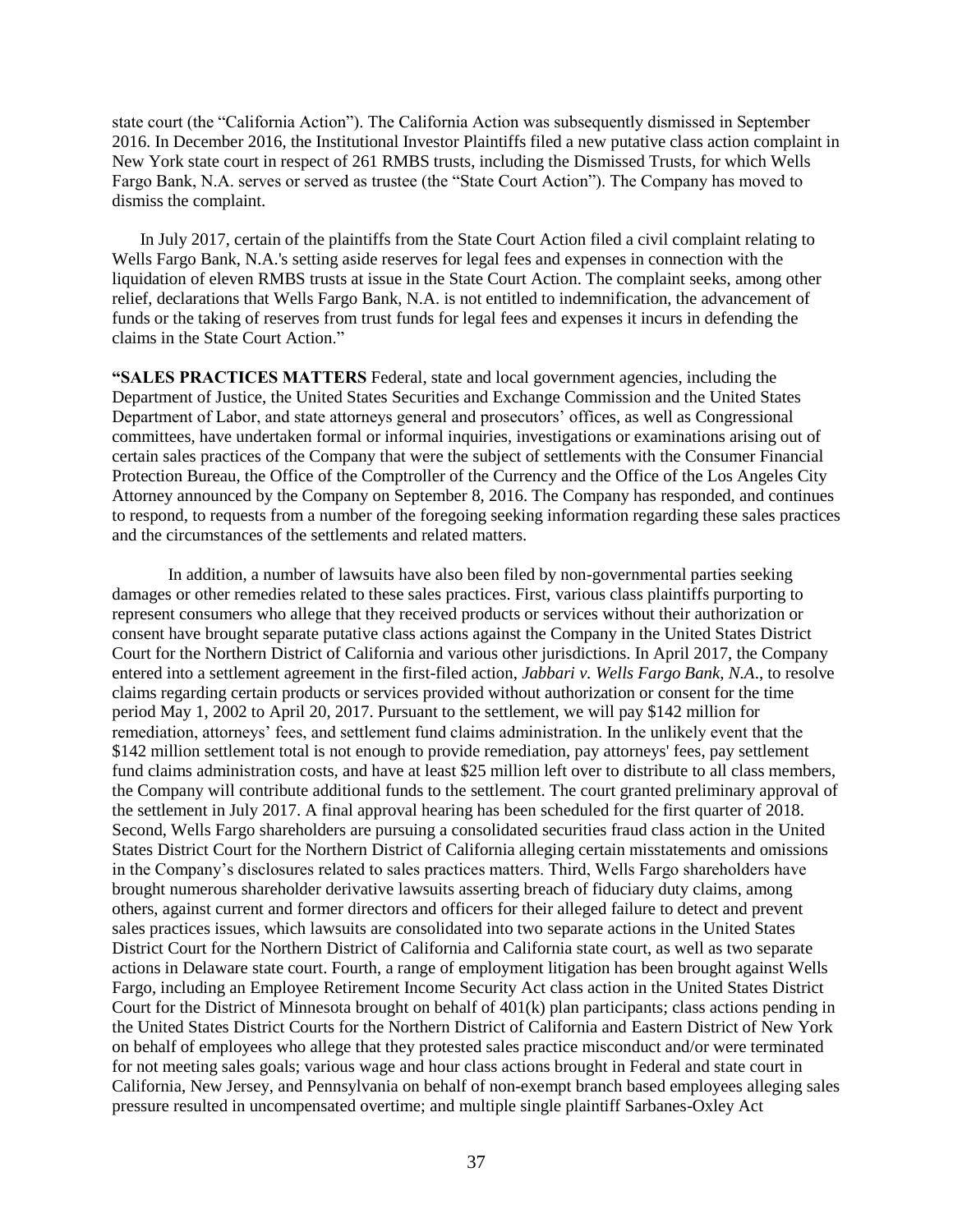state court (the "California Action"). The California Action was subsequently dismissed in September 2016. In December 2016, the Institutional Investor Plaintiffs filed a new putative class action complaint in New York state court in respect of 261 RMBS trusts, including the Dismissed Trusts, for which Wells Fargo Bank, N.A. serves or served as trustee (the "State Court Action"). The Company has moved to dismiss the complaint.

In July 2017, certain of the plaintiffs from the State Court Action filed a civil complaint relating to Wells Fargo Bank, N.A.'s setting aside reserves for legal fees and expenses in connection with the liquidation of eleven RMBS trusts at issue in the State Court Action. The complaint seeks, among other relief, declarations that Wells Fargo Bank, N.A. is not entitled to indemnification, the advancement of funds or the taking of reserves from trust funds for legal fees and expenses it incurs in defending the claims in the State Court Action."

**"SALES PRACTICES MATTERS** Federal, state and local government agencies, including the Department of Justice, the United States Securities and Exchange Commission and the United States Department of Labor, and state attorneys general and prosecutors' offices, as well as Congressional committees, have undertaken formal or informal inquiries, investigations or examinations arising out of certain sales practices of the Company that were the subject of settlements with the Consumer Financial Protection Bureau, the Office of the Comptroller of the Currency and the Office of the Los Angeles City Attorney announced by the Company on September 8, 2016. The Company has responded, and continues to respond, to requests from a number of the foregoing seeking information regarding these sales practices and the circumstances of the settlements and related matters.

In addition, a number of lawsuits have also been filed by non-governmental parties seeking damages or other remedies related to these sales practices. First, various class plaintiffs purporting to represent consumers who allege that they received products or services without their authorization or consent have brought separate putative class actions against the Company in the United States District Court for the Northern District of California and various other jurisdictions. In April 2017, the Company entered into a settlement agreement in the first-filed action, *Jabbari v. Wells Fargo Bank, N.A*., to resolve claims regarding certain products or services provided without authorization or consent for the time period May 1, 2002 to April 20, 2017. Pursuant to the settlement, we will pay \$142 million for remediation, attorneys' fees, and settlement fund claims administration. In the unlikely event that the \$142 million settlement total is not enough to provide remediation, pay attorneys' fees, pay settlement fund claims administration costs, and have at least \$25 million left over to distribute to all class members, the Company will contribute additional funds to the settlement. The court granted preliminary approval of the settlement in July 2017. A final approval hearing has been scheduled for the first quarter of 2018. Second, Wells Fargo shareholders are pursuing a consolidated securities fraud class action in the United States District Court for the Northern District of California alleging certain misstatements and omissions in the Company's disclosures related to sales practices matters. Third, Wells Fargo shareholders have brought numerous shareholder derivative lawsuits asserting breach of fiduciary duty claims, among others, against current and former directors and officers for their alleged failure to detect and prevent sales practices issues, which lawsuits are consolidated into two separate actions in the United States District Court for the Northern District of California and California state court, as well as two separate actions in Delaware state court. Fourth, a range of employment litigation has been brought against Wells Fargo, including an Employee Retirement Income Security Act class action in the United States District Court for the District of Minnesota brought on behalf of 401(k) plan participants; class actions pending in the United States District Courts for the Northern District of California and Eastern District of New York on behalf of employees who allege that they protested sales practice misconduct and/or were terminated for not meeting sales goals; various wage and hour class actions brought in Federal and state court in California, New Jersey, and Pennsylvania on behalf of non-exempt branch based employees alleging sales pressure resulted in uncompensated overtime; and multiple single plaintiff Sarbanes-Oxley Act